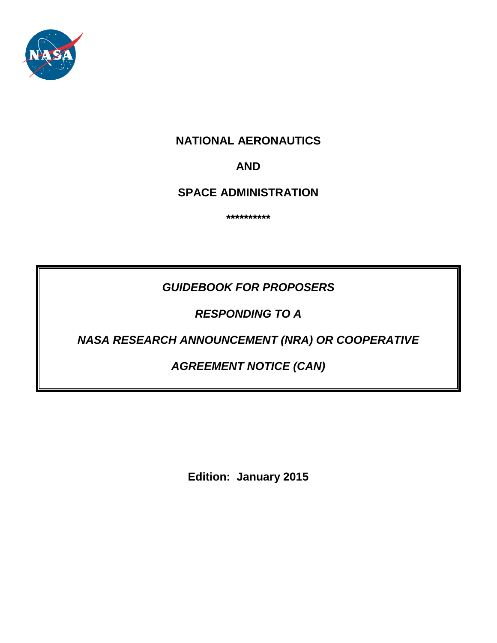

# **NATIONAL AERONAUTICS**

# **AND**

**SPACE ADMINISTRATION**

**\*\*\*\*\*\*\*\*\*\***

# *GUIDEBOOK FOR PROPOSERS*

*RESPONDING TO A*

# *NASA RESEARCH ANNOUNCEMENT (NRA) OR COOPERATIVE*

# *AGREEMENT NOTICE (CAN)*

**Edition: January 2015**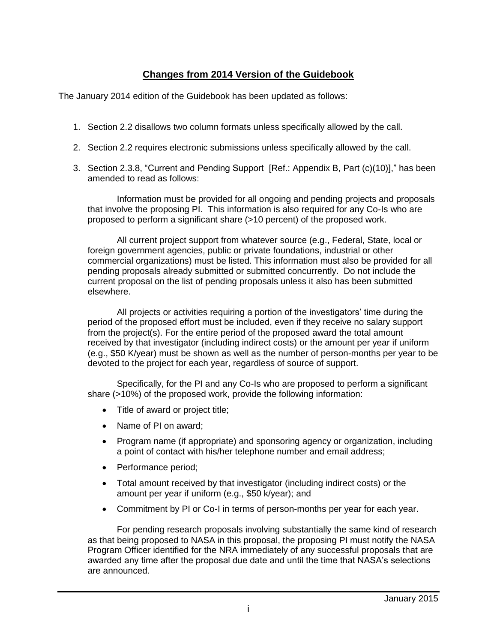# **Changes from 2014 Version of the Guidebook**

The January 2014 edition of the Guidebook has been updated as follows:

- 1. Section 2.2 disallows two column formats unless specifically allowed by the call.
- 2. Section 2.2 requires electronic submissions unless specifically allowed by the call.
- 3. Section 2.3.8, "Current and Pending Support [Ref.: Appendix B, Part (c)(10)]," has been amended to read as follows:

Information must be provided for all ongoing and pending projects and proposals that involve the proposing PI. This information is also required for any Co-Is who are proposed to perform a significant share (>10 percent) of the proposed work.

All current project support from whatever source (e.g., Federal, State, local or foreign government agencies, public or private foundations, industrial or other commercial organizations) must be listed. This information must also be provided for all pending proposals already submitted or submitted concurrently. Do not include the current proposal on the list of pending proposals unless it also has been submitted elsewhere.

All projects or activities requiring a portion of the investigators' time during the period of the proposed effort must be included, even if they receive no salary support from the project(s). For the entire period of the proposed award the total amount received by that investigator (including indirect costs) or the amount per year if uniform (e.g., \$50 K/year) must be shown as well as the number of person-months per year to be devoted to the project for each year, regardless of source of support.

Specifically, for the PI and any Co-Is who are proposed to perform a significant share (>10%) of the proposed work, provide the following information:

- Title of award or project title;
- Name of PI on award:
- Program name (if appropriate) and sponsoring agency or organization, including a point of contact with his/her telephone number and email address;
- Performance period;
- Total amount received by that investigator (including indirect costs) or the amount per year if uniform (e.g., \$50 k/year); and
- Commitment by PI or Co-I in terms of person-months per year for each year.

For pending research proposals involving substantially the same kind of research as that being proposed to NASA in this proposal, the proposing PI must notify the NASA Program Officer identified for the NRA immediately of any successful proposals that are awarded any time after the proposal due date and until the time that NASA's selections are announced.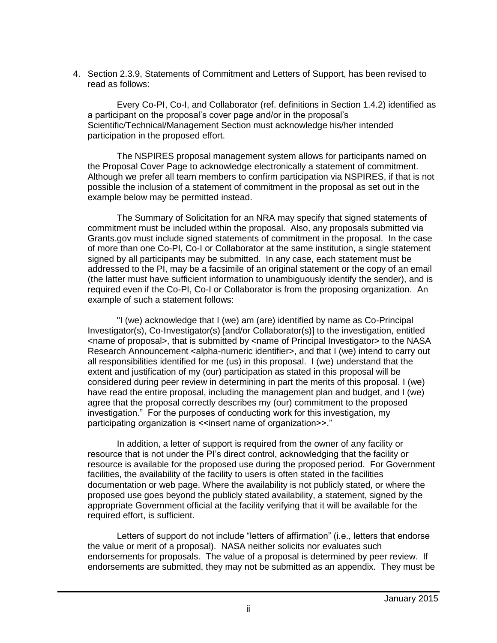4. Section 2.3.9, Statements of Commitment and Letters of Support, has been revised to read as follows:

Every Co-PI, Co-I, and Collaborator (ref. definitions in Section 1.4.2) identified as a participant on the proposal's cover page and/or in the proposal's Scientific/Technical/Management Section must acknowledge his/her intended participation in the proposed effort.

The NSPIRES proposal management system allows for participants named on the Proposal Cover Page to acknowledge electronically a statement of commitment. Although we prefer all team members to confirm participation via NSPIRES, if that is not possible the inclusion of a statement of commitment in the proposal as set out in the example below may be permitted instead.

The Summary of Solicitation for an NRA may specify that signed statements of commitment must be included within the proposal. Also, any proposals submitted via Grants.gov must include signed statements of commitment in the proposal. In the case of more than one Co-PI, Co-I or Collaborator at the same institution, a single statement signed by all participants may be submitted. In any case, each statement must be addressed to the PI, may be a facsimile of an original statement or the copy of an email (the latter must have sufficient information to unambiguously identify the sender), and is required even if the Co-PI, Co-I or Collaborator is from the proposing organization. An example of such a statement follows:

"I (we) acknowledge that I (we) am (are) identified by name as Co-Principal Investigator(s), Co-Investigator(s) [and/or Collaborator(s)] to the investigation, entitled <name of proposal>, that is submitted by <name of Principal Investigator> to the NASA Research Announcement <alpha-numeric identifier>, and that I (we) intend to carry out all responsibilities identified for me (us) in this proposal. I (we) understand that the extent and justification of my (our) participation as stated in this proposal will be considered during peer review in determining in part the merits of this proposal. I (we) have read the entire proposal, including the management plan and budget, and I (we) agree that the proposal correctly describes my (our) commitment to the proposed investigation." For the purposes of conducting work for this investigation, my participating organization is <<insert name of organization>>."

In addition, a letter of support is required from the owner of any facility or resource that is not under the PI's direct control, acknowledging that the facility or resource is available for the proposed use during the proposed period. For Government facilities, the availability of the facility to users is often stated in the facilities documentation or web page. Where the availability is not publicly stated, or where the proposed use goes beyond the publicly stated availability, a statement, signed by the appropriate Government official at the facility verifying that it will be available for the required effort, is sufficient.

Letters of support do not include "letters of affirmation" (i.e., letters that endorse the value or merit of a proposal). NASA neither solicits nor evaluates such endorsements for proposals. The value of a proposal is determined by peer review. If endorsements are submitted, they may not be submitted as an appendix. They must be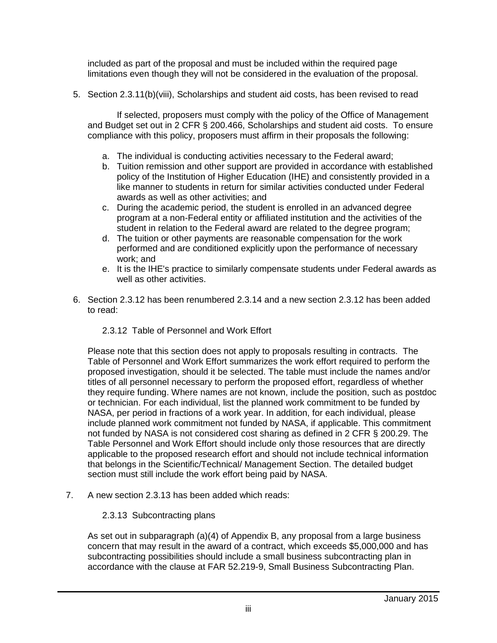included as part of the proposal and must be included within the required page limitations even though they will not be considered in the evaluation of the proposal.

5. Section 2.3.11(b)(viii), Scholarships and student aid costs, has been revised to read

If selected, proposers must comply with the policy of the Office of Management and Budget set out in 2 CFR § 200.466, Scholarships and student aid costs. To ensure compliance with this policy, proposers must affirm in their proposals the following:

- a. The individual is conducting activities necessary to the Federal award;
- b. Tuition remission and other support are provided in accordance with established policy of the Institution of Higher Education (IHE) and consistently provided in a like manner to students in return for similar activities conducted under Federal awards as well as other activities; and
- c. During the academic period, the student is enrolled in an advanced degree program at a non-Federal entity or affiliated institution and the activities of the student in relation to the Federal award are related to the degree program;
- d. The tuition or other payments are reasonable compensation for the work performed and are conditioned explicitly upon the performance of necessary work; and
- e. It is the IHE's practice to similarly compensate students under Federal awards as well as other activities.
- 6. Section 2.3.12 has been renumbered 2.3.14 and a new section 2.3.12 has been added to read:

## 2.3.12 Table of Personnel and Work Effort

Please note that this section does not apply to proposals resulting in contracts. The Table of Personnel and Work Effort summarizes the work effort required to perform the proposed investigation, should it be selected. The table must include the names and/or titles of all personnel necessary to perform the proposed effort, regardless of whether they require funding. Where names are not known, include the position, such as postdoc or technician. For each individual, list the planned work commitment to be funded by NASA, per period in fractions of a work year. In addition, for each individual, please include planned work commitment not funded by NASA, if applicable. This commitment not funded by NASA is not considered cost sharing as defined in 2 CFR § 200.29. The Table Personnel and Work Effort should include only those resources that are directly applicable to the proposed research effort and should not include technical information that belongs in the Scientific/Technical/ Management Section. The detailed budget section must still include the work effort being paid by NASA.

7. A new section 2.3.13 has been added which reads:

## 2.3.13 Subcontracting plans

As set out in subparagraph (a)(4) of Appendix B, any proposal from a large business concern that may result in the award of a contract, which exceeds \$5,000,000 and has subcontracting possibilities should include a small business subcontracting plan in accordance with the clause at FAR 52.219-9, Small Business Subcontracting Plan.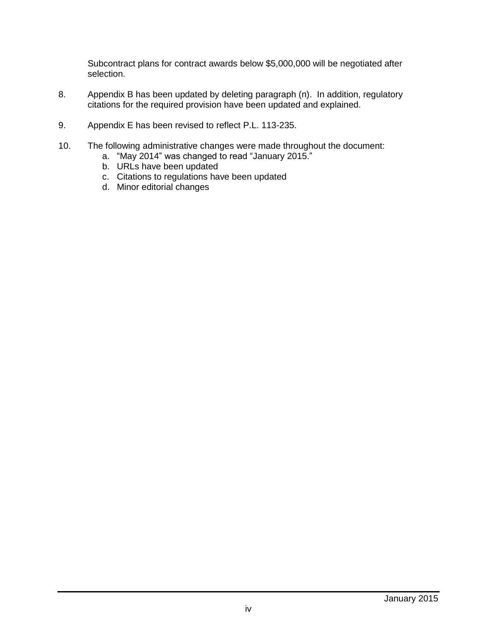Subcontract plans for contract awards below \$5,000,000 will be negotiated after selection.

- 8. Appendix B has been updated by deleting paragraph (n). In addition, regulatory citations for the required provision have been updated and explained.
- 9. Appendix E has been revised to reflect P.L. 113-235.
- 10. The following administrative changes were made throughout the document:
	- a. "May 2014" was changed to read "January 2015."
	- b. URLs have been updated
	- c. Citations to regulations have been updated
	- d. Minor editorial changes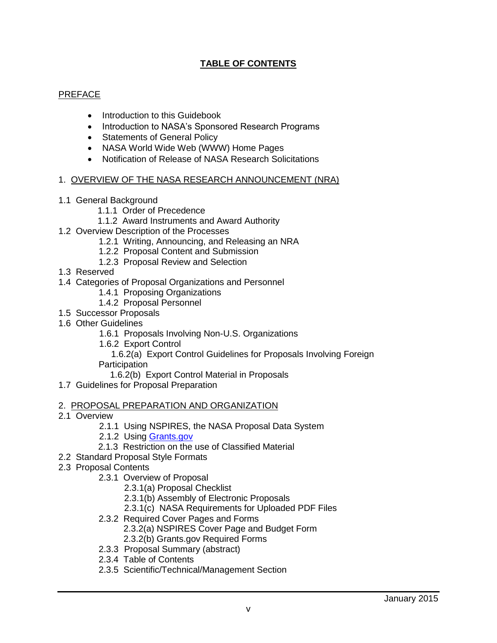# **TABLE OF CONTENTS**

## PREFACE

- Introduction to this Guidebook
- Introduction to NASA's Sponsored Research Programs
- Statements of General Policy
- NASA World Wide Web (WWW) Home Pages
- Notification of Release of NASA Research Solicitations

#### 1. OVERVIEW OF THE NASA RESEARCH ANNOUNCEMENT (NRA)

- 1.1 General Background
	- 1.1.1 Order of Precedence
	- 1.1.2 Award Instruments and Award Authority
- 1.2 Overview Description of the Processes
	- 1.2.1 Writing, Announcing, and Releasing an NRA
	- 1.2.2 Proposal Content and Submission
	- 1.2.3 Proposal Review and Selection
- 1.3 Reserved
- 1.4 Categories of Proposal Organizations and Personnel
	- 1.4.1 Proposing Organizations
	- 1.4.2 Proposal Personnel
- 1.5 Successor Proposals
- 1.6 Other Guidelines
	- 1.6.1 Proposals Involving Non-U.S. Organizations
	- 1.6.2 Export Control

 1.6.2(a) Export Control Guidelines for Proposals Involving Foreign **Participation** 

1.6.2(b) Export Control Material in Proposals

1.7 Guidelines for Proposal Preparation

#### 2. PROPOSAL PREPARATION AND ORGANIZATION

- 2.1 Overview
	- 2.1.1 Using NSPIRES, the NASA Proposal Data System
	- 2.1.2 Using [Grants.gov](http://www.grants.gov/)
	- 2.1.3 Restriction on the use of Classified Material
- 2.2 Standard Proposal Style Formats
- 2.3 Proposal Contents
	- 2.3.1 Overview of Proposal
		- 2.3.1(a) Proposal Checklist
		- 2.3.1(b) Assembly of Electronic Proposals
		- 2.3.1(c) NASA Requirements for Uploaded PDF Files
	- 2.3.2 Required Cover Pages and Forms
		- 2.3.2(a) NSPIRES Cover Page and Budget Form
		- 2.3.2(b) Grants.gov Required Forms
	- 2.3.3 Proposal Summary (abstract)
	- 2.3.4 Table of Contents
	- 2.3.5 Scientific/Technical/Management Section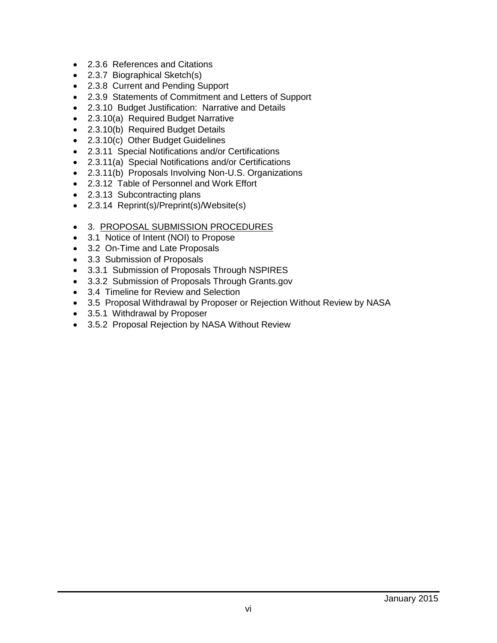- 2.3.6 References and Citations
- 2.3.7 Biographical Sketch(s)
- 2.3.8 Current and Pending Support
- 2.3.9 Statements of Commitment and Letters of Support
- 2.3.10 Budget Justification: Narrative and Details
- 2.3.10(a) Required Budget Narrative
- 2.3.10(b) Required Budget Details
- 2.3.10(c) Other Budget Guidelines
- 2.3.11 Special Notifications and/or Certifications
- 2.3.11(a) Special Notifications and/or Certifications
- 2.3.11(b) Proposals Involving Non-U.S. Organizations
- 2.3.12 Table of Personnel and Work Effort
- 2.3.13 Subcontracting plans
- 2.3.14 Reprint(s)/Preprint(s)/Website(s)
- 3. PROPOSAL SUBMISSION PROCEDURES
- 3.1 Notice of Intent (NOI) to Propose
- 3.2 On-Time and Late Proposals
- 3.3 Submission of Proposals
- 3.3.1 Submission of Proposals Through NSPIRES
- 3.3.2 Submission of Proposals Through Grants.gov
- 3.4 Timeline for Review and Selection
- 3.5 Proposal Withdrawal by Proposer or Rejection Without Review by NASA
- 3.5.1 Withdrawal by Proposer
- 3.5.2 Proposal Rejection by NASA Without Review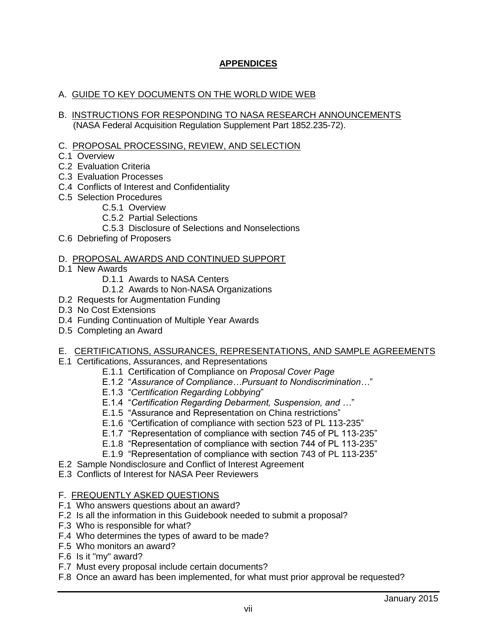# **APPENDICES**

### A. GUIDE TO KEY DOCUMENTS ON THE WORLD WIDE WEB

- B. INSTRUCTIONS FOR RESPONDING TO NASA RESEARCH ANNOUNCEMENTS (NASA Federal Acquisition Regulation Supplement Part 1852.235-72).
- C. PROPOSAL PROCESSING, REVIEW, AND SELECTION
- C.1 Overview
- C.2 Evaluation Criteria
- C.3 Evaluation Processes
- C.4 Conflicts of Interest and Confidentiality
- C.5 Selection Procedures
	- C.5.1 Overview
		- C.5.2 Partial Selections
		- C.5.3 Disclosure of Selections and Nonselections
- C.6 Debriefing of Proposers

#### D. PROPOSAL AWARDS AND CONTINUED SUPPORT

- D.1 New Awards
	- D.1.1 Awards to NASA Centers
	- D.1.2 Awards to Non-NASA Organizations
- D.2 Requests for Augmentation Funding
- D.3 No Cost Extensions
- D.4 Funding Continuation of Multiple Year Awards
- D.5 Completing an Award

#### E. CERTIFICATIONS, ASSURANCES, REPRESENTATIONS, AND SAMPLE AGREEMENTS

- E.1 Certifications, Assurances, and Representations
	- E.1.1 Certification of Compliance on *Proposal Cover Page*
	- E.1.2 "*Assurance of Compliance…Pursuant to Nondiscrimination…*"
	- E.1.3 "*Certification Regarding Lobbying*"
	- E.1.4 "*Certification Regarding Debarment, Suspension, and …*"
	- E.1.5 "Assurance and Representation on China restrictions"
	- E.1.6 "Certification of compliance with section 523 of PL 113-235"
	- E.1.7 "Representation of compliance with section 745 of PL 113-235"
	- E.1.8 "Representation of compliance with section 744 of PL 113-235"
	- E.1.9 "Representation of compliance with section 743 of PL 113-235"
- E.2 Sample Nondisclosure and Conflict of Interest Agreement
- E.3 Conflicts of Interest for NASA Peer Reviewers

#### F. FREQUENTLY ASKED QUESTIONS

- F.1 Who answers questions about an award?
- F.2 Is all the information in this Guidebook needed to submit a proposal?
- F.3 Who is responsible for what?
- F.4 Who determines the types of award to be made?
- F.5 Who monitors an award?
- F.6 Is it "my" award?
- F.7 Must every proposal include certain documents?
- F.8 Once an award has been implemented, for what must prior approval be requested?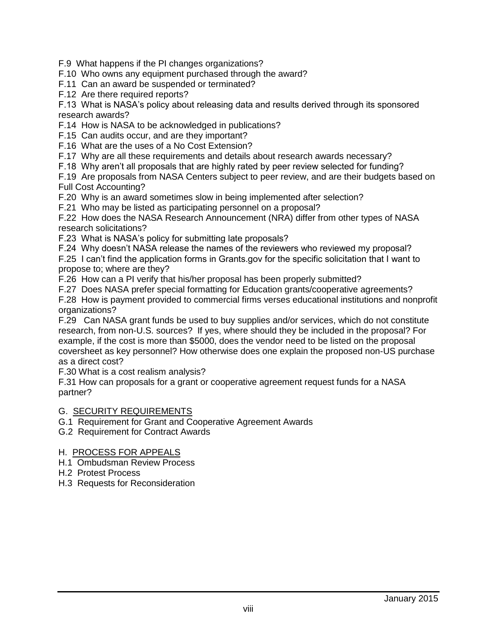- F.9 What happens if the PI changes organizations?
- F.10 Who owns any equipment purchased through the award?
- F.11 Can an award be suspended or terminated?
- F.12 Are there required reports?

F.13 What is NASA's policy about releasing data and results derived through its sponsored research awards?

F.14 How is NASA to be acknowledged in publications?

- F.15 Can audits occur, and are they important?
- F.16 What are the uses of a No Cost Extension?
- F.17 Why are all these requirements and details about research awards necessary?
- F.18 Why aren't all proposals that are highly rated by peer review selected for funding?

F.19 Are proposals from NASA Centers subject to peer review, and are their budgets based on Full Cost Accounting?

- F.20 Why is an award sometimes slow in being implemented after selection?
- F.21 Who may be listed as participating personnel on a proposal?

F.22 How does the NASA Research Announcement (NRA) differ from other types of NASA research solicitations?

- F.23 What is NASA's policy for submitting late proposals?
- F.24 Why doesn't NASA release the names of the reviewers who reviewed my proposal?
- F.25 I can't find the application forms in Grants.gov for the specific solicitation that I want to propose to; where are they?
- F.26 How can a PI verify that his/her proposal has been properly submitted?
- F.27 Does NASA prefer special formatting for Education grants/cooperative agreements?

F.28 How is payment provided to commercial firms verses educational institutions and nonprofit organizations?

F.29 Can NASA grant funds be used to buy supplies and/or services, which do not constitute research, from non-U.S. sources? If yes, where should they be included in the proposal? For example, if the cost is more than \$5000, does the vendor need to be listed on the proposal coversheet as key personnel? How otherwise does one explain the proposed non-US purchase as a direct cost?

F.30 What is a cost realism analysis?

F.31 How can proposals for a grant or cooperative agreement request funds for a NASA partner?

#### G. SECURITY REQUIREMENTS

- G.1 Requirement for Grant and Cooperative Agreement Awards
- G.2 Requirement for Contract Awards

#### H. PROCESS FOR APPEALS

- H.1 Ombudsman Review Process
- H.2 Protest Process
- H.3 Requests for Reconsideration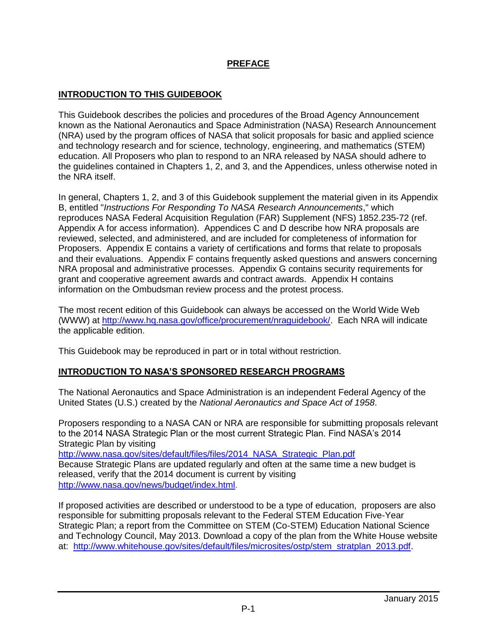## **PREFACE**

## **INTRODUCTION TO THIS GUIDEBOOK**

This Guidebook describes the policies and procedures of the Broad Agency Announcement known as the National Aeronautics and Space Administration (NASA) Research Announcement (NRA) used by the program offices of NASA that solicit proposals for basic and applied science and technology research and for science, technology, engineering, and mathematics (STEM) education. All Proposers who plan to respond to an NRA released by NASA should adhere to the guidelines contained in Chapters 1, 2, and 3, and the Appendices, unless otherwise noted in the NRA itself.

In general, Chapters 1, 2, and 3 of this Guidebook supplement the material given in its Appendix B, entitled "*Instructions For Responding To NASA Research Announcements*," which reproduces NASA Federal Acquisition Regulation (FAR) Supplement (NFS) 1852.235-72 (ref. Appendix A for access information). Appendices C and D describe how NRA proposals are reviewed, selected, and administered, and are included for completeness of information for Proposers. Appendix E contains a variety of certifications and forms that relate to proposals and their evaluations. Appendix F contains frequently asked questions and answers concerning NRA proposal and administrative processes. Appendix G contains security requirements for grant and cooperative agreement awards and contract awards. Appendix H contains information on the Ombudsman review process and the protest process.

The most recent edition of this Guidebook can always be accessed on the World Wide Web (WWW) at [http://www.hq.nasa.gov/office/procurement/nraguidebook/.](http://www.hq.nasa.gov/office/procurement/nraguidebook/) Each NRA will indicate the applicable edition.

This Guidebook may be reproduced in part or in total without restriction.

## **INTRODUCTION TO NASA'S SPONSORED RESEARCH PROGRAMS**

The National Aeronautics and Space Administration is an independent Federal Agency of the United States (U.S.) created by the *National Aeronautics and Space Act of 1958*.

Proposers responding to a NASA CAN or NRA are responsible for submitting proposals relevant to the 2014 NASA Strategic Plan or the most current Strategic Plan. Find NASA's 2014 Strategic Plan by visiting [http://www.nasa.gov/sites/default/files/files/2014\\_NASA\\_Strategic\\_Plan.pdf](http://www.nasa.gov/sites/default/files/files/2014_NASA_Strategic_Plan.pdf) Because Strategic Plans are updated regularly and often at the same time a new budget is released, verify that the 2014 document is current by visiting [http://www.nasa.gov/news/budget/index.html.](http://www.nasa.gov/news/budget/index.html)

If proposed activities are described or understood to be a type of education, proposers are also responsible for submitting proposals relevant to the Federal STEM Education Five-Year Strategic Plan; a report from the Committee on STEM (Co-STEM) Education National Science and Technology Council, May 2013. Download a copy of the plan from the White House website at: [http://www.whitehouse.gov/sites/default/files/microsites/ostp/stem\\_stratplan\\_2013.pdf.](http://www.whitehouse.gov/sites/default/files/microsites/ostp/stem_stratplan_2013.pdf)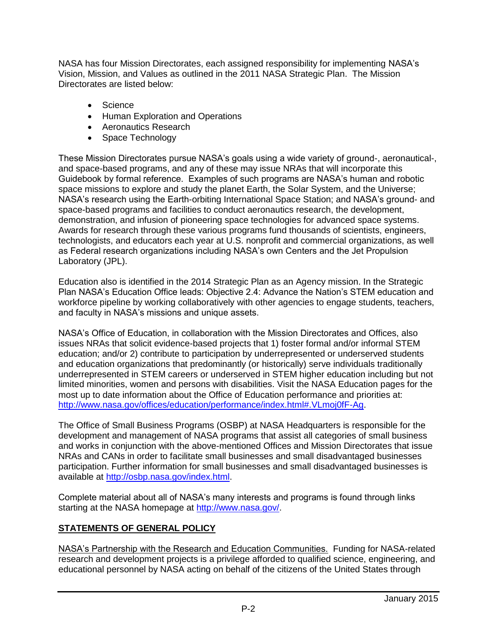NASA has four Mission Directorates, each assigned responsibility for implementing NASA's Vision, Mission, and Values as outlined in the 2011 NASA Strategic Plan. The Mission Directorates are listed below:

- Science
- Human Exploration and Operations
- Aeronautics Research
- Space Technology

These Mission Directorates pursue NASA's goals using a wide variety of ground-, aeronautical-, and space-based programs, and any of these may issue NRAs that will incorporate this Guidebook by formal reference. Examples of such programs are NASA's human and robotic space missions to explore and study the planet Earth, the Solar System, and the Universe; NASA's research using the Earth-orbiting International Space Station; and NASA's ground- and space-based programs and facilities to conduct aeronautics research, the development, demonstration, and infusion of pioneering space technologies for advanced space systems. Awards for research through these various programs fund thousands of scientists, engineers, technologists, and educators each year at U.S. nonprofit and commercial organizations, as well as Federal research organizations including NASA's own Centers and the Jet Propulsion Laboratory (JPL).

Education also is identified in the 2014 Strategic Plan as an Agency mission. In the Strategic Plan NASA's Education Office leads: Objective 2.4: Advance the Nation's STEM education and workforce pipeline by working collaboratively with other agencies to engage students, teachers, and faculty in NASA's missions and unique assets.

NASA's Office of Education, in collaboration with the Mission Directorates and Offices, also issues NRAs that solicit evidence-based projects that 1) foster formal and/or informal STEM education; and/or 2) contribute to participation by underrepresented or underserved students and education organizations that predominantly (or historically) serve individuals traditionally underrepresented in STEM careers or underserved in STEM higher education including but not limited minorities, women and persons with disabilities. Visit the NASA Education pages for the most up to date information about the Office of Education performance and priorities at: [http://www.nasa.gov/offices/education/performance/index.html#.VLmoj0fF-Ag.](http://www.nasa.gov/offices/education/performance/index.html#.VLmoj0fF-Ag)

The Office of Small Business Programs (OSBP) at NASA Headquarters is responsible for the development and management of NASA programs that assist all categories of small business and works in conjunction with the above-mentioned Offices and Mission Directorates that issue NRAs and CANs in order to facilitate small businesses and small disadvantaged businesses participation. Further information for small businesses and small disadvantaged businesses is available at [http://osbp.nasa.gov/index.html.](http://osbp.nasa.gov/index.html)

Complete material about all of NASA's many interests and programs is found through links starting at the NASA homepage at [http://www.nasa.gov/.](http://www.nasa.gov/)

# **STATEMENTS OF GENERAL POLICY**

NASA's Partnership with the Research and Education Communities. Funding for NASA-related research and development projects is a privilege afforded to qualified science, engineering, and educational personnel by NASA acting on behalf of the citizens of the United States through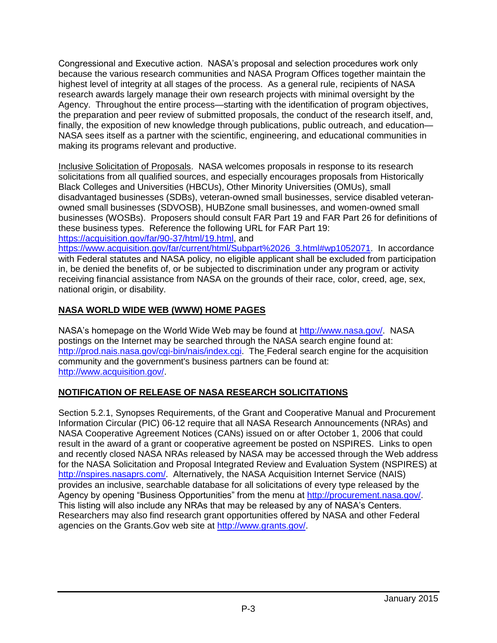Congressional and Executive action. NASA's proposal and selection procedures work only because the various research communities and NASA Program Offices together maintain the highest level of integrity at all stages of the process. As a general rule, recipients of NASA research awards largely manage their own research projects with minimal oversight by the Agency. Throughout the entire process—starting with the identification of program objectives, the preparation and peer review of submitted proposals, the conduct of the research itself, and, finally, the exposition of new knowledge through publications, public outreach, and education— NASA sees itself as a partner with the scientific, engineering, and educational communities in making its programs relevant and productive.

Inclusive Solicitation of Proposals. NASA welcomes proposals in response to its research solicitations from all qualified sources, and especially encourages proposals from Historically Black Colleges and Universities (HBCUs), Other Minority Universities (OMUs), small disadvantaged businesses (SDBs), veteran-owned small businesses, service disabled veteranowned small businesses (SDVOSB), HUBZone small businesses, and women-owned small businesses (WOSBs). Proposers should consult FAR Part 19 and FAR Part 26 for definitions of these business types. Reference the following URL for FAR Part 19: [https://acquisition.gov/far/90-37/html/19.html,](https://acquisition.gov/far/90-37/html/19.html) and

[https://www.acquisition.gov/far/current/html/Subpart%2026\\_3.html#wp1052071.](https://www.acquisition.gov/far/current/html/Subpart%2026_3.html#wp1052071) In accordance with Federal statutes and NASA policy, no eligible applicant shall be excluded from participation in, be denied the benefits of, or be subjected to discrimination under any program or activity receiving financial assistance from NASA on the grounds of their race, color, creed, age, sex, national origin, or disability.

# **NASA WORLD WIDE WEB (WWW) HOME PAGES**

NASA's homepage on the World Wide Web may be found at [http://www.nasa.gov/.](http://www.nasa.gov/) NASA postings on the Internet may be searched through the NASA search engine found at: [http://prod.nais.nasa.gov/cgi-bin/nais/index.cgi.](http://prod.nais.nasa.gov/cgi-bin/nais/index.cgi) The Federal search engine for the acquisition community and the government's business partners can be found at: [http://www.acquisition.gov/.](http://www.acquisition.gov/)

# **NOTIFICATION OF RELEASE OF NASA RESEARCH SOLICITATIONS**

Section 5.2.1, Synopses Requirements, of the Grant and Cooperative Manual and Procurement Information Circular (PIC) 06-12 require that all NASA Research Announcements (NRAs) and NASA Cooperative Agreement Notices (CANs) issued on or after October 1, 2006 that could result in the award of a grant or cooperative agreement be posted on NSPIRES. Links to open and recently closed NASA NRAs released by NASA may be accessed through the Web address for the NASA Solicitation and Proposal Integrated Review and Evaluation System (NSPIRES) at [http://nspires.nasaprs.com/.](http://nspires.nasaprs.com/) Alternatively, the NASA Acquisition Internet Service (NAIS) provides an inclusive, searchable database for all solicitations of every type released by the Agency by opening "Business Opportunities" from the menu at [http://procurement.nasa.gov/.](http://procurement.nasa.gov/) This listing will also include any NRAs that may be released by any of NASA's Centers. Researchers may also find research grant opportunities offered by NASA and other Federal agencies on the Grants.Gov web site at [http://www.grants.gov/.](http://www.grants.gov/)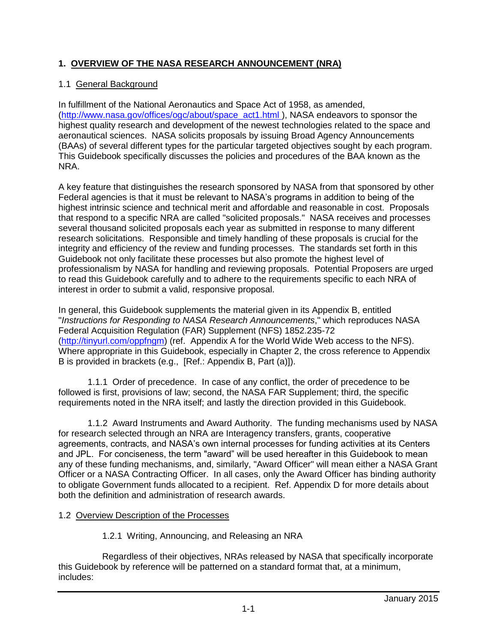# **1. OVERVIEW OF THE NASA RESEARCH ANNOUNCEMENT (NRA)**

## 1.1 General Background

In fulfillment of the National Aeronautics and Space Act of 1958, as amended, [\(http://www.nasa.gov/offices/ogc/about/space\\_act1.html](http://www.nasa.gov/offices/ogc/about/space_act1.html) ), NASA endeavors to sponsor the highest quality research and development of the newest technologies related to the space and aeronautical sciences. NASA solicits proposals by issuing Broad Agency Announcements (BAAs) of several different types for the particular targeted objectives sought by each program. This Guidebook specifically discusses the policies and procedures of the BAA known as the NRA.

A key feature that distinguishes the research sponsored by NASA from that sponsored by other Federal agencies is that it must be relevant to NASA's programs in addition to being of the highest intrinsic science and technical merit and affordable and reasonable in cost. Proposals that respond to a specific NRA are called "solicited proposals." NASA receives and processes several thousand solicited proposals each year as submitted in response to many different research solicitations. Responsible and timely handling of these proposals is crucial for the integrity and efficiency of the review and funding processes. The standards set forth in this Guidebook not only facilitate these processes but also promote the highest level of professionalism by NASA for handling and reviewing proposals. Potential Proposers are urged to read this Guidebook carefully and to adhere to the requirements specific to each NRA of interest in order to submit a valid, responsive proposal.

In general, this Guidebook supplements the material given in its Appendix B, entitled "*Instructions for Responding to NASA Research Announcements*," which reproduces NASA Federal Acquisition Regulation (FAR) Supplement (NFS) 1852.235-72 [\(http://tinyurl.com/oppfngm\)](http://tinyurl.com/oppfngm) (ref. Appendix A for the World Wide Web access to the NFS). Where appropriate in this Guidebook, especially in Chapter 2, the cross reference to Appendix B is provided in brackets (e.g., [Ref.: Appendix B, Part (a)]).

1.1.1 Order of precedence. In case of any conflict, the order of precedence to be followed is first, provisions of law; second, the NASA FAR Supplement; third, the specific requirements noted in the NRA itself; and lastly the direction provided in this Guidebook.

1.1.2 Award Instruments and Award Authority. The funding mechanisms used by NASA for research selected through an NRA are Interagency transfers, grants, cooperative agreements, contracts, and NASA's own internal processes for funding activities at its Centers and JPL. For conciseness, the term "award" will be used hereafter in this Guidebook to mean any of these funding mechanisms, and, similarly, "Award Officer" will mean either a NASA Grant Officer or a NASA Contracting Officer. In all cases, only the Award Officer has binding authority to obligate Government funds allocated to a recipient. Ref. Appendix D for more details about both the definition and administration of research awards.

## 1.2 Overview Description of the Processes

1.2.1 Writing, Announcing, and Releasing an NRA

Regardless of their objectives, NRAs released by NASA that specifically incorporate this Guidebook by reference will be patterned on a standard format that, at a minimum, includes: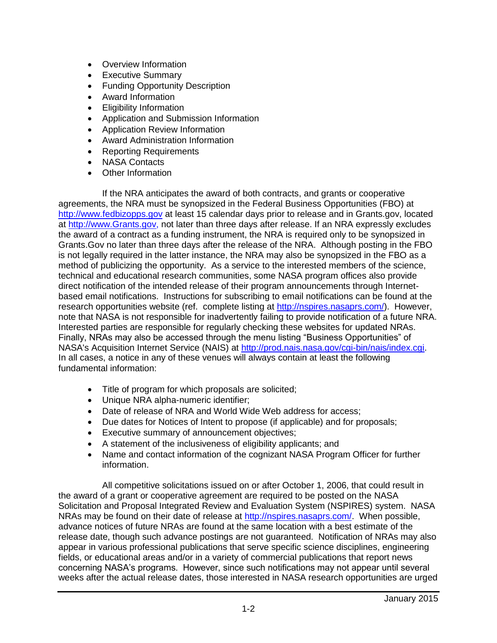- Overview Information
- Executive Summary
- Funding Opportunity Description
- Award Information
- Eligibility Information
- Application and Submission Information
- Application Review Information
- Award Administration Information
- Reporting Requirements
- NASA Contacts
- Other Information

If the NRA anticipates the award of both contracts, and grants or cooperative agreements, the NRA must be synopsized in the Federal Business Opportunities (FBO) at [http://www.fedbizopps.gov](http://www.fedbizopps.gov/) at least 15 calendar days prior to release and in Grants.gov, located at [http://www.Grants.gov,](http://www.grants.gov/) not later than three days after release. If an NRA expressly excludes the award of a contract as a funding instrument, the NRA is required only to be synopsized in Grants.Gov no later than three days after the release of the NRA. Although posting in the FBO is not legally required in the latter instance, the NRA may also be synopsized in the FBO as a method of publicizing the opportunity. As a service to the interested members of the science, technical and educational research communities, some NASA program offices also provide direct notification of the intended release of their program announcements through Internetbased email notifications. Instructions for subscribing to email notifications can be found at the research opportunities website (ref. complete listing at [http://nspires.nasaprs.com/\)](http://nspires.nasaprs.com/). However, note that NASA is not responsible for inadvertently failing to provide notification of a future NRA. Interested parties are responsible for regularly checking these websites for updated NRAs. Finally, NRAs may also be accessed through the menu listing "Business Opportunities" of NASA's Acquisition Internet Service (NAIS) at [http://prod.nais.nasa.gov/cgi-bin/nais/index.cgi.](http://prod.nais.nasa.gov/cgi-bin/nais/index.cgi) In all cases, a notice in any of these venues will always contain at least the following fundamental information:

- Title of program for which proposals are solicited;
- Unique NRA alpha-numeric identifier;
- Date of release of NRA and World Wide Web address for access;
- Due dates for Notices of Intent to propose (if applicable) and for proposals;
- Executive summary of announcement objectives;
- A statement of the inclusiveness of eligibility applicants; and
- Name and contact information of the cognizant NASA Program Officer for further information.

All competitive solicitations issued on or after October 1, 2006, that could result in the award of a grant or cooperative agreement are required to be posted on the NASA Solicitation and Proposal Integrated Review and Evaluation System (NSPIRES) system. NASA NRAs may be found on their date of release at http://nspires.nasaprs.com/ When possible, advance notices of future NRAs are found at the same location with a best estimate of the release date, though such advance postings are not guaranteed. Notification of NRAs may also appear in various professional publications that serve specific science disciplines, engineering fields, or educational areas and/or in a variety of commercial publications that report news concerning NASA's programs. However, since such notifications may not appear until several weeks after the actual release dates, those interested in NASA research opportunities are urged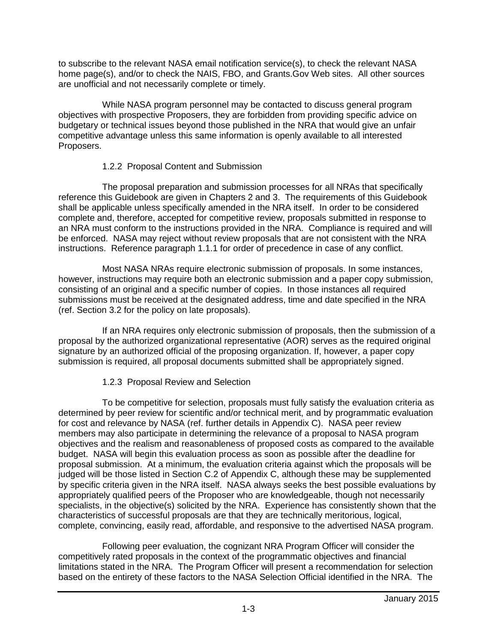to subscribe to the relevant NASA email notification service(s), to check the relevant NASA home page(s), and/or to check the NAIS, FBO, and Grants.Gov Web sites. All other sources are unofficial and not necessarily complete or timely.

While NASA program personnel may be contacted to discuss general program objectives with prospective Proposers, they are forbidden from providing specific advice on budgetary or technical issues beyond those published in the NRA that would give an unfair competitive advantage unless this same information is openly available to all interested Proposers.

## 1.2.2 Proposal Content and Submission

The proposal preparation and submission processes for all NRAs that specifically reference this Guidebook are given in Chapters 2 and 3. The requirements of this Guidebook shall be applicable unless specifically amended in the NRA itself. In order to be considered complete and, therefore, accepted for competitive review, proposals submitted in response to an NRA must conform to the instructions provided in the NRA. Compliance is required and will be enforced. NASA may reject without review proposals that are not consistent with the NRA instructions. Reference paragraph 1.1.1 for order of precedence in case of any conflict.

Most NASA NRAs require electronic submission of proposals. In some instances, however, instructions may require both an electronic submission and a paper copy submission, consisting of an original and a specific number of copies. In those instances all required submissions must be received at the designated address, time and date specified in the NRA (ref. Section 3.2 for the policy on late proposals).

If an NRA requires only electronic submission of proposals, then the submission of a proposal by the authorized organizational representative (AOR) serves as the required original signature by an authorized official of the proposing organization. If, however, a paper copy submission is required, all proposal documents submitted shall be appropriately signed.

# 1.2.3 Proposal Review and Selection

To be competitive for selection, proposals must fully satisfy the evaluation criteria as determined by peer review for scientific and/or technical merit, and by programmatic evaluation for cost and relevance by NASA (ref. further details in Appendix C). NASA peer review members may also participate in determining the relevance of a proposal to NASA program objectives and the realism and reasonableness of proposed costs as compared to the available budget. NASA will begin this evaluation process as soon as possible after the deadline for proposal submission. At a minimum, the evaluation criteria against which the proposals will be judged will be those listed in Section C.2 of Appendix C, although these may be supplemented by specific criteria given in the NRA itself. NASA always seeks the best possible evaluations by appropriately qualified peers of the Proposer who are knowledgeable, though not necessarily specialists, in the objective(s) solicited by the NRA. Experience has consistently shown that the characteristics of successful proposals are that they are technically meritorious, logical, complete, convincing, easily read, affordable, and responsive to the advertised NASA program.

Following peer evaluation, the cognizant NRA Program Officer will consider the competitively rated proposals in the context of the programmatic objectives and financial limitations stated in the NRA. The Program Officer will present a recommendation for selection based on the entirety of these factors to the NASA Selection Official identified in the NRA. The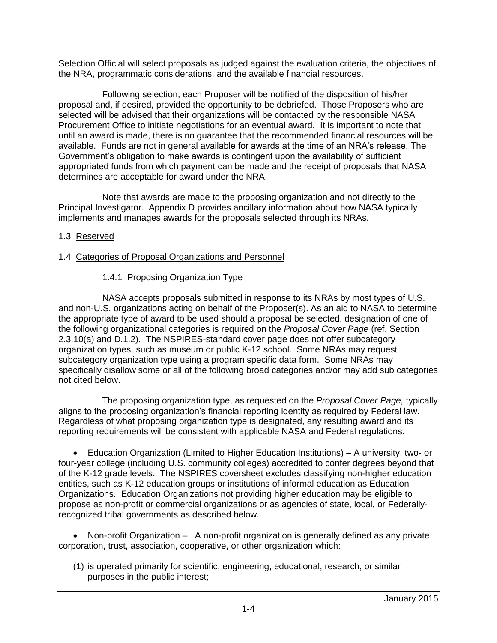Selection Official will select proposals as judged against the evaluation criteria, the objectives of the NRA, programmatic considerations, and the available financial resources.

Following selection, each Proposer will be notified of the disposition of his/her proposal and, if desired, provided the opportunity to be debriefed. Those Proposers who are selected will be advised that their organizations will be contacted by the responsible NASA Procurement Office to initiate negotiations for an eventual award. It is important to note that, until an award is made, there is no guarantee that the recommended financial resources will be available. Funds are not in general available for awards at the time of an NRA's release. The Government's obligation to make awards is contingent upon the availability of sufficient appropriated funds from which payment can be made and the receipt of proposals that NASA determines are acceptable for award under the NRA.

Note that awards are made to the proposing organization and not directly to the Principal Investigator. Appendix D provides ancillary information about how NASA typically implements and manages awards for the proposals selected through its NRAs.

## 1.3 Reserved

## 1.4 Categories of Proposal Organizations and Personnel

## 1.4.1 Proposing Organization Type

NASA accepts proposals submitted in response to its NRAs by most types of U.S. and non-U.S. organizations acting on behalf of the Proposer(s). As an aid to NASA to determine the appropriate type of award to be used should a proposal be selected, designation of one of the following organizational categories is required on the *Proposal Cover Page* (ref. Section 2.3.10(a) and D.1.2). The NSPIRES-standard cover page does not offer subcategory organization types, such as museum or public K-12 school. Some NRAs may request subcategory organization type using a program specific data form. Some NRAs may specifically disallow some or all of the following broad categories and/or may add sub categories not cited below.

The proposing organization type, as requested on the *Proposal Cover Page,* typically aligns to the proposing organization's financial reporting identity as required by Federal law. Regardless of what proposing organization type is designated, any resulting award and its reporting requirements will be consistent with applicable NASA and Federal regulations.

 Education Organization (Limited to Higher Education Institutions) – A university, two- or four-year college (including U.S. community colleges) accredited to confer degrees beyond that of the K-12 grade levels. The NSPIRES coversheet excludes classifying non-higher education entities, such as K-12 education groups or institutions of informal education as Education Organizations. Education Organizations not providing higher education may be eligible to propose as non-profit or commercial organizations or as agencies of state, local, or Federallyrecognized tribal governments as described below.

Non-profit Organization - A non-profit organization is generally defined as any private corporation, trust, association, cooperative, or other organization which:

(1) is operated primarily for scientific, engineering, educational, research, or similar purposes in the public interest;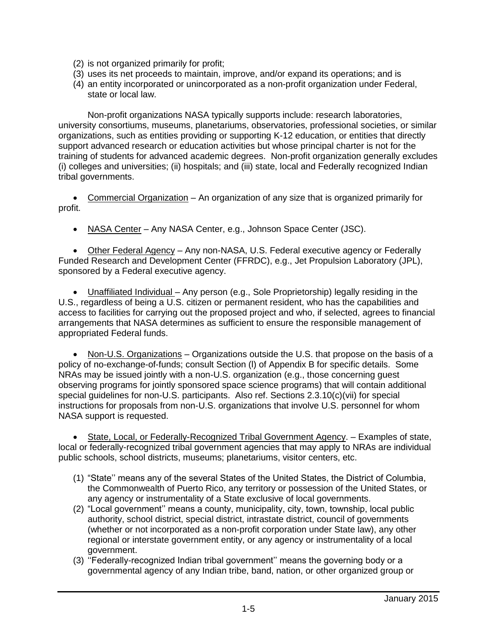- (2) is not organized primarily for profit;
- (3) uses its net proceeds to maintain, improve, and/or expand its operations; and is
- (4) an entity incorporated or unincorporated as a non-profit organization under Federal, state or local law.

Non-profit organizations NASA typically supports include: research laboratories, university consortiums, museums, planetariums, observatories, professional societies, or similar organizations, such as entities providing or supporting K-12 education, or entities that directly support advanced research or education activities but whose principal charter is not for the training of students for advanced academic degrees. Non-profit organization generally excludes (i) colleges and universities; (ii) hospitals; and (iii) state, local and Federally recognized Indian tribal governments.

 Commercial Organization – An organization of any size that is organized primarily for profit.

NASA Center – Any NASA Center, e.g., Johnson Space Center (JSC).

 Other Federal Agency – Any non-NASA, U.S. Federal executive agency or Federally Funded Research and Development Center (FFRDC), e.g., Jet Propulsion Laboratory (JPL), sponsored by a Federal executive agency.

 Unaffiliated Individual – Any person (e.g., Sole Proprietorship) legally residing in the U.S., regardless of being a U.S. citizen or permanent resident, who has the capabilities and access to facilities for carrying out the proposed project and who, if selected, agrees to financial arrangements that NASA determines as sufficient to ensure the responsible management of appropriated Federal funds.

• Non-U.S. Organizations – Organizations outside the U.S. that propose on the basis of a policy of no-exchange-of-funds; consult Section (l) of Appendix B for specific details. Some NRAs may be issued jointly with a non-U.S. organization (e.g., those concerning guest observing programs for jointly sponsored space science programs) that will contain additional special guidelines for non-U.S. participants. Also ref. Sections 2.3.10(c)(vii) for special instructions for proposals from non-U.S. organizations that involve U.S. personnel for whom NASA support is requested.

 State, Local, or Federally-Recognized Tribal Government Agency. – Examples of state, local or federally-recognized tribal government agencies that may apply to NRAs are individual public schools, school districts, museums; planetariums, visitor centers, etc.

- (1) "State'' means any of the several States of the United States, the District of Columbia, the Commonwealth of Puerto Rico, any territory or possession of the United States, or any agency or instrumentality of a State exclusive of local governments.
- (2) "Local government'' means a county, municipality, city, town, township, local public authority, school district, special district, intrastate district, council of governments (whether or not incorporated as a non-profit corporation under State law), any other regional or interstate government entity, or any agency or instrumentality of a local government.
- (3) ''Federally-recognized Indian tribal government'' means the governing body or a governmental agency of any Indian tribe, band, nation, or other organized group or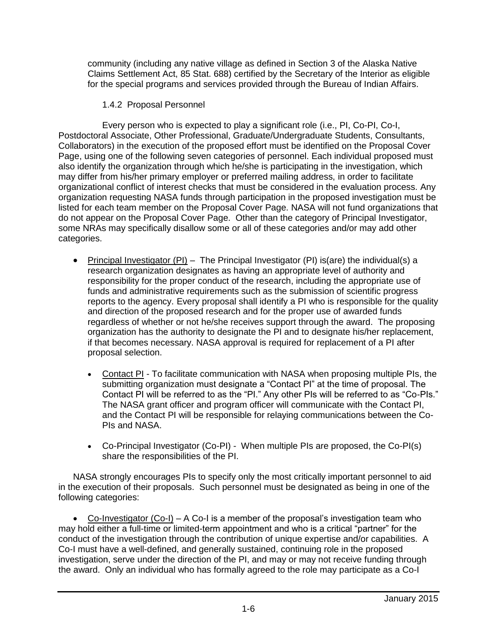community (including any native village as defined in Section 3 of the Alaska Native Claims Settlement Act, 85 Stat. 688) certified by the Secretary of the Interior as eligible for the special programs and services provided through the Bureau of Indian Affairs.

## 1.4.2 Proposal Personnel

Every person who is expected to play a significant role (i.e., PI, Co-PI, Co-I, Postdoctoral Associate, Other Professional, Graduate/Undergraduate Students, Consultants, Collaborators) in the execution of the proposed effort must be identified on the Proposal Cover Page, using one of the following seven categories of personnel. Each individual proposed must also identify the organization through which he/she is participating in the investigation, which may differ from his/her primary employer or preferred mailing address, in order to facilitate organizational conflict of interest checks that must be considered in the evaluation process. Any organization requesting NASA funds through participation in the proposed investigation must be listed for each team member on the Proposal Cover Page. NASA will not fund organizations that do not appear on the Proposal Cover Page. Other than the category of Principal Investigator, some NRAs may specifically disallow some or all of these categories and/or may add other categories.

- Principal Investigator (PI) The Principal Investigator (PI) is(are) the individual(s) a research organization designates as having an appropriate level of authority and responsibility for the proper conduct of the research, including the appropriate use of funds and administrative requirements such as the submission of scientific progress reports to the agency. Every proposal shall identify a PI who is responsible for the quality and direction of the proposed research and for the proper use of awarded funds regardless of whether or not he/she receives support through the award. The proposing organization has the authority to designate the PI and to designate his/her replacement, if that becomes necessary. NASA approval is required for replacement of a PI after proposal selection.
	- Contact PI To facilitate communication with NASA when proposing multiple PIs, the submitting organization must designate a "Contact PI" at the time of proposal. The Contact PI will be referred to as the "PI." Any other PIs will be referred to as "Co-PIs." The NASA grant officer and program officer will communicate with the Contact PI, and the Contact PI will be responsible for relaying communications between the Co-PIs and NASA.
	- Co-Principal Investigator (Co-PI) When multiple PIs are proposed, the Co-PI(s) share the responsibilities of the PI.

NASA strongly encourages PIs to specify only the most critically important personnel to aid in the execution of their proposals. Such personnel must be designated as being in one of the following categories:

• Co-Investigator  $(Co-I) - A Co-I$  is a member of the proposal's investigation team who may hold either a full-time or limited-term appointment and who is a critical "partner" for the conduct of the investigation through the contribution of unique expertise and/or capabilities. A Co-I must have a well-defined, and generally sustained, continuing role in the proposed investigation, serve under the direction of the PI, and may or may not receive funding through the award. Only an individual who has formally agreed to the role may participate as a Co-I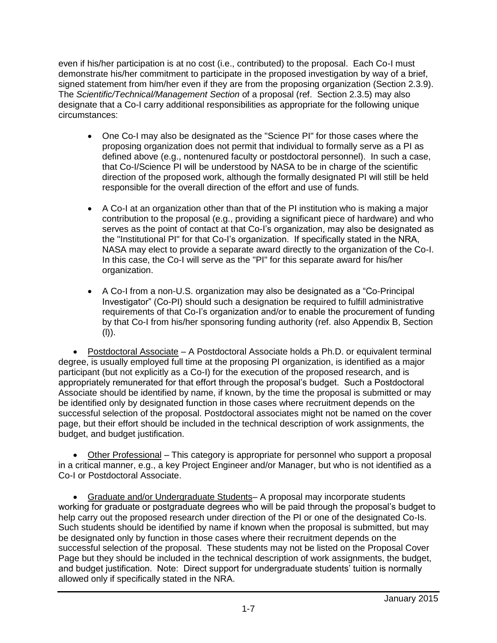even if his/her participation is at no cost (i.e., contributed) to the proposal. Each Co-I must demonstrate his/her commitment to participate in the proposed investigation by way of a brief, signed statement from him/her even if they are from the proposing organization (Section 2.3.9). The *Scientific/Technical/Management Section* of a proposal (ref. Section 2.3.5) may also designate that a Co-I carry additional responsibilities as appropriate for the following unique circumstances:

- One Co-I may also be designated as the "Science PI" for those cases where the proposing organization does not permit that individual to formally serve as a PI as defined above (e.g., nontenured faculty or postdoctoral personnel). In such a case, that Co-I/Science PI will be understood by NASA to be in charge of the scientific direction of the proposed work, although the formally designated PI will still be held responsible for the overall direction of the effort and use of funds.
- A Co-I at an organization other than that of the PI institution who is making a major contribution to the proposal (e.g., providing a significant piece of hardware) and who serves as the point of contact at that Co-I's organization, may also be designated as the "Institutional PI" for that Co-I's organization. If specifically stated in the NRA, NASA may elect to provide a separate award directly to the organization of the Co-I. In this case, the Co-I will serve as the "PI" for this separate award for his/her organization.
- A Co-I from a non-U.S. organization may also be designated as a "Co-Principal Investigator" (Co-PI) should such a designation be required to fulfill administrative requirements of that Co-I's organization and/or to enable the procurement of funding by that Co-I from his/her sponsoring funding authority (ref. also Appendix B, Section (l)).

 Postdoctoral Associate – A Postdoctoral Associate holds a Ph.D. or equivalent terminal degree, is usually employed full time at the proposing PI organization, is identified as a major participant (but not explicitly as a Co-I) for the execution of the proposed research, and is appropriately remunerated for that effort through the proposal's budget. Such a Postdoctoral Associate should be identified by name, if known, by the time the proposal is submitted or may be identified only by designated function in those cases where recruitment depends on the successful selection of the proposal. Postdoctoral associates might not be named on the cover page, but their effort should be included in the technical description of work assignments, the budget, and budget justification.

 Other Professional – This category is appropriate for personnel who support a proposal in a critical manner, e.g., a key Project Engineer and/or Manager, but who is not identified as a Co-I or Postdoctoral Associate.

 Graduate and/or Undergraduate Students– A proposal may incorporate students working for graduate or postgraduate degrees who will be paid through the proposal's budget to help carry out the proposed research under direction of the PI or one of the designated Co-Is. Such students should be identified by name if known when the proposal is submitted, but may be designated only by function in those cases where their recruitment depends on the successful selection of the proposal. These students may not be listed on the Proposal Cover Page but they should be included in the technical description of work assignments, the budget, and budget justification. Note: Direct support for undergraduate students' tuition is normally allowed only if specifically stated in the NRA.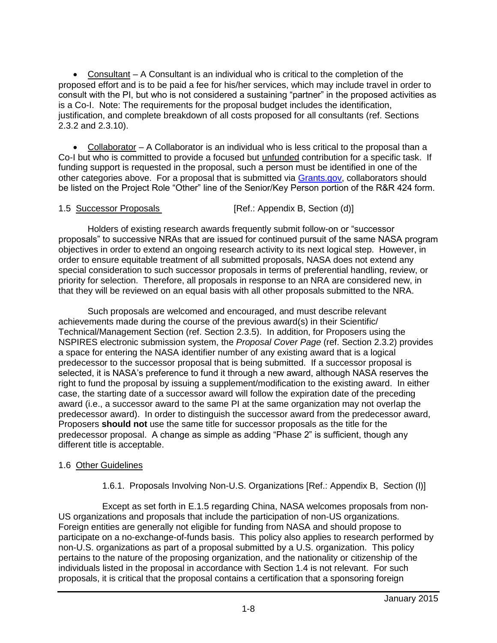Consultant – A Consultant is an individual who is critical to the completion of the proposed effort and is to be paid a fee for his/her services, which may include travel in order to consult with the PI, but who is not considered a sustaining "partner" in the proposed activities as is a Co-I. Note: The requirements for the proposal budget includes the identification, justification, and complete breakdown of all costs proposed for all consultants (ref. Sections 2.3.2 and 2.3.10).

 Collaborator – A Collaborator is an individual who is less critical to the proposal than a Co-I but who is committed to provide a focused but unfunded contribution for a specific task. If funding support is requested in the proposal, such a person must be identified in one of the other categories above. For a proposal that is submitted via [Grants.gov,](http://grants.gov/) collaborators should be listed on the Project Role "Other" line of the Senior/Key Person portion of the R&R 424 form.

## 1.5 Successor Proposals [Ref.: Appendix B, Section (d)]

Holders of existing research awards frequently submit follow-on or "successor proposals" to successive NRAs that are issued for continued pursuit of the same NASA program objectives in order to extend an ongoing research activity to its next logical step. However, in order to ensure equitable treatment of all submitted proposals, NASA does not extend any special consideration to such successor proposals in terms of preferential handling, review, or priority for selection. Therefore, all proposals in response to an NRA are considered new, in that they will be reviewed on an equal basis with all other proposals submitted to the NRA.

Such proposals are welcomed and encouraged, and must describe relevant achievements made during the course of the previous award(s) in their Scientific/ Technical/Management Section (ref. Section 2.3.5). In addition, for Proposers using the NSPIRES electronic submission system, the *Proposal Cover Page* (ref. Section 2.3.2) provides a space for entering the NASA identifier number of any existing award that is a logical predecessor to the successor proposal that is being submitted. If a successor proposal is selected, it is NASA's preference to fund it through a new award, although NASA reserves the right to fund the proposal by issuing a supplement/modification to the existing award. In either case, the starting date of a successor award will follow the expiration date of the preceding award (i.e., a successor award to the same PI at the same organization may not overlap the predecessor award). In order to distinguish the successor award from the predecessor award, Proposers **should not** use the same title for successor proposals as the title for the predecessor proposal. A change as simple as adding "Phase 2" is sufficient, though any different title is acceptable.

## 1.6 Other Guidelines

1.6.1. Proposals Involving Non-U.S. Organizations [Ref.: Appendix B, Section (l)]

Except as set forth in E.1.5 regarding China, NASA welcomes proposals from non-US organizations and proposals that include the participation of non-US organizations. Foreign entities are generally not eligible for funding from NASA and should propose to participate on a no-exchange-of-funds basis. This policy also applies to research performed by non-U.S. organizations as part of a proposal submitted by a U.S. organization. This policy pertains to the nature of the proposing organization, and the nationality or citizenship of the individuals listed in the proposal in accordance with Section 1.4 is not relevant. For such proposals, it is critical that the proposal contains a certification that a sponsoring foreign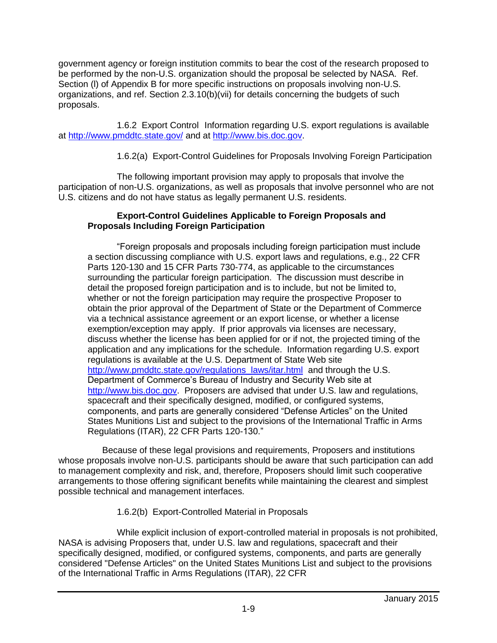government agency or foreign institution commits to bear the cost of the research proposed to be performed by the non-U.S. organization should the proposal be selected by NASA. Ref. Section (l) of Appendix B for more specific instructions on proposals involving non-U.S. organizations, and ref. Section 2.3.10(b)(vii) for details concerning the budgets of such proposals.

1.6.2 Export Control Information regarding U.S. export regulations is available at<http://www.pmddtc.state.gov/> and at [http://www.bis.doc.gov.](http://www.bis.doc.gov/)

1.6.2(a) Export-Control Guidelines for Proposals Involving Foreign Participation

The following important provision may apply to proposals that involve the participation of non-U.S. organizations, as well as proposals that involve personnel who are not U.S. citizens and do not have status as legally permanent U.S. residents.

# **Export-Control Guidelines Applicable to Foreign Proposals and Proposals Including Foreign Participation**

"Foreign proposals and proposals including foreign participation must include a section discussing compliance with U.S. export laws and regulations, e.g., 22 CFR Parts 120-130 and 15 CFR Parts 730-774, as applicable to the circumstances surrounding the particular foreign participation. The discussion must describe in detail the proposed foreign participation and is to include, but not be limited to, whether or not the foreign participation may require the prospective Proposer to obtain the prior approval of the Department of State or the Department of Commerce via a technical assistance agreement or an export license, or whether a license exemption/exception may apply. If prior approvals via licenses are necessary, discuss whether the license has been applied for or if not, the projected timing of the application and any implications for the schedule. Information regarding U.S. export regulations is available at the U.S. Department of State Web site [http://www.pmddtc.state.gov/regulations\\_laws/itar.html](http://www.pmddtc.state.gov/regulations_laws/itar.html) and through the U.S. Department of Commerce's Bureau of Industry and Security Web site at [http://www.bis.doc.gov.](http://www.bis.doc.gov/) Proposers are advised that under U.S. law and regulations, spacecraft and their specifically designed, modified, or configured systems, components, and parts are generally considered "Defense Articles" on the United States Munitions List and subject to the provisions of the International Traffic in Arms Regulations (ITAR), 22 CFR Parts 120-130."

Because of these legal provisions and requirements, Proposers and institutions whose proposals involve non-U.S. participants should be aware that such participation can add to management complexity and risk, and, therefore, Proposers should limit such cooperative arrangements to those offering significant benefits while maintaining the clearest and simplest possible technical and management interfaces.

1.6.2(b) Export-Controlled Material in Proposals

While explicit inclusion of export-controlled material in proposals is not prohibited, NASA is advising Proposers that, under U.S. law and regulations, spacecraft and their specifically designed, modified, or configured systems, components, and parts are generally considered "Defense Articles" on the United States Munitions List and subject to the provisions of the International Traffic in Arms Regulations (ITAR), 22 CFR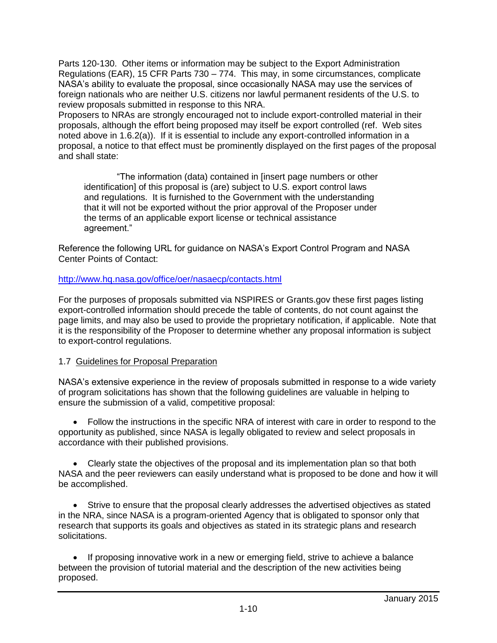Parts 120-130. Other items or information may be subject to the Export Administration Regulations (EAR), 15 CFR Parts 730 – 774. This may, in some circumstances, complicate NASA's ability to evaluate the proposal, since occasionally NASA may use the services of foreign nationals who are neither U.S. citizens nor lawful permanent residents of the U.S. to review proposals submitted in response to this NRA.

Proposers to NRAs are strongly encouraged not to include export-controlled material in their proposals, although the effort being proposed may itself be export controlled (ref. Web sites noted above in 1.6.2(a)). If it is essential to include any export-controlled information in a proposal, a notice to that effect must be prominently displayed on the first pages of the proposal and shall state:

"The information (data) contained in [insert page numbers or other identification] of this proposal is (are) subject to U.S. export control laws and regulations. It is furnished to the Government with the understanding that it will not be exported without the prior approval of the Proposer under the terms of an applicable export license or technical assistance agreement."

Reference the following URL for guidance on NASA's Export Control Program and NASA Center Points of Contact:

## <http://www.hq.nasa.gov/office/oer/nasaecp/contacts.html>

For the purposes of proposals submitted via NSPIRES or Grants.gov these first pages listing export-controlled information should precede the table of contents, do not count against the page limits, and may also be used to provide the proprietary notification, if applicable. Note that it is the responsibility of the Proposer to determine whether any proposal information is subject to export-control regulations.

# 1.7 Guidelines for Proposal Preparation

NASA's extensive experience in the review of proposals submitted in response to a wide variety of program solicitations has shown that the following guidelines are valuable in helping to ensure the submission of a valid, competitive proposal:

 Follow the instructions in the specific NRA of interest with care in order to respond to the opportunity as published, since NASA is legally obligated to review and select proposals in accordance with their published provisions.

 Clearly state the objectives of the proposal and its implementation plan so that both NASA and the peer reviewers can easily understand what is proposed to be done and how it will be accomplished.

 Strive to ensure that the proposal clearly addresses the advertised objectives as stated in the NRA, since NASA is a program-oriented Agency that is obligated to sponsor only that research that supports its goals and objectives as stated in its strategic plans and research solicitations.

 If proposing innovative work in a new or emerging field, strive to achieve a balance between the provision of tutorial material and the description of the new activities being proposed.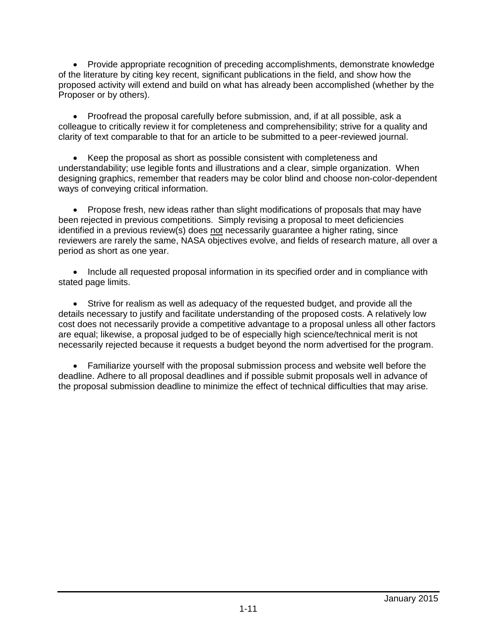Provide appropriate recognition of preceding accomplishments, demonstrate knowledge of the literature by citing key recent, significant publications in the field, and show how the proposed activity will extend and build on what has already been accomplished (whether by the Proposer or by others).

 Proofread the proposal carefully before submission, and, if at all possible, ask a colleague to critically review it for completeness and comprehensibility; strive for a quality and clarity of text comparable to that for an article to be submitted to a peer-reviewed journal.

 Keep the proposal as short as possible consistent with completeness and understandability; use legible fonts and illustrations and a clear, simple organization. When designing graphics, remember that readers may be color blind and choose non-color-dependent ways of conveying critical information.

• Propose fresh, new ideas rather than slight modifications of proposals that may have been rejected in previous competitions. Simply revising a proposal to meet deficiencies identified in a previous review(s) does not necessarily guarantee a higher rating, since reviewers are rarely the same, NASA objectives evolve, and fields of research mature, all over a period as short as one year.

• Include all requested proposal information in its specified order and in compliance with stated page limits.

 Strive for realism as well as adequacy of the requested budget, and provide all the details necessary to justify and facilitate understanding of the proposed costs. A relatively low cost does not necessarily provide a competitive advantage to a proposal unless all other factors are equal; likewise, a proposal judged to be of especially high science/technical merit is not necessarily rejected because it requests a budget beyond the norm advertised for the program.

 Familiarize yourself with the proposal submission process and website well before the deadline. Adhere to all proposal deadlines and if possible submit proposals well in advance of the proposal submission deadline to minimize the effect of technical difficulties that may arise.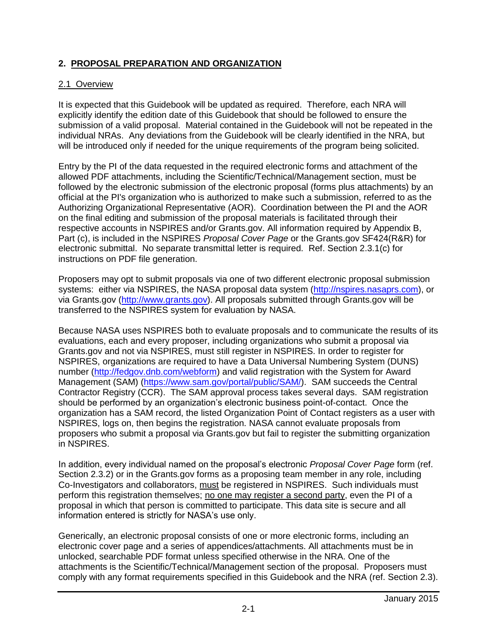# **2. PROPOSAL PREPARATION AND ORGANIZATION**

## 2.1 Overview

It is expected that this Guidebook will be updated as required. Therefore, each NRA will explicitly identify the edition date of this Guidebook that should be followed to ensure the submission of a valid proposal. Material contained in the Guidebook will not be repeated in the individual NRAs. Any deviations from the Guidebook will be clearly identified in the NRA, but will be introduced only if needed for the unique requirements of the program being solicited.

Entry by the PI of the data requested in the required electronic forms and attachment of the allowed PDF attachments, including the Scientific/Technical/Management section, must be followed by the electronic submission of the electronic proposal (forms plus attachments) by an official at the PI's organization who is authorized to make such a submission, referred to as the Authorizing Organizational Representative (AOR). Coordination between the PI and the AOR on the final editing and submission of the proposal materials is facilitated through their respective accounts in NSPIRES and/or Grants.gov. All information required by Appendix B, Part (c), is included in the NSPIRES *Proposal Cover Page* or the Grants.gov SF424(R&R) for electronic submittal. No separate transmittal letter is required. Ref. Section 2.3.1(c) for instructions on PDF file generation.

Proposers may opt to submit proposals via one of two different electronic proposal submission systems: either via NSPIRES, the NASA proposal data system [\(http://nspires.nasaprs.com\)](http://nspires.nasaprs.com/), or via Grants.gov [\(http://www.grants.gov\)](http://www.grants.gov/). All proposals submitted through Grants.gov will be transferred to the NSPIRES system for evaluation by NASA.

Because NASA uses NSPIRES both to evaluate proposals and to communicate the results of its evaluations, each and every proposer, including organizations who submit a proposal via Grants.gov and not via NSPIRES, must still register in NSPIRES. In order to register for NSPIRES, organizations are required to have a Data Universal Numbering System (DUNS) number [\(http://fedgov.dnb.com/webform\)](http://fedgov.dnb.com/webform) and valid registration with the System for Award Management (SAM) [\(https://www.sam.gov/portal/public/SAM/\)](https://www.sam.gov/portal/public/SAM/). SAM succeeds the Central Contractor Registry (CCR). The SAM approval process takes several days. SAM registration should be performed by an organization's electronic business point-of-contact. Once the organization has a SAM record, the listed Organization Point of Contact registers as a user with NSPIRES, logs on, then begins the registration. NASA cannot evaluate proposals from proposers who submit a proposal via Grants.gov but fail to register the submitting organization in NSPIRES.

In addition, every individual named on the proposal's electronic *Proposal Cover Page* form (ref. Section 2.3.2) or in the Grants.gov forms as a proposing team member in any role, including Co-Investigators and collaborators, must be registered in NSPIRES. Such individuals must perform this registration themselves; no one may register a second party, even the PI of a proposal in which that person is committed to participate. This data site is secure and all information entered is strictly for NASA's use only.

Generically, an electronic proposal consists of one or more electronic forms, including an electronic cover page and a series of appendices/attachments. All attachments must be in unlocked, searchable PDF format unless specified otherwise in the NRA. One of the attachments is the Scientific/Technical/Management section of the proposal. Proposers must comply with any format requirements specified in this Guidebook and the NRA (ref. Section 2.3).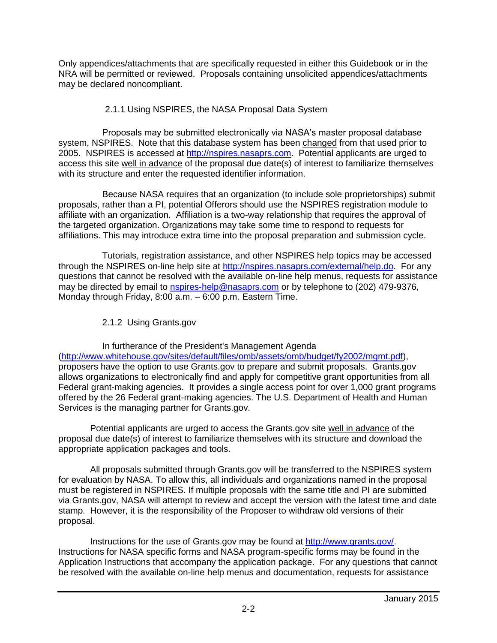Only appendices/attachments that are specifically requested in either this Guidebook or in the NRA will be permitted or reviewed. Proposals containing unsolicited appendices/attachments may be declared noncompliant.

## 2.1.1 Using NSPIRES, the NASA Proposal Data System

Proposals may be submitted electronically via NASA's master proposal database system, NSPIRES. Note that this database system has been changed from that used prior to 2005. NSPIRES is accessed at [http://nspires.nasaprs.com.](http://nspires.nasaprs.com/) Potential applicants are urged to access this site well in advance of the proposal due date(s) of interest to familiarize themselves with its structure and enter the requested identifier information.

Because NASA requires that an organization (to include sole proprietorships) submit proposals, rather than a PI, potential Offerors should use the NSPIRES registration module to affiliate with an organization. Affiliation is a two-way relationship that requires the approval of the targeted organization. Organizations may take some time to respond to requests for affiliations. This may introduce extra time into the proposal preparation and submission cycle.

Tutorials, registration assistance, and other NSPIRES help topics may be accessed through the NSPIRES on-line help site at [http://nspires.nasaprs.com/external/help.do.](http://nspires.nasaprs.com/external/help.do) For any questions that cannot be resolved with the available on-line help menus, requests for assistance may be directed by email to [nspires-help@nasaprs.com](mailto:nspires-help@nasaprs.com) or by telephone to (202) 479-9376, Monday through Friday, 8:00 a.m. – 6:00 p.m. Eastern Time.

2.1.2 Using Grants.gov

In furtherance of the President's Management Agenda [\(http://www.whitehouse.gov/sites/default/files/omb/assets/omb/budget/fy2002/mgmt.pdf\)](http://www.whitehouse.gov/sites/default/files/omb/assets/omb/budget/fy2002/mgmt.pdf), proposers have the option to use Grants.gov to prepare and submit proposals. Grants.gov allows organizations to electronically find and apply for competitive grant opportunities from all Federal grant-making agencies. It provides a single access point for over 1,000 grant programs offered by the 26 Federal grant-making agencies. The U.S. Department of Health and Human Services is the managing partner for Grants.gov.

Potential applicants are urged to access the Grants.gov site well in advance of the proposal due date(s) of interest to familiarize themselves with its structure and download the appropriate application packages and tools.

All proposals submitted through Grants.gov will be transferred to the NSPIRES system for evaluation by NASA. To allow this, all individuals and organizations named in the proposal must be registered in NSPIRES. If multiple proposals with the same title and PI are submitted via Grants.gov, NASA will attempt to review and accept the version with the latest time and date stamp. However, it is the responsibility of the Proposer to withdraw old versions of their proposal.

Instructions for the use of Grants.gov may be found at [http://www.grants.gov/.](http://www.grants.gov/) Instructions for NASA specific forms and NASA program-specific forms may be found in the Application Instructions that accompany the application package. For any questions that cannot be resolved with the available on-line help menus and documentation, requests for assistance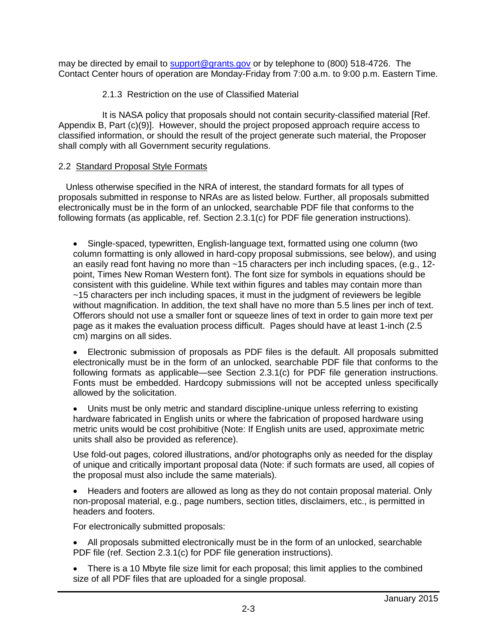may be directed by email to [support@grants.gov](mailto:support@grants.gov) or by telephone to (800) 518-4726. The Contact Center hours of operation are Monday-Friday from 7:00 a.m. to 9:00 p.m. Eastern Time.

## 2.1.3 Restriction on the use of Classified Material

It is NASA policy that proposals should not contain security-classified material [Ref. Appendix B, Part (c)(9)]. However, should the project proposed approach require access to classified information, or should the result of the project generate such material, the Proposer shall comply with all Government security regulations.

### 2.2 Standard Proposal Style Formats

 Unless otherwise specified in the NRA of interest, the standard formats for all types of proposals submitted in response to NRAs are as listed below. Further, all proposals submitted electronically must be in the form of an unlocked, searchable PDF file that conforms to the following formats (as applicable, ref. Section 2.3.1(c) for PDF file generation instructions).

 Single-spaced, typewritten, English-language text, formatted using one column (two column formatting is only allowed in hard-copy proposal submissions, see below), and using an easily read font having no more than ~15 characters per inch including spaces, (e.g., 12 point, Times New Roman Western font). The font size for symbols in equations should be consistent with this guideline. While text within figures and tables may contain more than ~15 characters per inch including spaces, it must in the judgment of reviewers be legible without magnification. In addition, the text shall have no more than 5.5 lines per inch of text. Offerors should not use a smaller font or squeeze lines of text in order to gain more text per page as it makes the evaluation process difficult. Pages should have at least 1-inch (2.5 cm) margins on all sides.

 Electronic submission of proposals as PDF files is the default. All proposals submitted electronically must be in the form of an unlocked, searchable PDF file that conforms to the following formats as applicable—see Section 2.3.1(c) for PDF file generation instructions. Fonts must be embedded. Hardcopy submissions will not be accepted unless specifically allowed by the solicitation.

 Units must be only metric and standard discipline-unique unless referring to existing hardware fabricated in English units or where the fabrication of proposed hardware using metric units would be cost prohibitive (Note: If English units are used, approximate metric units shall also be provided as reference).

Use fold-out pages, colored illustrations, and/or photographs only as needed for the display of unique and critically important proposal data (Note: if such formats are used, all copies of the proposal must also include the same materials).

 Headers and footers are allowed as long as they do not contain proposal material. Only non-proposal material, e.g., page numbers, section titles, disclaimers, etc., is permitted in headers and footers.

For electronically submitted proposals:

- All proposals submitted electronically must be in the form of an unlocked, searchable PDF file (ref. Section 2.3.1(c) for PDF file generation instructions).
- There is a 10 Mbyte file size limit for each proposal; this limit applies to the combined size of all PDF files that are uploaded for a single proposal.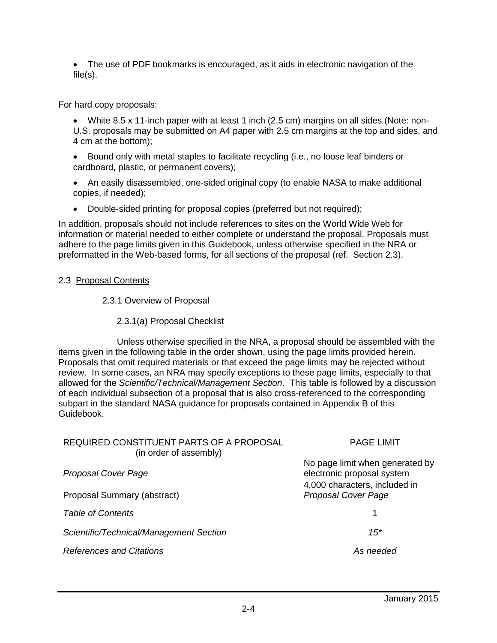The use of PDF bookmarks is encouraged, as it aids in electronic navigation of the file(s).

For hard copy proposals:

 White 8.5 x 11-inch paper with at least 1 inch (2.5 cm) margins on all sides (Note: non-U.S. proposals may be submitted on A4 paper with 2.5 cm margins at the top and sides, and 4 cm at the bottom);

• Bound only with metal staples to facilitate recycling (i.e., no loose leaf binders or cardboard, plastic, or permanent covers);

- An easily disassembled, one-sided original copy (to enable NASA to make additional copies, if needed);
- Double-sided printing for proposal copies (preferred but not required);

In addition, proposals should not include references to sites on the World Wide Web for information or material needed to either complete or understand the proposal. Proposals must adhere to the page limits given in this Guidebook, unless otherwise specified in the NRA or preformatted in the Web-based forms, for all sections of the proposal (ref. Section 2.3).

## 2.3 Proposal Contents

## 2.3.1 Overview of Proposal

2.3.1(a) Proposal Checklist

Unless otherwise specified in the NRA, a proposal should be assembled with the items given in the following table in the order shown, using the page limits provided herein. Proposals that omit required materials or that exceed the page limits may be rejected without review. In some cases, an NRA may specify exceptions to these page limits, especially to that allowed for the *Scientific/Technical/Management Section*. This table is followed by a discussion of each individual subsection of a proposal that is also cross-referenced to the corresponding subpart in the standard NASA guidance for proposals contained in Appendix B of this Guidebook.

| REQUIRED CONSTITUENT PARTS OF A PROPOSAL<br>(in order of assembly) | <b>PAGE LIMIT</b>                                                                              |  |
|--------------------------------------------------------------------|------------------------------------------------------------------------------------------------|--|
| <b>Proposal Cover Page</b>                                         | No page limit when generated by<br>electronic proposal system<br>4,000 characters, included in |  |
| Proposal Summary (abstract)                                        | Proposal Cover Page                                                                            |  |
| <b>Table of Contents</b>                                           |                                                                                                |  |
| Scientific/Technical/Management Section                            | $15*$                                                                                          |  |
| <b>References and Citations</b>                                    | As needed                                                                                      |  |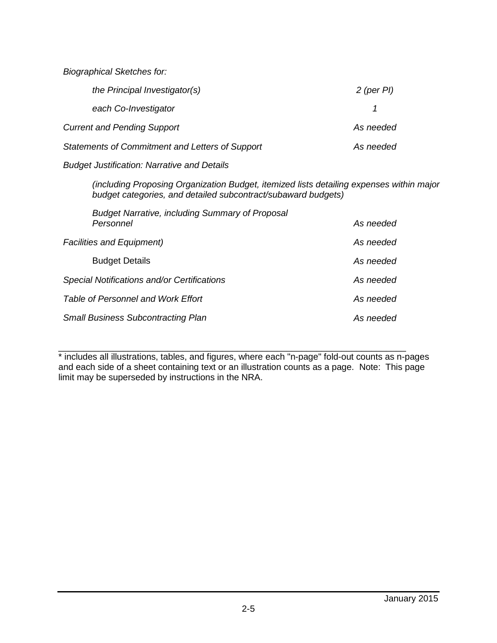*Biographical Sketches for:*

| the Principal Investigator(s)                   | $2$ (per PI) |
|-------------------------------------------------|--------------|
| each Co-Investigator                            |              |
| <b>Current and Pending Support</b>              | As needed    |
| Statements of Commitment and Letters of Support | As needed    |

#### *Budget Justification: Narrative and Details*

*(including Proposing Organization Budget, itemized lists detailing expenses within major budget categories, and detailed subcontract/subaward budgets)*

| <b>Budget Narrative, including Summary of Proposal</b><br>Personnel | As needed |
|---------------------------------------------------------------------|-----------|
| <b>Facilities and Equipment)</b>                                    | As needed |
| <b>Budget Details</b>                                               | As needed |
| Special Notifications and/or Certifications                         | As needed |
| Table of Personnel and Work Effort                                  | As needed |
| <b>Small Business Subcontracting Plan</b>                           | As needed |

\_\_\_\_\_\_\_\_\_\_\_\_\_\_\_\_\_\_\_\_\_\_\_\_\_\_\_\_\_\_\_\_\_\_\_\_\_\_\_\_\_\_\_\_\_\_\_\_\_\_\_\_\_\_\_\_\_\_\_\_\_\_\_\_\_\_\_\_\_\_ \* includes all illustrations, tables, and figures, where each "n-page" fold-out counts as n-pages and each side of a sheet containing text or an illustration counts as a page. Note: This page limit may be superseded by instructions in the NRA.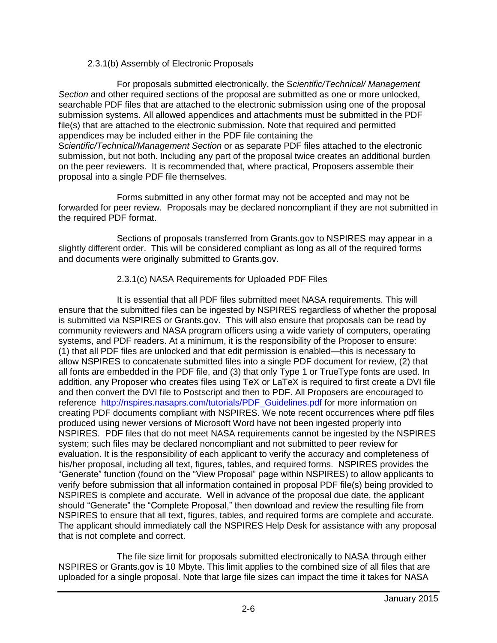## 2.3.1(b) Assembly of Electronic Proposals

For proposals submitted electronically, the S*cientific/Technical/ Management Section* and other required sections of the proposal are submitted as one or more unlocked, searchable PDF files that are attached to the electronic submission using one of the proposal submission systems. All allowed appendices and attachments must be submitted in the PDF file(s) that are attached to the electronic submission. Note that required and permitted appendices may be included either in the PDF file containing the S*cientific/Technical/Management Section* or as separate PDF files attached to the electronic submission, but not both. Including any part of the proposal twice creates an additional burden on the peer reviewers. It is recommended that, where practical, Proposers assemble their proposal into a single PDF file themselves.

Forms submitted in any other format may not be accepted and may not be forwarded for peer review. Proposals may be declared noncompliant if they are not submitted in the required PDF format.

Sections of proposals transferred from Grants.gov to NSPIRES may appear in a slightly different order. This will be considered compliant as long as all of the required forms and documents were originally submitted to Grants.gov.

## 2.3.1(c) NASA Requirements for Uploaded PDF Files

It is essential that all PDF files submitted meet NASA requirements. This will ensure that the submitted files can be ingested by NSPIRES regardless of whether the proposal is submitted via NSPIRES or Grants.gov. This will also ensure that proposals can be read by community reviewers and NASA program officers using a wide variety of computers, operating systems, and PDF readers. At a minimum, it is the responsibility of the Proposer to ensure: (1) that all PDF files are unlocked and that edit permission is enabled—this is necessary to allow NSPIRES to concatenate submitted files into a single PDF document for review, (2) that all fonts are embedded in the PDF file, and (3) that only Type 1 or TrueType fonts are used. In addition, any Proposer who creates files using TeX or LaTeX is required to first create a DVI file and then convert the DVI file to Postscript and then to PDF. All Proposers are encouraged to reference http://nspires.nasaprs.com/tutorials/PDF Guidelines.pdf for more information on creating PDF documents compliant with NSPIRES. We note recent occurrences where pdf files produced using newer versions of Microsoft Word have not been ingested properly into NSPIRES. PDF files that do not meet NASA requirements cannot be ingested by the NSPIRES system; such files may be declared noncompliant and not submitted to peer review for evaluation. It is the responsibility of each applicant to verify the accuracy and completeness of his/her proposal, including all text, figures, tables, and required forms. NSPIRES provides the "Generate" function (found on the "View Proposal" page within NSPIRES) to allow applicants to verify before submission that all information contained in proposal PDF file(s) being provided to NSPIRES is complete and accurate. Well in advance of the proposal due date, the applicant should "Generate" the "Complete Proposal," then download and review the resulting file from NSPIRES to ensure that all text, figures, tables, and required forms are complete and accurate. The applicant should immediately call the NSPIRES Help Desk for assistance with any proposal that is not complete and correct.

The file size limit for proposals submitted electronically to NASA through either NSPIRES or Grants.gov is 10 Mbyte. This limit applies to the combined size of all files that are uploaded for a single proposal. Note that large file sizes can impact the time it takes for NASA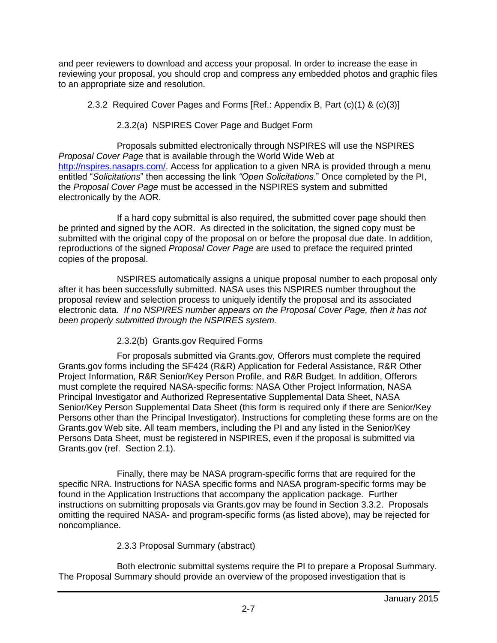and peer reviewers to download and access your proposal. In order to increase the ease in reviewing your proposal, you should crop and compress any embedded photos and graphic files to an appropriate size and resolution.

2.3.2 Required Cover Pages and Forms [Ref.: Appendix B, Part (c)(1) & (c)(3)]

2.3.2(a) NSPIRES Cover Page and Budget Form

Proposals submitted electronically through NSPIRES will use the NSPIRES *Proposal Cover Page* that is available through the World Wide Web at [http://nspires.nasaprs.com/.](http://nspires.nasaprs.com/) Access for application to a given NRA is provided through a menu entitled "*Solicitations*" then accessing the link *"Open Solicitations*." Once completed by the PI, the *Proposal Cover Page* must be accessed in the NSPIRES system and submitted electronically by the AOR.

If a hard copy submittal is also required, the submitted cover page should then be printed and signed by the AOR. As directed in the solicitation, the signed copy must be submitted with the original copy of the proposal on or before the proposal due date. In addition, reproductions of the signed *Proposal Cover Page* are used to preface the required printed copies of the proposal.

NSPIRES automatically assigns a unique proposal number to each proposal only after it has been successfully submitted. NASA uses this NSPIRES number throughout the proposal review and selection process to uniquely identify the proposal and its associated electronic data. *If no NSPIRES number appears on the Proposal Cover Page, then it has not been properly submitted through the NSPIRES system.*

2.3.2(b) Grants.gov Required Forms

For proposals submitted via Grants.gov, Offerors must complete the required Grants.gov forms including the SF424 (R&R) Application for Federal Assistance, R&R Other Project Information, R&R Senior/Key Person Profile, and R&R Budget. In addition, Offerors must complete the required NASA-specific forms: NASA Other Project Information, NASA Principal Investigator and Authorized Representative Supplemental Data Sheet, NASA Senior/Key Person Supplemental Data Sheet (this form is required only if there are Senior/Key Persons other than the Principal Investigator). Instructions for completing these forms are on the Grants.gov Web site. All team members, including the PI and any listed in the Senior/Key Persons Data Sheet, must be registered in NSPIRES, even if the proposal is submitted via Grants.gov (ref. Section 2.1).

Finally, there may be NASA program-specific forms that are required for the specific NRA. Instructions for NASA specific forms and NASA program-specific forms may be found in the Application Instructions that accompany the application package. Further instructions on submitting proposals via Grants.gov may be found in Section 3.3.2. Proposals omitting the required NASA- and program-specific forms (as listed above), may be rejected for noncompliance.

# 2.3.3 Proposal Summary (abstract)

Both electronic submittal systems require the PI to prepare a Proposal Summary. The Proposal Summary should provide an overview of the proposed investigation that is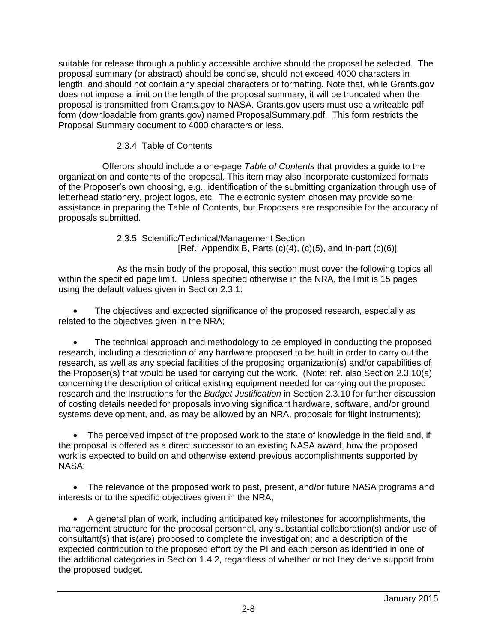suitable for release through a publicly accessible archive should the proposal be selected. The proposal summary (or abstract) should be concise, should not exceed 4000 characters in length, and should not contain any special characters or formatting. Note that, while Grants.gov does not impose a limit on the length of the proposal summary, it will be truncated when the proposal is transmitted from Grants.gov to NASA. Grants.gov users must use a writeable pdf form (downloadable from grants.gov) named ProposalSummary.pdf. This form restricts the Proposal Summary document to 4000 characters or less.

## 2.3.4 Table of Contents

Offerors should include a one-page *Table of Contents* that provides a guide to the organization and contents of the proposal. This item may also incorporate customized formats of the Proposer's own choosing, e.g., identification of the submitting organization through use of letterhead stationery, project logos, etc. The electronic system chosen may provide some assistance in preparing the Table of Contents, but Proposers are responsible for the accuracy of proposals submitted.

> 2.3.5 Scientific/Technical/Management Section [Ref.: Appendix B, Parts  $(c)(4)$ ,  $(c)(5)$ , and in-part  $(c)(6)$ ]

As the main body of the proposal, this section must cover the following topics all within the specified page limit. Unless specified otherwise in the NRA, the limit is 15 pages using the default values given in Section 2.3.1:

 The objectives and expected significance of the proposed research, especially as related to the objectives given in the NRA;

 The technical approach and methodology to be employed in conducting the proposed research, including a description of any hardware proposed to be built in order to carry out the research, as well as any special facilities of the proposing organization(s) and/or capabilities of the Proposer(s) that would be used for carrying out the work. (Note: ref. also Section 2.3.10(a) concerning the description of critical existing equipment needed for carrying out the proposed research and the Instructions for the *Budget Justification* in Section 2.3.10 for further discussion of costing details needed for proposals involving significant hardware, software, and/or ground systems development, and, as may be allowed by an NRA, proposals for flight instruments);

 The perceived impact of the proposed work to the state of knowledge in the field and, if the proposal is offered as a direct successor to an existing NASA award, how the proposed work is expected to build on and otherwise extend previous accomplishments supported by NASA;

• The relevance of the proposed work to past, present, and/or future NASA programs and interests or to the specific objectives given in the NRA;

 A general plan of work, including anticipated key milestones for accomplishments, the management structure for the proposal personnel, any substantial collaboration(s) and/or use of consultant(s) that is(are) proposed to complete the investigation; and a description of the expected contribution to the proposed effort by the PI and each person as identified in one of the additional categories in Section 1.4.2, regardless of whether or not they derive support from the proposed budget.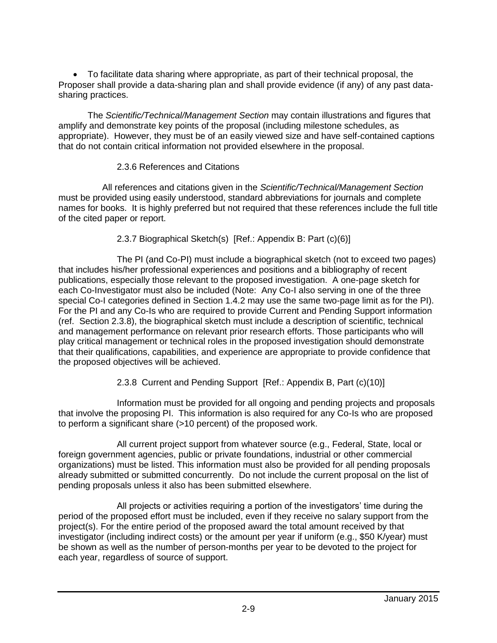To facilitate data sharing where appropriate, as part of their technical proposal, the Proposer shall provide a data-sharing plan and shall provide evidence (if any) of any past datasharing practices.

The *Scientific/Technical/Management Section* may contain illustrations and figures that amplify and demonstrate key points of the proposal (including milestone schedules, as appropriate). However, they must be of an easily viewed size and have self-contained captions that do not contain critical information not provided elsewhere in the proposal.

## 2.3.6 References and Citations

All references and citations given in the *Scientific/Technical/Management Section* must be provided using easily understood, standard abbreviations for journals and complete names for books. It is highly preferred but not required that these references include the full title of the cited paper or report.

2.3.7 Biographical Sketch(s) [Ref.: Appendix B: Part (c)(6)]

The PI (and Co-PI) must include a biographical sketch (not to exceed two pages) that includes his/her professional experiences and positions and a bibliography of recent publications, especially those relevant to the proposed investigation. A one-page sketch for each Co-Investigator must also be included (Note: Any Co-I also serving in one of the three special Co-I categories defined in Section 1.4.2 may use the same two-page limit as for the PI). For the PI and any Co-Is who are required to provide Current and Pending Support information (ref. Section 2.3.8), the biographical sketch must include a description of scientific, technical and management performance on relevant prior research efforts. Those participants who will play critical management or technical roles in the proposed investigation should demonstrate that their qualifications, capabilities, and experience are appropriate to provide confidence that the proposed objectives will be achieved.

2.3.8 Current and Pending Support [Ref.: Appendix B, Part (c)(10)]

Information must be provided for all ongoing and pending projects and proposals that involve the proposing PI. This information is also required for any Co-Is who are proposed to perform a significant share (>10 percent) of the proposed work.

All current project support from whatever source (e.g., Federal, State, local or foreign government agencies, public or private foundations, industrial or other commercial organizations) must be listed. This information must also be provided for all pending proposals already submitted or submitted concurrently. Do not include the current proposal on the list of pending proposals unless it also has been submitted elsewhere.

All projects or activities requiring a portion of the investigators' time during the period of the proposed effort must be included, even if they receive no salary support from the project(s). For the entire period of the proposed award the total amount received by that investigator (including indirect costs) or the amount per year if uniform (e.g., \$50 K/year) must be shown as well as the number of person-months per year to be devoted to the project for each year, regardless of source of support.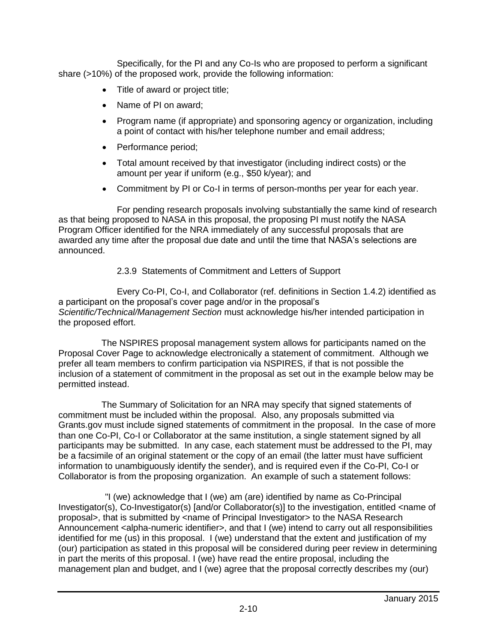Specifically, for the PI and any Co-Is who are proposed to perform a significant share (>10%) of the proposed work, provide the following information:

- Title of award or project title;
- Name of PI on award:
- Program name (if appropriate) and sponsoring agency or organization, including a point of contact with his/her telephone number and email address;
- Performance period;
- Total amount received by that investigator (including indirect costs) or the amount per year if uniform (e.g., \$50 k/year); and
- Commitment by PI or Co-I in terms of person-months per year for each year.

For pending research proposals involving substantially the same kind of research as that being proposed to NASA in this proposal, the proposing PI must notify the NASA Program Officer identified for the NRA immediately of any successful proposals that are awarded any time after the proposal due date and until the time that NASA's selections are announced.

## 2.3.9 Statements of Commitment and Letters of Support

Every Co-PI, Co-I, and Collaborator (ref. definitions in Section 1.4.2) identified as a participant on the proposal's cover page and/or in the proposal's *Scientific/Technical/Management Section* must acknowledge his/her intended participation in the proposed effort.

 The NSPIRES proposal management system allows for participants named on the Proposal Cover Page to acknowledge electronically a statement of commitment. Although we prefer all team members to confirm participation via NSPIRES, if that is not possible the inclusion of a statement of commitment in the proposal as set out in the example below may be permitted instead.

 The Summary of Solicitation for an NRA may specify that signed statements of commitment must be included within the proposal. Also, any proposals submitted via Grants.gov must include signed statements of commitment in the proposal. In the case of more than one Co-PI, Co-I or Collaborator at the same institution, a single statement signed by all participants may be submitted. In any case, each statement must be addressed to the PI, may be a facsimile of an original statement or the copy of an email (the latter must have sufficient information to unambiguously identify the sender), and is required even if the Co-PI, Co-I or Collaborator is from the proposing organization. An example of such a statement follows:

 "I (we) acknowledge that I (we) am (are) identified by name as Co-Principal Investigator(s), Co-Investigator(s) [and/or Collaborator(s)] to the investigation, entitled <name of proposal>, that is submitted by <name of Principal Investigator> to the NASA Research Announcement <alpha-numeric identifier>, and that I (we) intend to carry out all responsibilities identified for me (us) in this proposal. I (we) understand that the extent and justification of my (our) participation as stated in this proposal will be considered during peer review in determining in part the merits of this proposal. I (we) have read the entire proposal, including the management plan and budget, and I (we) agree that the proposal correctly describes my (our)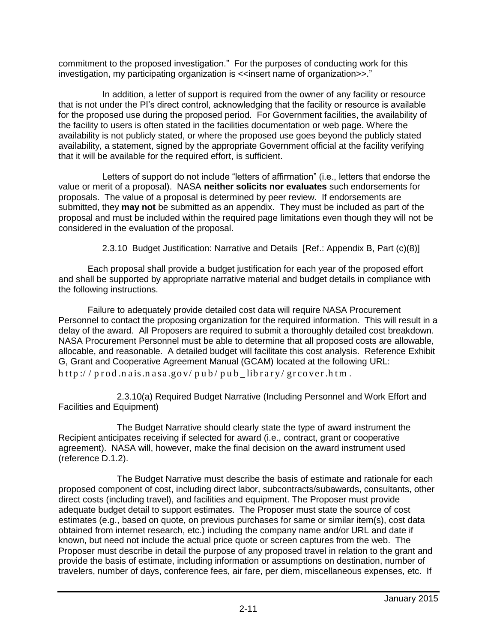commitment to the proposed investigation." For the purposes of conducting work for this investigation, my participating organization is <<insert name of organization>>."

In addition, a letter of support is required from the owner of any facility or resource that is not under the PI's direct control, acknowledging that the facility or resource is available for the proposed use during the proposed period. For Government facilities, the availability of the facility to users is often stated in the facilities documentation or web page. Where the availability is not publicly stated, or where the proposed use goes beyond the publicly stated availability, a statement, signed by the appropriate Government official at the facility verifying that it will be available for the required effort, is sufficient.

Letters of support do not include "letters of affirmation" (i.e., letters that endorse the value or merit of a proposal). NASA **neither solicits nor evaluates** such endorsements for proposals. The value of a proposal is determined by peer review. If endorsements are submitted, they **may not** be submitted as an appendix. They must be included as part of the proposal and must be included within the required page limitations even though they will not be considered in the evaluation of the proposal.

2.3.10 Budget Justification: Narrative and Details [Ref.: Appendix B, Part (c)(8)]

Each proposal shall provide a budget justification for each year of the proposed effort and shall be supported by appropriate narrative material and budget details in compliance with the following instructions.

Failure to adequately provide detailed cost data will require NASA Procurement Personnel to contact the proposing organization for the required information. This will result in a delay of the award. All Proposers are required to submit a thoroughly detailed cost breakdown. NASA Procurement Personnel must be able to determine that all proposed costs are allowable, allocable, and reasonable. A detailed budget will facilitate this cost analysis. Reference Exhibit G, Grant and Cooperative Agreement Manual (GCAM) located at the following URL:  $http://prod.n axis.n as a.gov/pub/pub$  library/grcover.htm.

2.3.10(a) Required Budget Narrative (Including Personnel and Work Effort and Facilities and Equipment)

The Budget Narrative should clearly state the type of award instrument the Recipient anticipates receiving if selected for award (i.e., contract, grant or cooperative agreement). NASA will, however, make the final decision on the award instrument used (reference D.1.2).

The Budget Narrative must describe the basis of estimate and rationale for each proposed component of cost, including direct labor, subcontracts/subawards, consultants, other direct costs (including travel), and facilities and equipment. The Proposer must provide adequate budget detail to support estimates. The Proposer must state the source of cost estimates (e.g., based on quote, on previous purchases for same or similar item(s), cost data obtained from internet research, etc.) including the company name and/or URL and date if known, but need not include the actual price quote or screen captures from the web. The Proposer must describe in detail the purpose of any proposed travel in relation to the grant and provide the basis of estimate, including information or assumptions on destination, number of travelers, number of days, conference fees, air fare, per diem, miscellaneous expenses, etc. If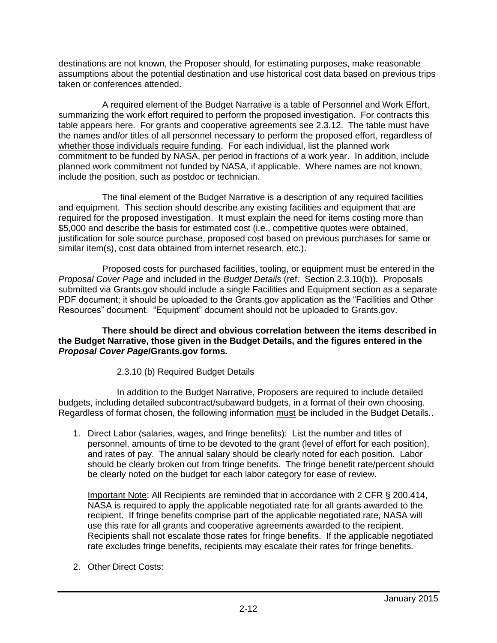destinations are not known, the Proposer should, for estimating purposes, make reasonable assumptions about the potential destination and use historical cost data based on previous trips taken or conferences attended.

A required element of the Budget Narrative is a table of Personnel and Work Effort, summarizing the work effort required to perform the proposed investigation. For contracts this table appears here. For grants and cooperative agreements see 2.3.12. The table must have the names and/or titles of all personnel necessary to perform the proposed effort, regardless of whether those individuals require funding. For each individual, list the planned work commitment to be funded by NASA, per period in fractions of a work year. In addition, include planned work commitment not funded by NASA, if applicable. Where names are not known, include the position, such as postdoc or technician.

The final element of the Budget Narrative is a description of any required facilities and equipment. This section should describe any existing facilities and equipment that are required for the proposed investigation. It must explain the need for items costing more than \$5,000 and describe the basis for estimated cost (i.e., competitive quotes were obtained, justification for sole source purchase, proposed cost based on previous purchases for same or similar item(s), cost data obtained from internet research, etc.).

Proposed costs for purchased facilities, tooling, or equipment must be entered in the *Proposal Cover Page* and included in the *Budget Details* (ref. Section 2.3.10(b)). Proposals submitted via Grants.gov should include a single Facilities and Equipment section as a separate PDF document; it should be uploaded to the Grants.gov application as the "Facilities and Other Resources" document. "Equipment" document should not be uploaded to Grants.gov.

**There should be direct and obvious correlation between the items described in the Budget Narrative, those given in the Budget Details, and the figures entered in the**  *Proposal Cover Page***/Grants.gov forms.**

## 2.3.10 (b) Required Budget Details

In addition to the Budget Narrative, Proposers are required to include detailed budgets, including detailed subcontract/subaward budgets, in a format of their own choosing. Regardless of format chosen, the following information must be included in the Budget Details*.*.

1. Direct Labor (salaries, wages, and fringe benefits): List the number and titles of personnel, amounts of time to be devoted to the grant (level of effort for each position), and rates of pay. The annual salary should be clearly noted for each position. Labor should be clearly broken out from fringe benefits. The fringe benefit rate/percent should be clearly noted on the budget for each labor category for ease of review.

Important Note: All Recipients are reminded that in accordance with 2 CFR § 200.414, NASA is required to apply the applicable negotiated rate for all grants awarded to the recipient. If fringe benefits comprise part of the applicable negotiated rate, NASA will use this rate for all grants and cooperative agreements awarded to the recipient. Recipients shall not escalate those rates for fringe benefits. If the applicable negotiated rate excludes fringe benefits, recipients may escalate their rates for fringe benefits.

2. Other Direct Costs: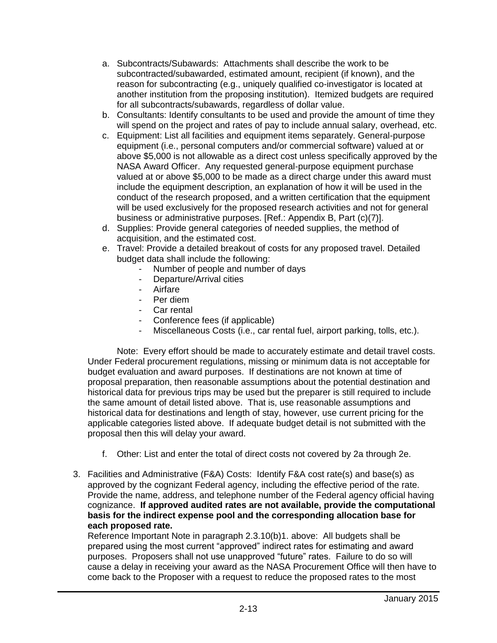- a. Subcontracts/Subawards: Attachments shall describe the work to be subcontracted/subawarded, estimated amount, recipient (if known), and the reason for subcontracting (e.g., uniquely qualified co-investigator is located at another institution from the proposing institution). Itemized budgets are required for all subcontracts/subawards, regardless of dollar value.
- b. Consultants: Identify consultants to be used and provide the amount of time they will spend on the project and rates of pay to include annual salary, overhead, etc.
- c. Equipment: List all facilities and equipment items separately. General-purpose equipment (i.e., personal computers and/or commercial software) valued at or above \$5,000 is not allowable as a direct cost unless specifically approved by the NASA Award Officer. Any requested general-purpose equipment purchase valued at or above \$5,000 to be made as a direct charge under this award must include the equipment description, an explanation of how it will be used in the conduct of the research proposed, and a written certification that the equipment will be used exclusively for the proposed research activities and not for general business or administrative purposes. [Ref.: Appendix B, Part (c)(7)].
- d. Supplies: Provide general categories of needed supplies, the method of acquisition, and the estimated cost.
- e. Travel: Provide a detailed breakout of costs for any proposed travel. Detailed budget data shall include the following:
	- Number of people and number of days
	- Departure/Arrival cities
	- Airfare
	- Per diem
	- Car rental
	- Conference fees (if applicable)
	- Miscellaneous Costs (i.e., car rental fuel, airport parking, tolls, etc.).

Note: Every effort should be made to accurately estimate and detail travel costs. Under Federal procurement regulations, missing or minimum data is not acceptable for budget evaluation and award purposes. If destinations are not known at time of proposal preparation, then reasonable assumptions about the potential destination and historical data for previous trips may be used but the preparer is still required to include the same amount of detail listed above. That is, use reasonable assumptions and historical data for destinations and length of stay, however, use current pricing for the applicable categories listed above. If adequate budget detail is not submitted with the proposal then this will delay your award.

- f. Other: List and enter the total of direct costs not covered by 2a through 2e.
- 3. Facilities and Administrative (F&A) Costs: Identify F&A cost rate(s) and base(s) as approved by the cognizant Federal agency, including the effective period of the rate. Provide the name, address, and telephone number of the Federal agency official having cognizance. **If approved audited rates are not available, provide the computational basis for the indirect expense pool and the corresponding allocation base for each proposed rate.**

Reference Important Note in paragraph 2.3.10(b)1. above: All budgets shall be prepared using the most current "approved" indirect rates for estimating and award purposes. Proposers shall not use unapproved "future" rates. Failure to do so will cause a delay in receiving your award as the NASA Procurement Office will then have to come back to the Proposer with a request to reduce the proposed rates to the most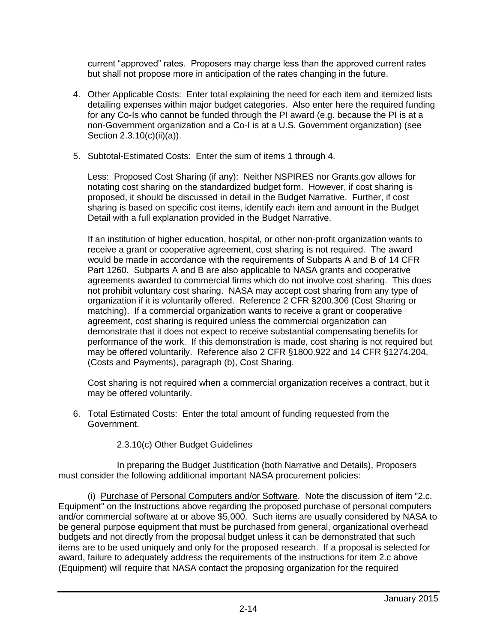current "approved" rates. Proposers may charge less than the approved current rates but shall not propose more in anticipation of the rates changing in the future.

- 4. Other Applicable Costs: Enter total explaining the need for each item and itemized lists detailing expenses within major budget categories. Also enter here the required funding for any Co-Is who cannot be funded through the PI award (e.g. because the PI is at a non-Government organization and a Co-I is at a U.S. Government organization) (see Section 2.3.10(c)(ii)(a)).
- 5. Subtotal-Estimated Costs: Enter the sum of items 1 through 4.

Less: Proposed Cost Sharing (if any): Neither NSPIRES nor Grants.gov allows for notating cost sharing on the standardized budget form. However, if cost sharing is proposed, it should be discussed in detail in the Budget Narrative. Further, if cost sharing is based on specific cost items, identify each item and amount in the Budget Detail with a full explanation provided in the Budget Narrative.

If an institution of higher education, hospital, or other non-profit organization wants to receive a grant or cooperative agreement, cost sharing is not required. The award would be made in accordance with the requirements of Subparts A and B of 14 CFR Part 1260. Subparts A and B are also applicable to NASA grants and cooperative agreements awarded to commercial firms which do not involve cost sharing. This does not prohibit voluntary cost sharing. NASA may accept cost sharing from any type of organization if it is voluntarily offered. Reference 2 CFR §200.306 (Cost Sharing or matching). If a commercial organization wants to receive a grant or cooperative agreement, cost sharing is required unless the commercial organization can demonstrate that it does not expect to receive substantial compensating benefits for performance of the work. If this demonstration is made, cost sharing is not required but may be offered voluntarily. Reference also 2 CFR §1800.922 and 14 CFR §1274.204, (Costs and Payments), paragraph (b), Cost Sharing.

Cost sharing is not required when a commercial organization receives a contract, but it may be offered voluntarily.

- 6. Total Estimated Costs: Enter the total amount of funding requested from the Government.
	- 2.3.10(c) Other Budget Guidelines

In preparing the Budget Justification (both Narrative and Details), Proposers must consider the following additional important NASA procurement policies:

(i) Purchase of Personal Computers and/or Software. Note the discussion of item "2.c. Equipment" on the Instructions above regarding the proposed purchase of personal computers and/or commercial software at or above \$5,000. Such items are usually considered by NASA to be general purpose equipment that must be purchased from general, organizational overhead budgets and not directly from the proposal budget unless it can be demonstrated that such items are to be used uniquely and only for the proposed research. If a proposal is selected for award, failure to adequately address the requirements of the instructions for item 2.c above (Equipment) will require that NASA contact the proposing organization for the required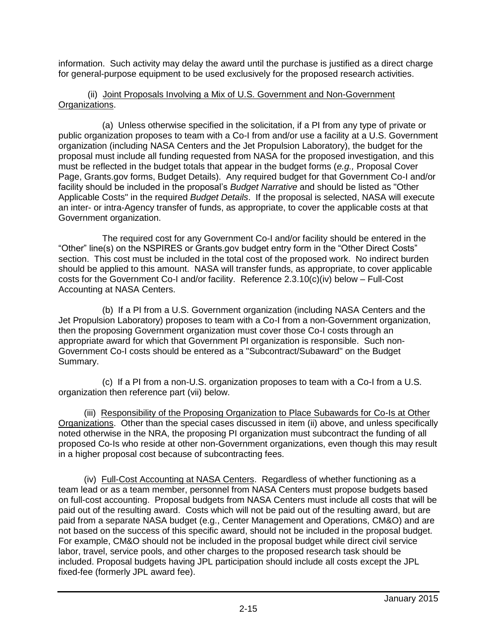information. Such activity may delay the award until the purchase is justified as a direct charge for general-purpose equipment to be used exclusively for the proposed research activities.

### (ii) Joint Proposals Involving a Mix of U.S. Government and Non-Government Organizations.

(a) Unless otherwise specified in the solicitation, if a PI from any type of private or public organization proposes to team with a Co-I from and/or use a facility at a U.S. Government organization (including NASA Centers and the Jet Propulsion Laboratory), the budget for the proposal must include all funding requested from NASA for the proposed investigation, and this must be reflected in the budget totals that appear in the budget forms (*e.g.,* Proposal Cover Page, Grants.gov forms, Budget Details). Any required budget for that Government Co-I and/or facility should be included in the proposal's *Budget Narrative* and should be listed as "Other Applicable Costs" in the required *Budget Details*. If the proposal is selected, NASA will execute an inter- or intra-Agency transfer of funds, as appropriate, to cover the applicable costs at that Government organization.

The required cost for any Government Co-I and/or facility should be entered in the "Other" line(s) on the NSPIRES or Grants.gov budget entry form in the "Other Direct Costs" section. This cost must be included in the total cost of the proposed work. No indirect burden should be applied to this amount. NASA will transfer funds, as appropriate, to cover applicable costs for the Government Co-I and/or facility. Reference 2.3.10(c)(iv) below – Full-Cost Accounting at NASA Centers.

(b) If a PI from a U.S. Government organization (including NASA Centers and the Jet Propulsion Laboratory) proposes to team with a Co-I from a non-Government organization, then the proposing Government organization must cover those Co-I costs through an appropriate award for which that Government PI organization is responsible. Such non-Government Co-I costs should be entered as a "Subcontract/Subaward" on the Budget Summary.

(c) If a PI from a non-U.S. organization proposes to team with a Co-I from a U.S. organization then reference part (vii) below.

(iii) Responsibility of the Proposing Organization to Place Subawards for Co-Is at Other Organizations. Other than the special cases discussed in item (ii) above, and unless specifically noted otherwise in the NRA, the proposing PI organization must subcontract the funding of all proposed Co-Is who reside at other non-Government organizations, even though this may result in a higher proposal cost because of subcontracting fees.

(iv) Full-Cost Accounting at NASA Centers. Regardless of whether functioning as a team lead or as a team member, personnel from NASA Centers must propose budgets based on full-cost accounting. Proposal budgets from NASA Centers must include all costs that will be paid out of the resulting award. Costs which will not be paid out of the resulting award, but are paid from a separate NASA budget (e.g., Center Management and Operations, CM&O) and are not based on the success of this specific award, should not be included in the proposal budget. For example, CM&O should not be included in the proposal budget while direct civil service labor, travel, service pools, and other charges to the proposed research task should be included. Proposal budgets having JPL participation should include all costs except the JPL fixed-fee (formerly JPL award fee).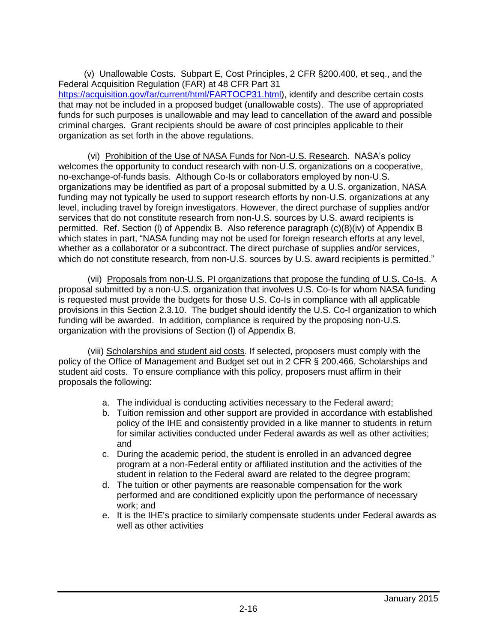(v) Unallowable Costs. Subpart E, Cost Principles, 2 CFR §200.400, et seq., and the Federal Acquisition Regulation (FAR) at 48 CFR Part 31 [https://acquisition.gov/far/current/html/FARTOCP31.html\)](https://acquisition.gov/far/current/html/FARTOCP31.html), identify and describe certain costs that may not be included in a proposed budget (unallowable costs). The use of appropriated funds for such purposes is unallowable and may lead to cancellation of the award and possible criminal charges. Grant recipients should be aware of cost principles applicable to their organization as set forth in the above regulations.

(vi) Prohibition of the Use of NASA Funds for Non-U.S. Research. NASA's policy welcomes the opportunity to conduct research with non-U.S. organizations on a cooperative, no-exchange-of-funds basis. Although Co-Is or collaborators employed by non-U.S. organizations may be identified as part of a proposal submitted by a U.S. organization, NASA funding may not typically be used to support research efforts by non-U.S. organizations at any level, including travel by foreign investigators. However, the direct purchase of supplies and/or services that do not constitute research from non-U.S. sources by U.S. award recipients is permitted. Ref. Section (l) of Appendix B. Also reference paragraph (c)(8)(iv) of Appendix B which states in part, "NASA funding may not be used for foreign research efforts at any level, whether as a collaborator or a subcontract. The direct purchase of supplies and/or services, which do not constitute research, from non-U.S. sources by U.S. award recipients is permitted."

(vii) Proposals from non-U.S. PI organizations that propose the funding of U.S. Co-Is. A proposal submitted by a non-U.S. organization that involves U.S. Co-Is for whom NASA funding is requested must provide the budgets for those U.S. Co-Is in compliance with all applicable provisions in this Section 2.3.10. The budget should identify the U.S. Co-I organization to which funding will be awarded. In addition, compliance is required by the proposing non-U.S. organization with the provisions of Section (l) of Appendix B.

(viii) Scholarships and student aid costs. If selected, proposers must comply with the policy of the Office of Management and Budget set out in 2 CFR § 200.466, Scholarships and student aid costs. To ensure compliance with this policy, proposers must affirm in their proposals the following:

- a. The individual is conducting activities necessary to the Federal award;
- b. Tuition remission and other support are provided in accordance with established policy of the IHE and consistently provided in a like manner to students in return for similar activities conducted under Federal awards as well as other activities; and
- c. During the academic period, the student is enrolled in an advanced degree program at a non-Federal entity or affiliated institution and the activities of the student in relation to the Federal award are related to the degree program;
- d. The tuition or other payments are reasonable compensation for the work performed and are conditioned explicitly upon the performance of necessary work; and
- e. It is the IHE's practice to similarly compensate students under Federal awards as well as other activities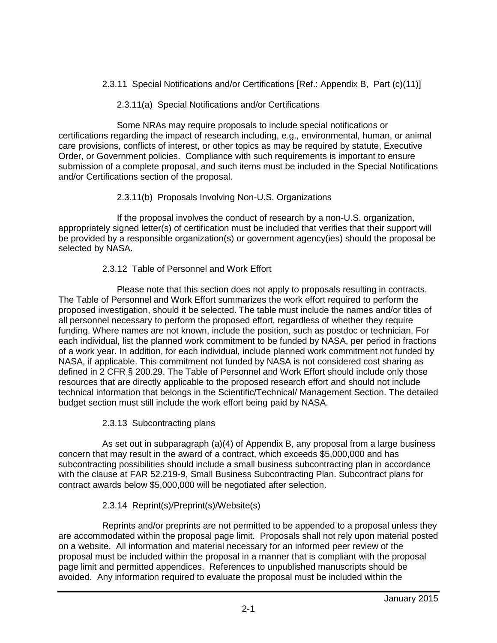2.3.11 Special Notifications and/or Certifications [Ref.: Appendix B, Part (c)(11)]

## 2.3.11(a) Special Notifications and/or Certifications

Some NRAs may require proposals to include special notifications or certifications regarding the impact of research including, e.g., environmental, human, or animal care provisions, conflicts of interest, or other topics as may be required by statute, Executive Order, or Government policies. Compliance with such requirements is important to ensure submission of a complete proposal, and such items must be included in the Special Notifications and/or Certifications section of the proposal.

# 2.3.11(b) Proposals Involving Non-U.S. Organizations

If the proposal involves the conduct of research by a non-U.S. organization, appropriately signed letter(s) of certification must be included that verifies that their support will be provided by a responsible organization(s) or government agency(ies) should the proposal be selected by NASA.

## 2.3.12 Table of Personnel and Work Effort

Please note that this section does not apply to proposals resulting in contracts. The Table of Personnel and Work Effort summarizes the work effort required to perform the proposed investigation, should it be selected. The table must include the names and/or titles of all personnel necessary to perform the proposed effort, regardless of whether they require funding. Where names are not known, include the position, such as postdoc or technician. For each individual, list the planned work commitment to be funded by NASA, per period in fractions of a work year. In addition, for each individual, include planned work commitment not funded by NASA, if applicable. This commitment not funded by NASA is not considered cost sharing as defined in 2 CFR § 200.29. The Table of Personnel and Work Effort should include only those resources that are directly applicable to the proposed research effort and should not include technical information that belongs in the Scientific/Technical/ Management Section. The detailed budget section must still include the work effort being paid by NASA.

### 2.3.13 Subcontracting plans

As set out in subparagraph (a)(4) of Appendix B, any proposal from a large business concern that may result in the award of a contract, which exceeds \$5,000,000 and has subcontracting possibilities should include a small business subcontracting plan in accordance with the clause at FAR 52.219-9, Small Business Subcontracting Plan. Subcontract plans for contract awards below \$5,000,000 will be negotiated after selection.

# 2.3.14 Reprint(s)/Preprint(s)/Website(s)

Reprints and/or preprints are not permitted to be appended to a proposal unless they are accommodated within the proposal page limit. Proposals shall not rely upon material posted on a website. All information and material necessary for an informed peer review of the proposal must be included within the proposal in a manner that is compliant with the proposal page limit and permitted appendices. References to unpublished manuscripts should be avoided. Any information required to evaluate the proposal must be included within the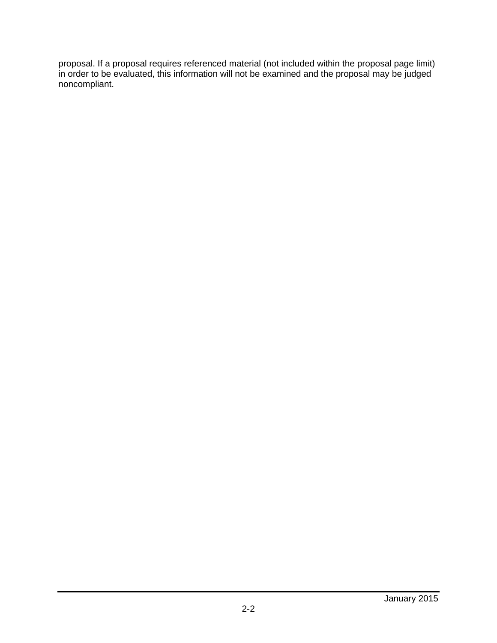proposal. If a proposal requires referenced material (not included within the proposal page limit) in order to be evaluated, this information will not be examined and the proposal may be judged noncompliant.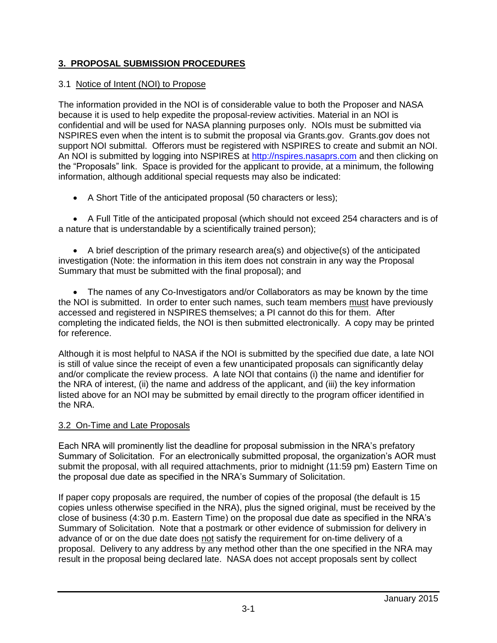# **3. PROPOSAL SUBMISSION PROCEDURES**

## 3.1 Notice of Intent (NOI) to Propose

The information provided in the NOI is of considerable value to both the Proposer and NASA because it is used to help expedite the proposal-review activities. Material in an NOI is confidential and will be used for NASA planning purposes only. NOIs must be submitted via NSPIRES even when the intent is to submit the proposal via Grants.gov. Grants.gov does not support NOI submittal. Offerors must be registered with NSPIRES to create and submit an NOI. An NOI is submitted by logging into [NSPIRES](http://proposals.hq.nasa.govnspires/) at [http://nspires.nasaprs.com](http://nspires.nasaprs.com/) and then clicking on the "Proposals" link. Space is provided for the applicant to provide, at a minimum, the following information, although additional special requests may also be indicated:

A Short Title of the anticipated proposal (50 characters or less);

 A Full Title of the anticipated proposal (which should not exceed 254 characters and is of a nature that is understandable by a scientifically trained person);

 A brief description of the primary research area(s) and objective(s) of the anticipated investigation (Note: the information in this item does not constrain in any way the Proposal Summary that must be submitted with the final proposal); and

 The names of any Co-Investigators and/or Collaborators as may be known by the time the NOI is submitted. In order to enter such names, such team members must have previously accessed and registered in NSPIRES themselves; a PI cannot do this for them. After completing the indicated fields, the NOI is then submitted electronically. A copy may be printed for reference.

Although it is most helpful to NASA if the NOI is submitted by the specified due date, a late NOI is still of value since the receipt of even a few unanticipated proposals can significantly delay and/or complicate the review process. A late NOI that contains (i) the name and identifier for the NRA of interest, (ii) the name and address of the applicant, and (iii) the key information listed above for an NOI may be submitted by email directly to the program officer identified in the NRA.

### 3.2 On-Time and Late Proposals

Each NRA will prominently list the deadline for proposal submission in the NRA's prefatory Summary of Solicitation. For an electronically submitted proposal, the organization's AOR must submit the proposal, with all required attachments, prior to midnight (11:59 pm) Eastern Time on the proposal due date as specified in the NRA's Summary of Solicitation.

If paper copy proposals are required, the number of copies of the proposal (the default is 15 copies unless otherwise specified in the NRA), plus the signed original, must be received by the close of business (4:30 p.m. Eastern Time) on the proposal due date as specified in the NRA's Summary of Solicitation. Note that a postmark or other evidence of submission for delivery in advance of or on the due date does not satisfy the requirement for on-time delivery of a proposal. Delivery to any address by any method other than the one specified in the NRA may result in the proposal being declared late. NASA does not accept proposals sent by collect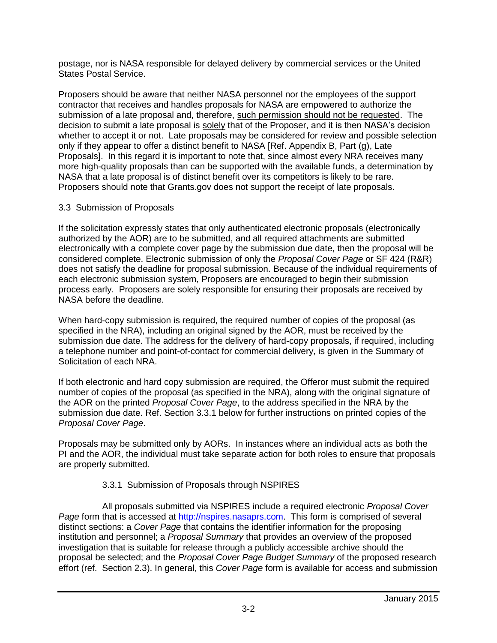postage, nor is NASA responsible for delayed delivery by commercial services or the United States Postal Service.

Proposers should be aware that neither NASA personnel nor the employees of the support contractor that receives and handles proposals for NASA are empowered to authorize the submission of a late proposal and, therefore, such permission should not be requested. The decision to submit a late proposal is solely that of the Proposer, and it is then NASA's decision whether to accept it or not. Late proposals may be considered for review and possible selection only if they appear to offer a distinct benefit to NASA [Ref. Appendix B, Part (g), Late Proposals]. In this regard it is important to note that, since almost every NRA receives many more high-quality proposals than can be supported with the available funds, a determination by NASA that a late proposal is of distinct benefit over its competitors is likely to be rare. Proposers should note that Grants.gov does not support the receipt of late proposals.

### 3.3 Submission of Proposals

If the solicitation expressly states that only authenticated electronic proposals (electronically authorized by the AOR) are to be submitted, and all required attachments are submitted electronically with a complete cover page by the submission due date, then the proposal will be considered complete. Electronic submission of only the *Proposal Cover Page* or SF 424 (R&R) does not satisfy the deadline for proposal submission. Because of the individual requirements of each electronic submission system, Proposers are encouraged to begin their submission process early. Proposers are solely responsible for ensuring their proposals are received by NASA before the deadline.

When hard-copy submission is required, the required number of copies of the proposal (as specified in the NRA), including an original signed by the AOR, must be received by the submission due date. The address for the delivery of hard-copy proposals, if required, including a telephone number and point-of-contact for commercial delivery, is given in the Summary of Solicitation of each NRA.

If both electronic and hard copy submission are required, the Offeror must submit the required number of copies of the proposal (as specified in the NRA), along with the original signature of the AOR on the printed *Proposal Cover Page*, to the address specified in the NRA by the submission due date. Ref. Section 3.3.1 below for further instructions on printed copies of the *Proposal Cover Page*.

Proposals may be submitted only by AORs. In instances where an individual acts as both the PI and the AOR, the individual must take separate action for both roles to ensure that proposals are properly submitted.

### 3.3.1 Submission of Proposals through NSPIRES

All proposals submitted via NSPIRES include a required electronic *Proposal Cover Page* form that is accessed at [http://nspires.nasaprs.com.](http://nspires.nasaprs.com/) This form is comprised of several distinct sections: a *Cover Page* that contains the identifier information for the proposing institution and personnel; a *Proposal Summary* that provides an overview of the proposed investigation that is suitable for release through a publicly accessible archive should the proposal be selected; and the *Proposal Cover Page Budget Summary* of the proposed research effort (ref. Section 2.3). In general, this *Cover Page* form is available for access and submission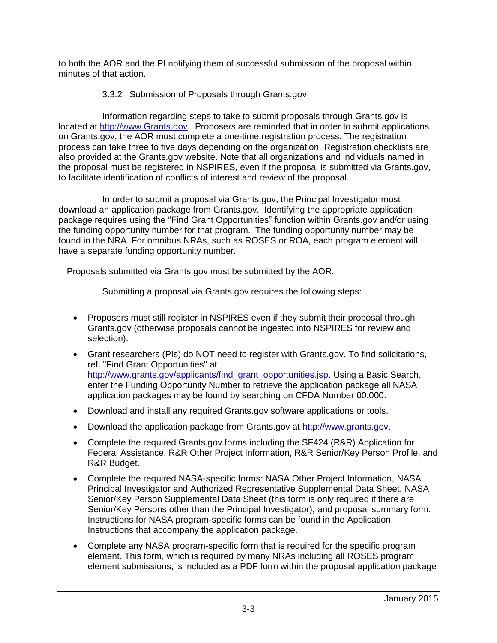to both the AOR and the PI notifying them of successful submission of the proposal within minutes of that action.

### 3.3.2 Submission of Proposals through Grants.gov

Information regarding steps to take to submit proposals through Grants.gov is located at [http://www.Grants.gov.](http://www.grants.gov/) Proposers are reminded that in order to submit applications on Grants.gov, the AOR must complete a [one-time registration process.](http://www.grants.gov/GetStartedRegister?type=aor) The registration process can take three to five days depending on the organization. [Registration checklists](http://www.grants.gov/assets/AORRegCheck.pdf) are also provided at the Grants.gov website. Note that all organizations and individuals named in the proposal must be registered in NSPIRES, even if the proposal is submitted via Grants.gov, to facilitate identification of conflicts of interest and review of the proposal.

In order to submit a proposal via Grants.gov, the Principal Investigator must download an application package from Grants.gov. Identifying the appropriate application package requires using the "Find Grant Opportunities" function within Grants.gov and/or using the funding opportunity number for that program. The funding opportunity number may be found in the NRA. For omnibus NRAs, such as ROSES or ROA, each program element will have a separate funding opportunity number.

Proposals submitted via Grants.gov must be submitted by the AOR.

Submitting a proposal via Grants.gov requires the following steps:

- Proposers must still register in NSPIRES even if they submit their proposal through Grants.gov (otherwise proposals cannot be ingested into NSPIRES for review and selection).
- Grant researchers (PIs) do NOT need to register with Grants.gov. To find solicitations, ref. "Find Grant Opportunities" at [http://www.grants.gov/applicants/find\\_grant\\_opportunities.jsp.](http://www.grants.gov/applicants/find_grant_opportunities.jsp) Using a Basic Search, enter the Funding Opportunity Number to retrieve the application package all NASA application packages may be found by searching on CFDA Number 00.000.
- Download and install any required Grants.gov software applications or tools.
- Download the application package from Grants.gov at [http://www.grants.gov.](http://www.grants.gov/)
- Complete the required Grants.gov forms including the SF424 (R&R) Application for Federal Assistance, R&R Other Project Information, R&R Senior/Key Person Profile, and R&R Budget.
- Complete the required NASA-specific forms: NASA Other Project Information, NASA Principal Investigator and Authorized Representative Supplemental Data Sheet, NASA Senior/Key Person Supplemental Data Sheet (this form is only required if there are Senior/Key Persons other than the Principal Investigator), and proposal summary form. Instructions for NASA program-specific forms can be found in the Application Instructions that accompany the application package.
- Complete any NASA program-specific form that is required for the specific program element. This form, which is required by many NRAs including all ROSES program element submissions, is included as a PDF form within the proposal application package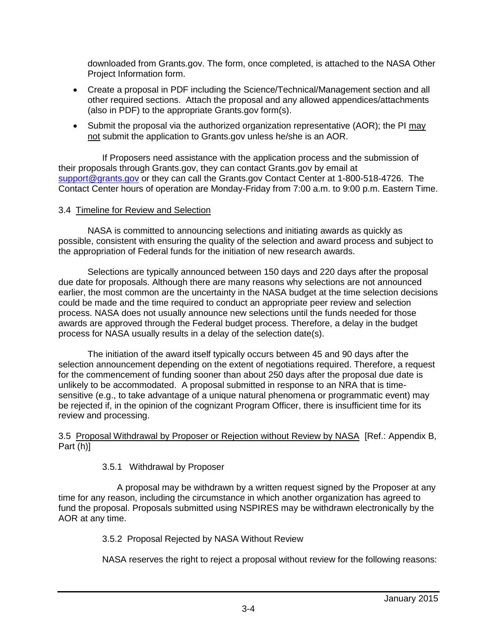downloaded from Grants.gov. The form, once completed, is attached to the NASA Other Project Information form.

- Create a proposal in PDF including the Science/Technical/Management section and all other required sections. Attach the proposal and any allowed appendices/attachments (also in PDF) to the appropriate Grants.gov form(s).
- Submit the proposal via the authorized organization representative (AOR); the PI may not submit the application to Grants.gov unless he/she is an AOR.

If Proposers need assistance with the application process and the submission of their proposals through Grants.gov, they can contact Grants.gov by email at [support@grants.gov](mailto:support@grants.gov) or they can call the Grants.gov Contact Center at 1-800-518-4726. The Contact Center hours of operation are Monday-Friday from 7:00 a.m. to 9:00 p.m. Eastern Time.

#### 3.4 Timeline for Review and Selection

NASA is committed to announcing selections and initiating awards as quickly as possible, consistent with ensuring the quality of the selection and award process and subject to the appropriation of Federal funds for the initiation of new research awards.

Selections are typically announced between 150 days and 220 days after the proposal due date for proposals. Although there are many reasons why selections are not announced earlier, the most common are the uncertainty in the NASA budget at the time selection decisions could be made and the time required to conduct an appropriate peer review and selection process. NASA does not usually announce new selections until the funds needed for those awards are approved through the Federal budget process. Therefore, a delay in the budget process for NASA usually results in a delay of the selection date(s).

The initiation of the award itself typically occurs between 45 and 90 days after the selection announcement depending on the extent of negotiations required. Therefore, a request for the commencement of funding sooner than about 250 days after the proposal due date is unlikely to be accommodated. A proposal submitted in response to an NRA that is timesensitive (e.g., to take advantage of a unique natural phenomena or programmatic event) may be rejected if, in the opinion of the cognizant Program Officer, there is insufficient time for its review and processing.

#### 3.5 Proposal Withdrawal by Proposer or Rejection without Review by NASA [Ref.: Appendix B, Part (h)]

#### 3.5.1 Withdrawal by Proposer

A proposal may be withdrawn by a written request signed by the Proposer at any time for any reason, including the circumstance in which another organization has agreed to fund the proposal. Proposals submitted using NSPIRES may be withdrawn electronically by the AOR at any time.

3.5.2 Proposal Rejected by NASA Without Review

NASA reserves the right to reject a proposal without review for the following reasons: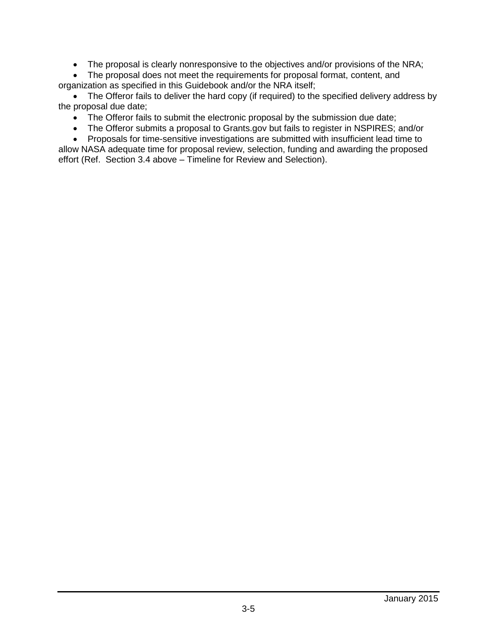The proposal is clearly nonresponsive to the objectives and/or provisions of the NRA;

 The proposal does not meet the requirements for proposal format, content, and organization as specified in this Guidebook and/or the NRA itself;

• The Offeror fails to deliver the hard copy (if required) to the specified delivery address by the proposal due date;

- The Offeror fails to submit the electronic proposal by the submission due date;
- The Offeror submits a proposal to Grants.gov but fails to register in NSPIRES; and/or

• Proposals for time-sensitive investigations are submitted with insufficient lead time to allow NASA adequate time for proposal review, selection, funding and awarding the proposed effort (Ref. Section 3.4 above – Timeline for Review and Selection).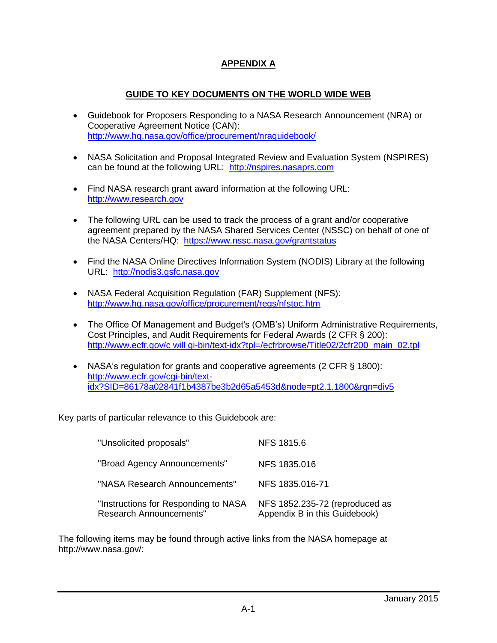# **APPENDIX A**

## **GUIDE TO KEY DOCUMENTS ON THE WORLD WIDE WEB**

- Guidebook for Proposers Responding to a NASA Research Announcement (NRA) or Cooperative Agreement Notice (CAN): <http://www.hq.nasa.gov/office/procurement/nraguidebook/>
- NASA Solicitation and Proposal Integrated Review and Evaluation System (NSPIRES) can be found at the following URL: [http://nspires.nasaprs.com](http://nspires.nasaprs.com/)
- Find NASA research grant award information at the following URL: [http://www.research.gov](http://www.research.gov/)
- The following URL can be used to track the process of a grant and/or cooperative agreement prepared by the NASA Shared Services Center (NSSC) on behalf of one of the NASA Centers/HQ: <https://www.nssc.nasa.gov/grantstatus>
- Find the NASA Online Directives Information System (NODIS) Library at the following URL: [http://nodis3.gsfc.nasa.gov](http://nodis3.gsfc.nasa.gov/)
- NASA Federal Acquisition Regulation (FAR) Supplement (NFS): <http://www.hq.nasa.gov/office/procurement/regs/nfstoc.htm>
- The Office Of Management and Budget's (OMB's) Uniform Administrative Requirements, Cost Principles, and Audit Requirements for Federal Awards (2 CFR § 200): http://www.ecfr.gov/c [will gi-bin/text-idx?tpl=/ecfrbrowse/Title02/2cfr200\\_main\\_02.tpl](http://www.ecfr.gov/cgi-bin/text-idx?tpl=/ecfrbrowse/Title02/2cfr200_main_02.tpl)
- NASA's regulation for grants and cooperative agreements (2 CFR § 1800): [http://www.ecfr.gov/cgi-bin/text](http://www.ecfr.gov/cgi-bin/text-idx?SID=86178a02841f1b4387be3b2d65a5453d&node=pt2.1.1800&rgn=div5)[idx?SID=86178a02841f1b4387be3b2d65a5453d&node=pt2.1.1800&rgn=div5](http://www.ecfr.gov/cgi-bin/text-idx?SID=86178a02841f1b4387be3b2d65a5453d&node=pt2.1.1800&rgn=div5)

Key parts of particular relevance to this Guidebook are:

| "Unsolicited proposals"                                                | <b>NFS 1815.6</b>                                               |
|------------------------------------------------------------------------|-----------------------------------------------------------------|
| "Broad Agency Announcements"                                           | NFS 1835.016                                                    |
| "NASA Research Announcements"                                          | NFS 1835.016-71                                                 |
| "Instructions for Responding to NASA<br><b>Research Announcements"</b> | NFS 1852.235-72 (reproduced as<br>Appendix B in this Guidebook) |

The following items may be found through active links from the NASA homepage at [http://www.nasa.gov/:](http://www.hq.nasa.gov/)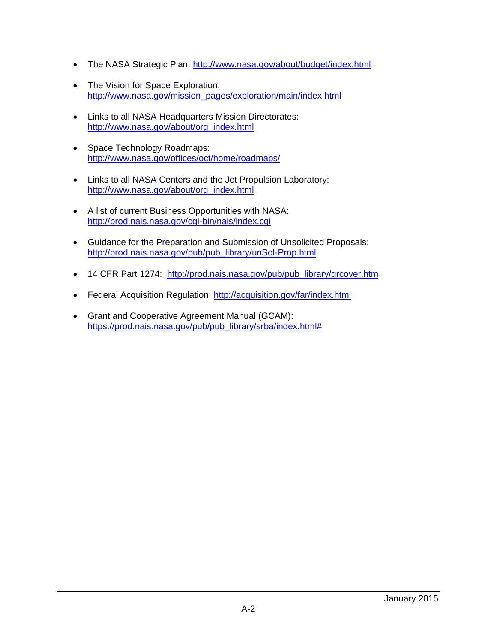- The NASA Strategic Plan:<http://www.nasa.gov/about/budget/index.html>
- The Vision for Space Exploration: [http://www.nasa.gov/mission\\_pages/exploration/main/index.html](http://www.nasa.gov/mission_pages/exploration/main/index.html)
- Links to all NASA Headquarters Mission Directorates: [http://www.nasa.gov/about/org\\_index.html](http://www.nasa.gov/about/org_index.html)
- Space Technology Roadmaps: <http://www.nasa.gov/offices/oct/home/roadmaps/>
- Links to all NASA Centers and the Jet Propulsion Laboratory: [http://www.nasa.gov/about/org\\_index.html](http://www.nasa.gov/about/org_index.html)
- A list of current Business Opportunities with NASA: <http://prod.nais.nasa.gov/cgi-bin/nais/index.cgi>
- Guidance for the Preparation and Submission of Unsolicited Proposals: [http://prod.nais.nasa.gov/pub/pub\\_library/unSol-Prop.html](http://prod.nais.nasa.gov/pub/pub_library/unSol-Prop.html)
- 14 CFR Part 1274: [http://prod.nais.nasa.gov/pub/pub\\_library/grcover.htm](http://prod.nais.nasa.gov/pub/pub_library/grcover.htm)
- Federal Acquisition Regulation:<http://acquisition.gov/far/index.html>
- Grant and Cooperative Agreement Manual (GCAM): [https://prod.nais.nasa.gov/pub/pub\\_library/srba/index.html#](https://prod.nais.nasa.gov/pub/pub_library/srba/index.html)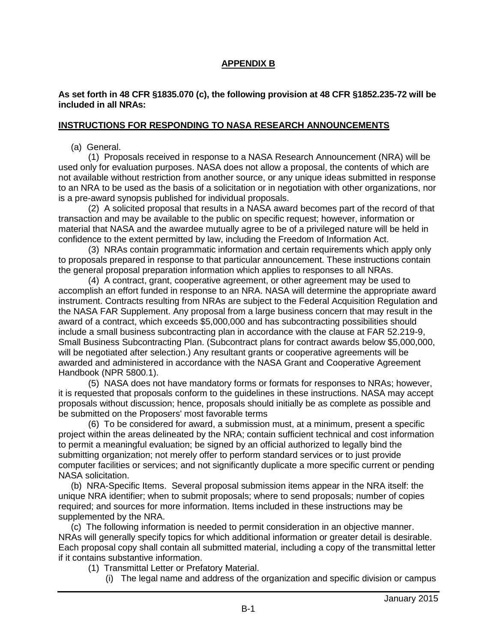## **APPENDIX B**

#### **As set forth in 48 CFR §1835.070 (c), the following provision at 48 CFR §1852.235-72 will be included in all NRAs:**

#### **INSTRUCTIONS FOR RESPONDING TO NASA RESEARCH ANNOUNCEMENTS**

(a) General.

 (1) Proposals received in response to a NASA Research Announcement (NRA) will be used only for evaluation purposes. NASA does not allow a proposal, the contents of which are not available without restriction from another source, or any unique ideas submitted in response to an NRA to be used as the basis of a solicitation or in negotiation with other organizations, nor is a pre-award synopsis published for individual proposals.

 (2) A solicited proposal that results in a NASA award becomes part of the record of that transaction and may be available to the public on specific request; however, information or material that NASA and the awardee mutually agree to be of a privileged nature will be held in confidence to the extent permitted by law, including the Freedom of Information Act.

 (3) NRAs contain programmatic information and certain requirements which apply only to proposals prepared in response to that particular announcement. These instructions contain the general proposal preparation information which applies to responses to all NRAs.

 (4) A contract, grant, cooperative agreement, or other agreement may be used to accomplish an effort funded in response to an NRA. NASA will determine the appropriate award instrument. Contracts resulting from NRAs are subject to the Federal Acquisition Regulation and the NASA FAR Supplement. Any proposal from a large business concern that may result in the award of a contract, which exceeds \$5,000,000 and has subcontracting possibilities should include a small business subcontracting plan in accordance with the clause at FAR 52.219-9, Small Business Subcontracting Plan. (Subcontract plans for contract awards below \$5,000,000, will be negotiated after selection.) Any resultant grants or cooperative agreements will be awarded and administered in accordance with the NASA Grant and Cooperative Agreement Handbook (NPR 5800.1).

 (5) NASA does not have mandatory forms or formats for responses to NRAs; however, it is requested that proposals conform to the guidelines in these instructions. NASA may accept proposals without discussion; hence, proposals should initially be as complete as possible and be submitted on the Proposers' most favorable terms

 (6) To be considered for award, a submission must, at a minimum, present a specific project within the areas delineated by the NRA; contain sufficient technical and cost information to permit a meaningful evaluation; be signed by an official authorized to legally bind the submitting organization; not merely offer to perform standard services or to just provide computer facilities or services; and not significantly duplicate a more specific current or pending NASA solicitation.

 (b) NRA-Specific Items. Several proposal submission items appear in the NRA itself: the unique NRA identifier; when to submit proposals; where to send proposals; number of copies required; and sources for more information. Items included in these instructions may be supplemented by the NRA.

 (c) The following information is needed to permit consideration in an objective manner. NRAs will generally specify topics for which additional information or greater detail is desirable. Each proposal copy shall contain all submitted material, including a copy of the transmittal letter if it contains substantive information.

- (1) Transmittal Letter or Prefatory Material.
	- (i) The legal name and address of the organization and specific division or campus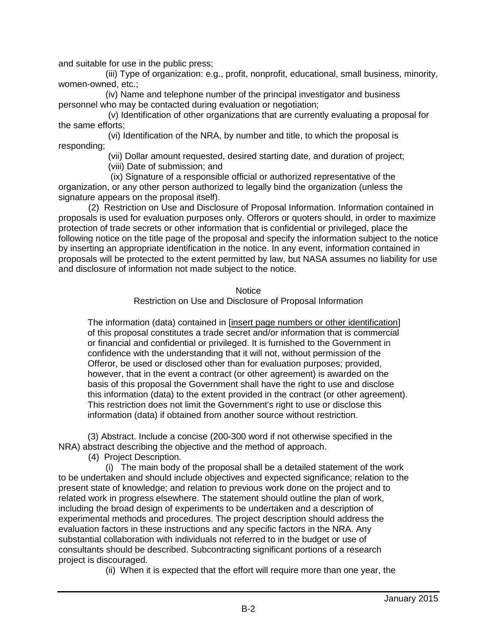and suitable for use in the public press;

 (iii) Type of organization: e.g., profit, nonprofit, educational, small business, minority, women-owned, etc.;

 (iv) Name and telephone number of the principal investigator and business personnel who may be contacted during evaluation or negotiation;

 (v) Identification of other organizations that are currently evaluating a proposal for the same efforts;

 (vi) Identification of the NRA, by number and title, to which the proposal is responding;

(vii) Dollar amount requested, desired starting date, and duration of project;

(viii) Date of submission; and

 (ix) Signature of a responsible official or authorized representative of the organization, or any other person authorized to legally bind the organization (unless the signature appears on the proposal itself).

 (2) Restriction on Use and Disclosure of Proposal Information. Information contained in proposals is used for evaluation purposes only. Offerors or quoters should, in order to maximize protection of trade secrets or other information that is confidential or privileged, place the following notice on the title page of the proposal and specify the information subject to the notice by inserting an appropriate identification in the notice. In any event, information contained in proposals will be protected to the extent permitted by law, but NASA assumes no liability for use and disclosure of information not made subject to the notice.

**Notice** 

Restriction on Use and Disclosure of Proposal Information

The information (data) contained in [insert page numbers or other identification] of this proposal constitutes a trade secret and/or information that is commercial or financial and confidential or privileged. It is furnished to the Government in confidence with the understanding that it will not, without permission of the Offeror, be used or disclosed other than for evaluation purposes; provided, however, that in the event a contract (or other agreement) is awarded on the basis of this proposal the Government shall have the right to use and disclose this information (data) to the extent provided in the contract (or other agreement). This restriction does not limit the Government's right to use or disclose this information (data) if obtained from another source without restriction.

(3) Abstract. Include a concise (200-300 word if not otherwise specified in the NRA) abstract describing the objective and the method of approach.

(4) Project Description.

 (i) The main body of the proposal shall be a detailed statement of the work to be undertaken and should include objectives and expected significance; relation to the present state of knowledge; and relation to previous work done on the project and to related work in progress elsewhere. The statement should outline the plan of work, including the broad design of experiments to be undertaken and a description of experimental methods and procedures. The project description should address the evaluation factors in these instructions and any specific factors in the NRA. Any substantial collaboration with individuals not referred to in the budget or use of consultants should be described. Subcontracting significant portions of a research project is discouraged.

(ii) When it is expected that the effort will require more than one year, the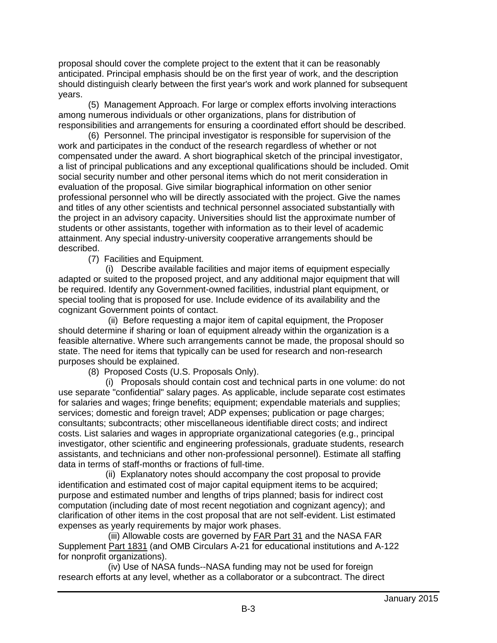proposal should cover the complete project to the extent that it can be reasonably anticipated. Principal emphasis should be on the first year of work, and the description should distinguish clearly between the first year's work and work planned for subsequent years.

 (5) Management Approach. For large or complex efforts involving interactions among numerous individuals or other organizations, plans for distribution of responsibilities and arrangements for ensuring a coordinated effort should be described.

 (6) Personnel. The principal investigator is responsible for supervision of the work and participates in the conduct of the research regardless of whether or not compensated under the award. A short biographical sketch of the principal investigator, a list of principal publications and any exceptional qualifications should be included. Omit social security number and other personal items which do not merit consideration in evaluation of the proposal. Give similar biographical information on other senior professional personnel who will be directly associated with the project. Give the names and titles of any other scientists and technical personnel associated substantially with the project in an advisory capacity. Universities should list the approximate number of students or other assistants, together with information as to their level of academic attainment. Any special industry-university cooperative arrangements should be described.

(7) Facilities and Equipment.

 (i) Describe available facilities and major items of equipment especially adapted or suited to the proposed project, and any additional major equipment that will be required. Identify any Government-owned facilities, industrial plant equipment, or special tooling that is proposed for use. Include evidence of its availability and the cognizant Government points of contact.

 (ii) Before requesting a major item of capital equipment, the Proposer should determine if sharing or loan of equipment already within the organization is a feasible alternative. Where such arrangements cannot be made, the proposal should so state. The need for items that typically can be used for research and non-research purposes should be explained.

(8) Proposed Costs (U.S. Proposals Only).

 (i) Proposals should contain cost and technical parts in one volume: do not use separate "confidential" salary pages. As applicable, include separate cost estimates for salaries and wages; fringe benefits; equipment; expendable materials and supplies; services; domestic and foreign travel; ADP expenses; publication or page charges; consultants; subcontracts; other miscellaneous identifiable direct costs; and indirect costs. List salaries and wages in appropriate organizational categories (e.g., principal investigator, other scientific and engineering professionals, graduate students, research assistants, and technicians and other non-professional personnel). Estimate all staffing data in terms of staff-months or fractions of full-time.

 (ii) Explanatory notes should accompany the cost proposal to provide identification and estimated cost of major capital equipment items to be acquired; purpose and estimated number and lengths of trips planned; basis for indirect cost computation (including date of most recent negotiation and cognizant agency); and clarification of other items in the cost proposal that are not self-evident. List estimated expenses as yearly requirements by major work phases.

 (iii) Allowable costs are governed by [FAR Part 31](http://www.arnet.gov/far/current/html/Subpart_31_1.html#1069490) and the NASA FAR Supplement [Part 1831](http://www.hq.nasa.gov/office/procurement/regs/1835.htm) (and OMB Circulars A-21 for educational institutions and A-122 for nonprofit organizations).

 (iv) Use of NASA funds--NASA funding may not be used for foreign research efforts at any level, whether as a collaborator or a subcontract. The direct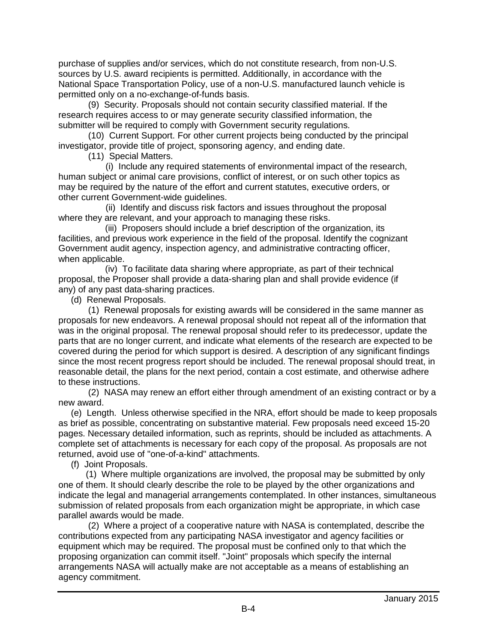purchase of supplies and/or services, which do not constitute research, from non-U.S. sources by U.S. award recipients is permitted. Additionally, in accordance with the National Space Transportation Policy, use of a non-U.S. manufactured launch vehicle is permitted only on a no-exchange-of-funds basis.

 (9) Security. Proposals should not contain security classified material. If the research requires access to or may generate security classified information, the submitter will be required to comply with Government security regulations.

 (10) Current Support. For other current projects being conducted by the principal investigator, provide title of project, sponsoring agency, and ending date.

(11) Special Matters.

 (i) Include any required statements of environmental impact of the research, human subject or animal care provisions, conflict of interest, or on such other topics as may be required by the nature of the effort and current statutes, executive orders, or other current Government-wide guidelines.

 (ii) Identify and discuss risk factors and issues throughout the proposal where they are relevant, and your approach to managing these risks.

 (iii) Proposers should include a brief description of the organization, its facilities, and previous work experience in the field of the proposal. Identify the cognizant Government audit agency, inspection agency, and administrative contracting officer, when applicable.

 (iv) To facilitate data sharing where appropriate, as part of their technical proposal, the Proposer shall provide a data-sharing plan and shall provide evidence (if any) of any past data-sharing practices.

(d) Renewal Proposals.

 (1) Renewal proposals for existing awards will be considered in the same manner as proposals for new endeavors. A renewal proposal should not repeat all of the information that was in the original proposal. The renewal proposal should refer to its predecessor, update the parts that are no longer current, and indicate what elements of the research are expected to be covered during the period for which support is desired. A description of any significant findings since the most recent progress report should be included. The renewal proposal should treat, in reasonable detail, the plans for the next period, contain a cost estimate, and otherwise adhere to these instructions.

 (2) NASA may renew an effort either through amendment of an existing contract or by a new award.

 (e) Length. Unless otherwise specified in the NRA, effort should be made to keep proposals as brief as possible, concentrating on substantive material. Few proposals need exceed 15-20 pages. Necessary detailed information, such as reprints, should be included as attachments. A complete set of attachments is necessary for each copy of the proposal. As proposals are not returned, avoid use of "one-of-a-kind" attachments.

(f) Joint Proposals.

 (1) Where multiple organizations are involved, the proposal may be submitted by only one of them. It should clearly describe the role to be played by the other organizations and indicate the legal and managerial arrangements contemplated. In other instances, simultaneous submission of related proposals from each organization might be appropriate, in which case parallel awards would be made.

 (2) Where a project of a cooperative nature with NASA is contemplated, describe the contributions expected from any participating NASA investigator and agency facilities or equipment which may be required. The proposal must be confined only to that which the proposing organization can commit itself. "Joint" proposals which specify the internal arrangements NASA will actually make are not acceptable as a means of establishing an agency commitment.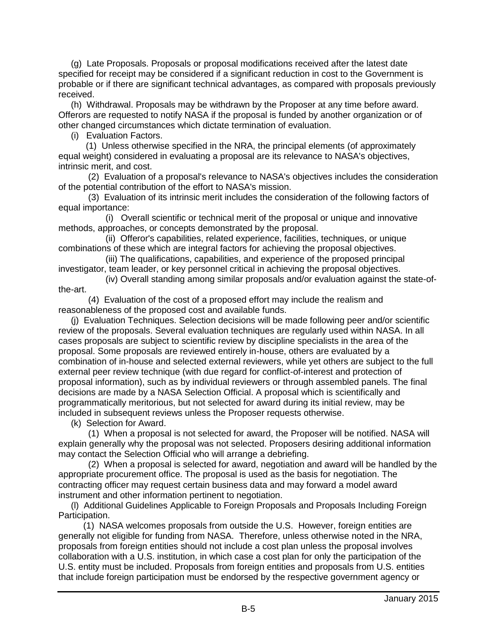(g) Late Proposals. Proposals or proposal modifications received after the latest date specified for receipt may be considered if a significant reduction in cost to the Government is probable or if there are significant technical advantages, as compared with proposals previously received.

 (h) Withdrawal. Proposals may be withdrawn by the Proposer at any time before award. Offerors are requested to notify NASA if the proposal is funded by another organization or of other changed circumstances which dictate termination of evaluation.

(i) Evaluation Factors.

 (1) Unless otherwise specified in the NRA, the principal elements (of approximately equal weight) considered in evaluating a proposal are its relevance to NASA's objectives, intrinsic merit, and cost.

 (2) Evaluation of a proposal's relevance to NASA's objectives includes the consideration of the potential contribution of the effort to NASA's mission.

 (3) Evaluation of its intrinsic merit includes the consideration of the following factors of equal importance:

 (i) Overall scientific or technical merit of the proposal or unique and innovative methods, approaches, or concepts demonstrated by the proposal.

 (ii) Offeror's capabilities, related experience, facilities, techniques, or unique combinations of these which are integral factors for achieving the proposal objectives.

 (iii) The qualifications, capabilities, and experience of the proposed principal investigator, team leader, or key personnel critical in achieving the proposal objectives.

 (iv) Overall standing among similar proposals and/or evaluation against the state-ofthe-art.

 (4) Evaluation of the cost of a proposed effort may include the realism and reasonableness of the proposed cost and available funds.

 (j) Evaluation Techniques. Selection decisions will be made following peer and/or scientific review of the proposals. Several evaluation techniques are regularly used within NASA. In all cases proposals are subject to scientific review by discipline specialists in the area of the proposal. Some proposals are reviewed entirely in-house, others are evaluated by a combination of in-house and selected external reviewers, while yet others are subject to the full external peer review technique (with due regard for conflict-of-interest and protection of proposal information), such as by individual reviewers or through assembled panels. The final decisions are made by a NASA Selection Official. A proposal which is scientifically and programmatically meritorious, but not selected for award during its initial review, may be included in subsequent reviews unless the Proposer requests otherwise.

(k) Selection for Award.

 (1) When a proposal is not selected for award, the Proposer will be notified. NASA will explain generally why the proposal was not selected. Proposers desiring additional information may contact the Selection Official who will arrange a debriefing.

 (2) When a proposal is selected for award, negotiation and award will be handled by the appropriate procurement office. The proposal is used as the basis for negotiation. The contracting officer may request certain business data and may forward a model award instrument and other information pertinent to negotiation.

 (l) Additional Guidelines Applicable to Foreign Proposals and Proposals Including Foreign Participation.

 (1) NASA welcomes proposals from outside the U.S. However, foreign entities are generally not eligible for funding from NASA. Therefore, unless otherwise noted in the NRA, proposals from foreign entities should not include a cost plan unless the proposal involves collaboration with a U.S. institution, in which case a cost plan for only the participation of the U.S. entity must be included. Proposals from foreign entities and proposals from U.S. entities that include foreign participation must be endorsed by the respective government agency or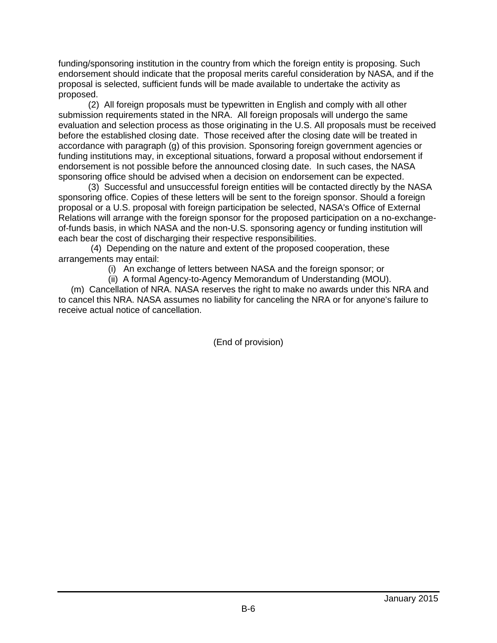funding/sponsoring institution in the country from which the foreign entity is proposing. Such endorsement should indicate that the proposal merits careful consideration by NASA, and if the proposal is selected, sufficient funds will be made available to undertake the activity as proposed.

 (2) All foreign proposals must be typewritten in English and comply with all other submission requirements stated in the NRA. All foreign proposals will undergo the same evaluation and selection process as those originating in the U.S. All proposals must be received before the established closing date. Those received after the closing date will be treated in accordance with paragraph (g) of this provision. Sponsoring foreign government agencies or funding institutions may, in exceptional situations, forward a proposal without endorsement if endorsement is not possible before the announced closing date. In such cases, the NASA sponsoring office should be advised when a decision on endorsement can be expected.

 (3) Successful and unsuccessful foreign entities will be contacted directly by the NASA sponsoring office. Copies of these letters will be sent to the foreign sponsor. Should a foreign proposal or a U.S. proposal with foreign participation be selected, NASA's Office of External Relations will arrange with the foreign sponsor for the proposed participation on a no-exchangeof-funds basis, in which NASA and the non-U.S. sponsoring agency or funding institution will each bear the cost of discharging their respective responsibilities.

 (4) Depending on the nature and extent of the proposed cooperation, these arrangements may entail:

(i) An exchange of letters between NASA and the foreign sponsor; or

(ii) A formal Agency-to-Agency Memorandum of Understanding (MOU).

 (m) Cancellation of NRA. NASA reserves the right to make no awards under this NRA and to cancel this NRA. NASA assumes no liability for canceling the NRA or for anyone's failure to receive actual notice of cancellation.

(End of provision)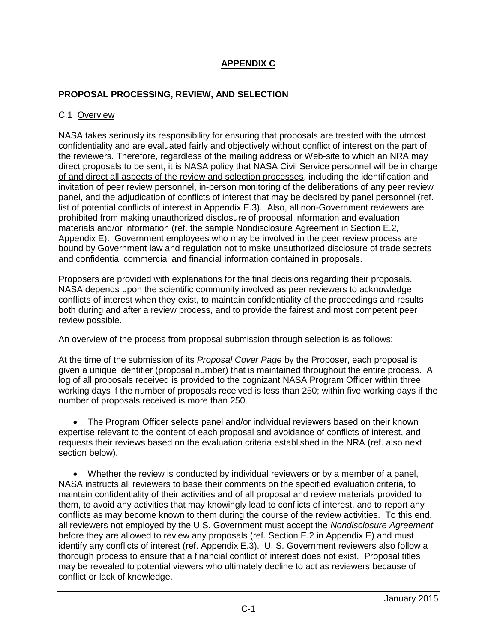# **APPENDIX C**

### **PROPOSAL PROCESSING, REVIEW, AND SELECTION**

#### C.1 Overview

NASA takes seriously its responsibility for ensuring that proposals are treated with the utmost confidentiality and are evaluated fairly and objectively without conflict of interest on the part of the reviewers. Therefore, regardless of the mailing address or Web-site to which an NRA may direct proposals to be sent, it is NASA policy that NASA Civil Service personnel will be in charge of and direct all aspects of the review and selection processes, including the identification and invitation of peer review personnel, in-person monitoring of the deliberations of any peer review panel, and the adjudication of conflicts of interest that may be declared by panel personnel (ref. list of potential conflicts of interest in Appendix E.3). Also, all non-Government reviewers are prohibited from making unauthorized disclosure of proposal information and evaluation materials and/or information (ref. the sample Nondisclosure Agreement in Section E.2, Appendix E). Government employees who may be involved in the peer review process are bound by Government law and regulation not to make unauthorized disclosure of trade secrets and confidential commercial and financial information contained in proposals.

Proposers are provided with explanations for the final decisions regarding their proposals. NASA depends upon the scientific community involved as peer reviewers to acknowledge conflicts of interest when they exist, to maintain confidentiality of the proceedings and results both during and after a review process, and to provide the fairest and most competent peer review possible.

An overview of the process from proposal submission through selection is as follows:

At the time of the submission of its *Proposal Cover Page* by the Proposer, each proposal is given a unique identifier (proposal number) that is maintained throughout the entire process. A log of all proposals received is provided to the cognizant NASA Program Officer within three working days if the number of proposals received is less than 250; within five working days if the number of proposals received is more than 250.

• The Program Officer selects panel and/or individual reviewers based on their known expertise relevant to the content of each proposal and avoidance of conflicts of interest, and requests their reviews based on the evaluation criteria established in the NRA (ref. also next section below).

 Whether the review is conducted by individual reviewers or by a member of a panel, NASA instructs all reviewers to base their comments on the specified evaluation criteria, to maintain confidentiality of their activities and of all proposal and review materials provided to them, to avoid any activities that may knowingly lead to conflicts of interest, and to report any conflicts as may become known to them during the course of the review activities. To this end, all reviewers not employed by the U.S. Government must accept the *Nondisclosure Agreement* before they are allowed to review any proposals (ref. Section E.2 in Appendix E) and must identify any conflicts of interest (ref. Appendix E.3). U. S. Government reviewers also follow a thorough process to ensure that a financial conflict of interest does not exist. Proposal titles may be revealed to potential viewers who ultimately decline to act as reviewers because of conflict or lack of knowledge.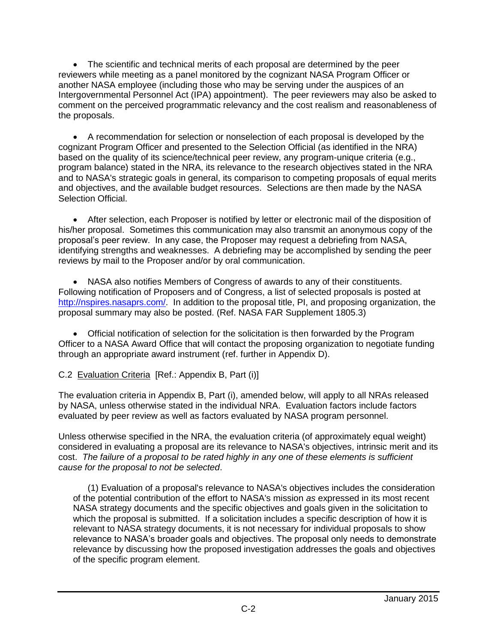The scientific and technical merits of each proposal are determined by the peer reviewers while meeting as a panel monitored by the cognizant NASA Program Officer or another NASA employee (including those who may be serving under the auspices of an Intergovernmental Personnel Act (IPA) appointment). The peer reviewers may also be asked to comment on the perceived programmatic relevancy and the cost realism and reasonableness of the proposals.

 A recommendation for selection or nonselection of each proposal is developed by the cognizant Program Officer and presented to the Selection Official (as identified in the NRA) based on the quality of its science/technical peer review, any program-unique criteria (e.g., program balance) stated in the NRA, its relevance to the research objectives stated in the NRA and to NASA's strategic goals in general, its comparison to competing proposals of equal merits and objectives, and the available budget resources. Selections are then made by the NASA Selection Official.

 After selection, each Proposer is notified by letter or electronic mail of the disposition of his/her proposal. Sometimes this communication may also transmit an anonymous copy of the proposal's peer review. In any case, the Proposer may request a debriefing from NASA, identifying strengths and weaknesses. A debriefing may be accomplished by sending the peer reviews by mail to the Proposer and/or by oral communication.

 NASA also notifies Members of Congress of awards to any of their constituents. Following notification of Proposers and of Congress, a list of selected proposals is posted at [http://nspires.nasaprs.com/.](http://nspires.nasaprs.com/) In addition to the proposal title, PI, and proposing organization, the proposal summary may also be posted. (Ref. NASA FAR Supplement 1805.3)

 Official notification of selection for the solicitation is then forwarded by the Program Officer to a NASA Award Office that will contact the proposing organization to negotiate funding through an appropriate award instrument (ref. further in Appendix D).

# C.2 Evaluation Criteria [Ref.: Appendix B, Part (i)]

The evaluation criteria in Appendix B, Part (i), amended below, will apply to all NRAs released by NASA, unless otherwise stated in the individual NRA. Evaluation factors include factors evaluated by peer review as well as factors evaluated by NASA program personnel.

Unless otherwise specified in the NRA, the evaluation criteria (of approximately equal weight) considered in evaluating a proposal are its relevance to NASA's objectives, intrinsic merit and its cost. *The failure of a proposal to be rated highly in any one of these elements is sufficient cause for the proposal to not be selected*.

(1) Evaluation of a proposal's relevance to NASA's objectives includes the consideration of the potential contribution of the effort to NASA's mission *as* expressed in its most recent NASA strategy documents and the specific objectives and goals given in the solicitation to which the proposal is submitted. If a solicitation includes a specific description of how it is relevant to NASA strategy documents, it is not necessary for individual proposals to show relevance to NASA's broader goals and objectives. The proposal only needs to demonstrate relevance by discussing how the proposed investigation addresses the goals and objectives of the specific program element.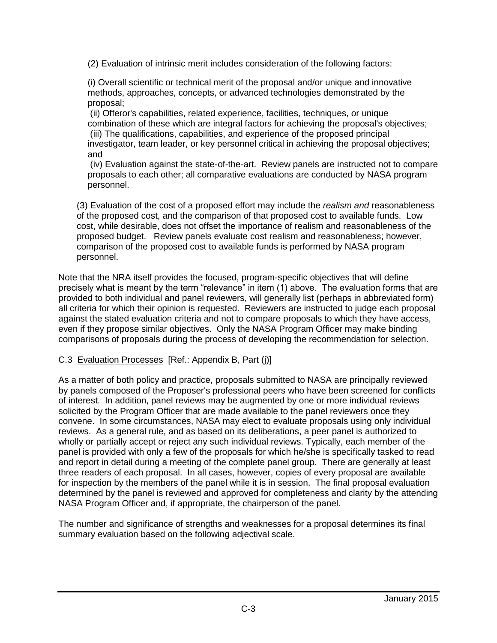(2) Evaluation of intrinsic merit includes consideration of the following factors:

(i) Overall scientific or technical merit of the proposal and/or unique and innovative methods, approaches, concepts, or advanced technologies demonstrated by the proposal;

(ii) Offeror's capabilities, related experience, facilities, techniques, or unique combination of these which are integral factors for achieving the proposal's objectives; (iii) The qualifications, capabilities, and experience of the proposed principal investigator, team leader, or key personnel critical in achieving the proposal objectives; and

(iv) Evaluation against the state-of-the-art. Review panels are instructed not to compare proposals to each other; all comparative evaluations are conducted by NASA program personnel.

(3) Evaluation of the cost of a proposed effort may include the *realism and* reasonableness of the proposed cost, and the comparison of that proposed cost to available funds. Low cost, while desirable, does not offset the importance of realism and reasonableness of the proposed budget. Review panels evaluate cost realism and reasonableness; however, comparison of the proposed cost to available funds is performed by NASA program personnel.

Note that the NRA itself provides the focused, program-specific objectives that will define precisely what is meant by the term "relevance" in item (1) above. The evaluation forms that are provided to both individual and panel reviewers, will generally list (perhaps in abbreviated form) all criteria for which their opinion is requested. Reviewers are instructed to judge each proposal against the stated evaluation criteria and not to compare proposals to which they have access, even if they propose similar objectives. Only the NASA Program Officer may make binding comparisons of proposals during the process of developing the recommendation for selection.

### C.3 Evaluation Processes [Ref.: Appendix B, Part (j)]

As a matter of both policy and practice, proposals submitted to NASA are principally reviewed by panels composed of the Proposer's professional peers who have been screened for conflicts of interest. In addition, panel reviews may be augmented by one or more individual reviews solicited by the Program Officer that are made available to the panel reviewers once they convene. In some circumstances, NASA may elect to evaluate proposals using only individual reviews. As a general rule, and as based on its deliberations, a peer panel is authorized to wholly or partially accept or reject any such individual reviews. Typically, each member of the panel is provided with only a few of the proposals for which he/she is specifically tasked to read and report in detail during a meeting of the complete panel group. There are generally at least three readers of each proposal. In all cases, however, copies of every proposal are available for inspection by the members of the panel while it is in session. The final proposal evaluation determined by the panel is reviewed and approved for completeness and clarity by the attending NASA Program Officer and, if appropriate, the chairperson of the panel.

The number and significance of strengths and weaknesses for a proposal determines its final summary evaluation based on the following adjectival scale.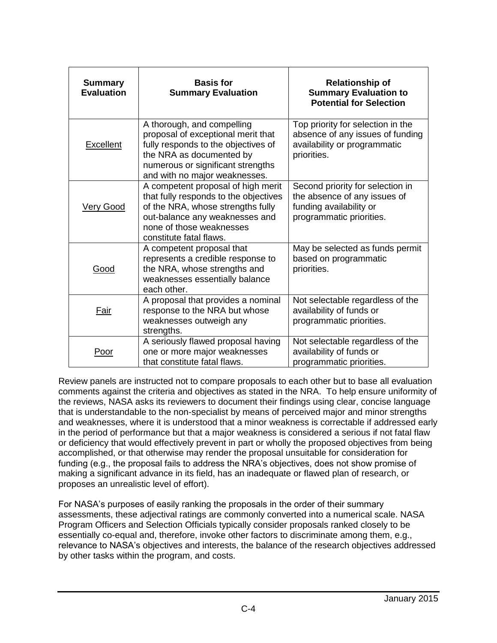| <b>Summary</b><br><b>Evaluation</b> | <b>Basis for</b><br><b>Summary Evaluation</b>                                                                                                                                                             | <b>Relationship of</b><br><b>Summary Evaluation to</b><br><b>Potential for Selection</b>                                |
|-------------------------------------|-----------------------------------------------------------------------------------------------------------------------------------------------------------------------------------------------------------|-------------------------------------------------------------------------------------------------------------------------|
| <b>Excellent</b>                    | A thorough, and compelling<br>proposal of exceptional merit that<br>fully responds to the objectives of<br>the NRA as documented by<br>numerous or significant strengths<br>and with no major weaknesses. | Top priority for selection in the<br>absence of any issues of funding<br>availability or programmatic<br>priorities.    |
| <b>Very Good</b>                    | A competent proposal of high merit<br>that fully responds to the objectives<br>of the NRA, whose strengths fully<br>out-balance any weaknesses and<br>none of those weaknesses<br>constitute fatal flaws. | Second priority for selection in<br>the absence of any issues of<br>funding availability or<br>programmatic priorities. |
| <u>Good</u>                         | A competent proposal that<br>represents a credible response to<br>the NRA, whose strengths and<br>weaknesses essentially balance<br>each other.                                                           | May be selected as funds permit<br>based on programmatic<br>priorities.                                                 |
| Fair                                | A proposal that provides a nominal<br>response to the NRA but whose<br>weaknesses outweigh any<br>strengths.                                                                                              | Not selectable regardless of the<br>availability of funds or<br>programmatic priorities.                                |
| <u>Poor</u>                         | A seriously flawed proposal having<br>one or more major weaknesses<br>that constitute fatal flaws.                                                                                                        | Not selectable regardless of the<br>availability of funds or<br>programmatic priorities.                                |

Review panels are instructed not to compare proposals to each other but to base all evaluation comments against the criteria and objectives as stated in the NRA. To help ensure uniformity of the reviews, NASA asks its reviewers to document their findings using clear, concise language that is understandable to the non-specialist by means of perceived major and minor strengths and weaknesses, where it is understood that a minor weakness is correctable if addressed early in the period of performance but that a major weakness is considered a serious if not fatal flaw or deficiency that would effectively prevent in part or wholly the proposed objectives from being accomplished, or that otherwise may render the proposal unsuitable for consideration for funding (e.g., the proposal fails to address the NRA's objectives, does not show promise of making a significant advance in its field, has an inadequate or flawed plan of research, or proposes an unrealistic level of effort).

For NASA's purposes of easily ranking the proposals in the order of their summary assessments, these adjectival ratings are commonly converted into a numerical scale. NASA Program Officers and Selection Officials typically consider proposals ranked closely to be essentially co-equal and, therefore, invoke other factors to discriminate among them, e.g., relevance to NASA's objectives and interests, the balance of the research objectives addressed by other tasks within the program, and costs.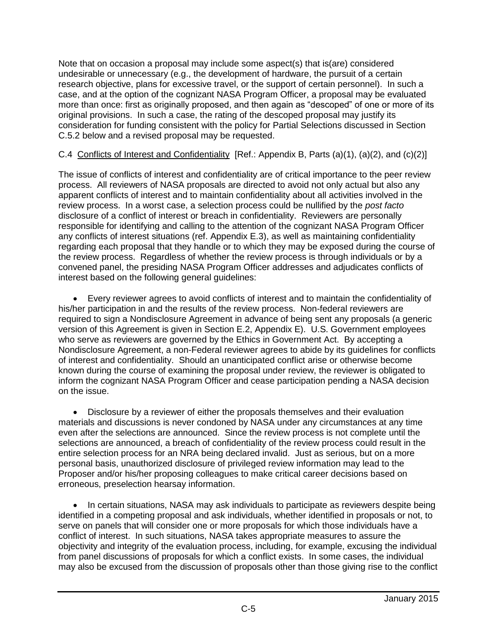Note that on occasion a proposal may include some aspect(s) that is(are) considered undesirable or unnecessary (e.g., the development of hardware, the pursuit of a certain research objective, plans for excessive travel, or the support of certain personnel). In such a case, and at the option of the cognizant NASA Program Officer, a proposal may be evaluated more than once: first as originally proposed, and then again as "descoped" of one or more of its original provisions. In such a case, the rating of the descoped proposal may justify its consideration for funding consistent with the policy for Partial Selections discussed in Section C.5.2 below and a revised proposal may be requested.

# C.4 Conflicts of Interest and Confidentiality [Ref.: Appendix B, Parts (a)(1), (a)(2), and (c)(2)]

The issue of conflicts of interest and confidentiality are of critical importance to the peer review process. All reviewers of NASA proposals are directed to avoid not only actual but also any apparent conflicts of interest and to maintain confidentiality about all activities involved in the review process. In a worst case, a selection process could be nullified by the *post facto* disclosure of a conflict of interest or breach in confidentiality. Reviewers are personally responsible for identifying and calling to the attention of the cognizant NASA Program Officer any conflicts of interest situations (ref. Appendix E.3), as well as maintaining confidentiality regarding each proposal that they handle or to which they may be exposed during the course of the review process. Regardless of whether the review process is through individuals or by a convened panel, the presiding NASA Program Officer addresses and adjudicates conflicts of interest based on the following general guidelines:

 Every reviewer agrees to avoid conflicts of interest and to maintain the confidentiality of his/her participation in and the results of the review process. Non-federal reviewers are required to sign a Nondisclosure Agreement in advance of being sent any proposals (a generic version of this Agreement is given in Section E.2, Appendix E). U.S. Government employees who serve as reviewers are governed by the Ethics in Government Act. By accepting a Nondisclosure Agreement, a non-Federal reviewer agrees to abide by its guidelines for conflicts of interest and confidentiality. Should an unanticipated conflict arise or otherwise become known during the course of examining the proposal under review, the reviewer is obligated to inform the cognizant NASA Program Officer and cease participation pending a NASA decision on the issue.

 Disclosure by a reviewer of either the proposals themselves and their evaluation materials and discussions is never condoned by NASA under any circumstances at any time even after the selections are announced. Since the review process is not complete until the selections are announced, a breach of confidentiality of the review process could result in the entire selection process for an NRA being declared invalid. Just as serious, but on a more personal basis, unauthorized disclosure of privileged review information may lead to the Proposer and/or his/her proposing colleagues to make critical career decisions based on erroneous, preselection hearsay information.

• In certain situations, NASA may ask individuals to participate as reviewers despite being identified in a competing proposal and ask individuals, whether identified in proposals or not, to serve on panels that will consider one or more proposals for which those individuals have a conflict of interest. In such situations, NASA takes appropriate measures to assure the objectivity and integrity of the evaluation process, including, for example, excusing the individual from panel discussions of proposals for which a conflict exists. In some cases, the individual may also be excused from the discussion of proposals other than those giving rise to the conflict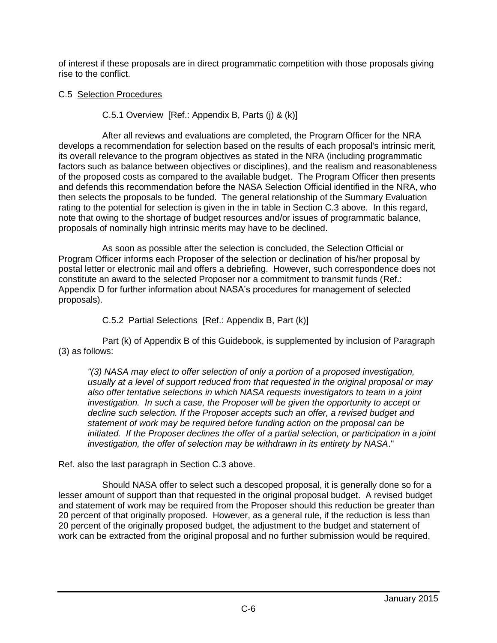of interest if these proposals are in direct programmatic competition with those proposals giving rise to the conflict.

### C.5 Selection Procedures

C.5.1 Overview [Ref.: Appendix B, Parts (j) & (k)]

After all reviews and evaluations are completed, the Program Officer for the NRA develops a recommendation for selection based on the results of each proposal's intrinsic merit, its overall relevance to the program objectives as stated in the NRA (including programmatic factors such as balance between objectives or disciplines), and the realism and reasonableness of the proposed costs as compared to the available budget. The Program Officer then presents and defends this recommendation before the NASA Selection Official identified in the NRA, who then selects the proposals to be funded. The general relationship of the Summary Evaluation rating to the potential for selection is given in the in table in Section C.3 above. In this regard, note that owing to the shortage of budget resources and/or issues of programmatic balance, proposals of nominally high intrinsic merits may have to be declined.

As soon as possible after the selection is concluded, the Selection Official or Program Officer informs each Proposer of the selection or declination of his/her proposal by postal letter or electronic mail and offers a debriefing. However, such correspondence does not constitute an award to the selected Proposer nor a commitment to transmit funds (Ref.: Appendix D for further information about NASA's procedures for management of selected proposals).

C.5.2 Partial Selections [Ref.: Appendix B, Part (k)]

Part (k) of Appendix B of this Guidebook, is supplemented by inclusion of Paragraph (3) as follows:

*"(3) NASA may elect to offer selection of only a portion of a proposed investigation, usually at a level of support reduced from that requested in the original proposal or may also offer tentative selections in which NASA requests investigators to team in a joint investigation. In such a case, the Proposer will be given the opportunity to accept or decline such selection. If the Proposer accepts such an offer, a revised budget and statement of work may be required before funding action on the proposal can be initiated. If the Proposer declines the offer of a partial selection, or participation in a joint investigation, the offer of selection may be withdrawn in its entirety by NASA*."

Ref. also the last paragraph in Section C.3 above.

Should NASA offer to select such a descoped proposal, it is generally done so for a lesser amount of support than that requested in the original proposal budget. A revised budget and statement of work may be required from the Proposer should this reduction be greater than 20 percent of that originally proposed. However, as a general rule, if the reduction is less than 20 percent of the originally proposed budget, the adjustment to the budget and statement of work can be extracted from the original proposal and no further submission would be required.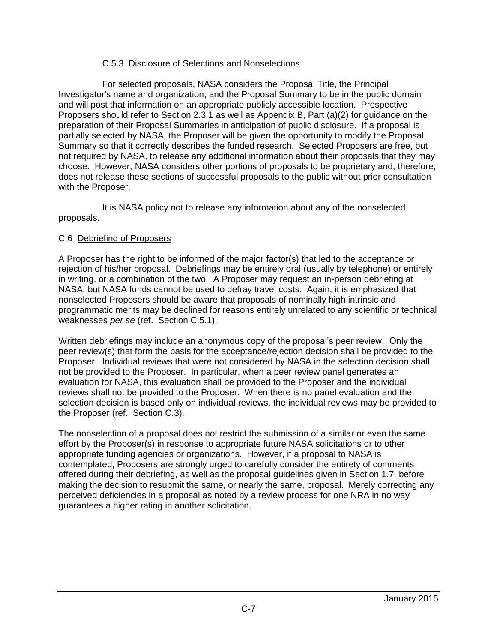#### C.5.3 Disclosure of Selections and Nonselections

For selected proposals, NASA considers the Proposal Title, the Principal Investigator's name and organization, and the Proposal Summary to be in the public domain and will post that information on an appropriate publicly accessible location. Prospective Proposers should refer to Section 2.3.1 as well as Appendix B, Part (a)(2) for guidance on the preparation of their Proposal Summaries in anticipation of public disclosure. If a proposal is partially selected by NASA, the Proposer will be given the opportunity to modify the Proposal Summary so that it correctly describes the funded research. Selected Proposers are free, but not required by NASA, to release any additional information about their proposals that they may choose. However, NASA considers other portions of proposals to be proprietary and, therefore, does not release these sections of successful proposals to the public without prior consultation with the Proposer.

It is NASA policy not to release any information about any of the nonselected proposals.

#### C.6 Debriefing of Proposers

A Proposer has the right to be informed of the major factor(s) that led to the acceptance or rejection of his/her proposal. Debriefings may be entirely oral (usually by telephone) or entirely in writing, or a combination of the two. A Proposer may request an in-person debriefing at NASA, but NASA funds cannot be used to defray travel costs. Again, it is emphasized that nonselected Proposers should be aware that proposals of nominally high intrinsic and programmatic merits may be declined for reasons entirely unrelated to any scientific or technical weaknesses *per se* (ref. Section C.5.1).

Written debriefings may include an anonymous copy of the proposal's peer review. Only the peer review(s) that form the basis for the acceptance/rejection decision shall be provided to the Proposer. Individual reviews that were not considered by NASA in the selection decision shall not be provided to the Proposer. In particular, when a peer review panel generates an evaluation for NASA, this evaluation shall be provided to the Proposer and the individual reviews shall not be provided to the Proposer. When there is no panel evaluation and the selection decision is based only on individual reviews, the individual reviews may be provided to the Proposer (ref. Section C.3).

The nonselection of a proposal does not restrict the submission of a similar or even the same effort by the Proposer(s) in response to appropriate future NASA solicitations or to other appropriate funding agencies or organizations. However, if a proposal to NASA is contemplated, Proposers are strongly urged to carefully consider the entirety of comments offered during their debriefing, as well as the proposal guidelines given in Section 1.7, before making the decision to resubmit the same, or nearly the same, proposal. Merely correcting any perceived deficiencies in a proposal as noted by a review process for one NRA in no way guarantees a higher rating in another solicitation.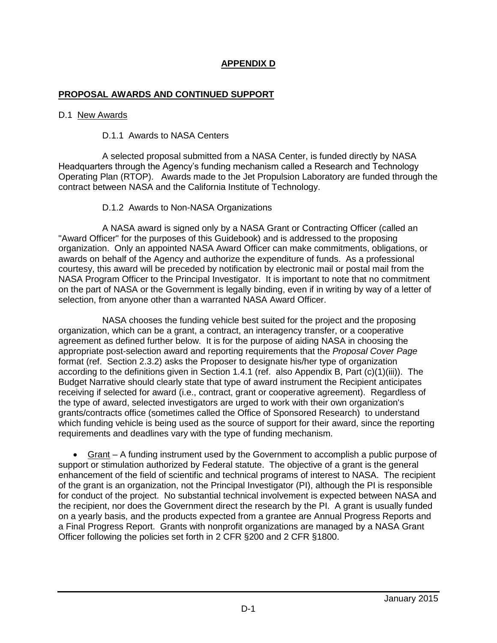## **APPENDIX D**

#### **PROPOSAL AWARDS AND CONTINUED SUPPORT**

#### D.1 New Awards

#### D.1.1 Awards to NASA Centers

A selected proposal submitted from a NASA Center, is funded directly by NASA Headquarters through the Agency's funding mechanism called a Research and Technology Operating Plan (RTOP). Awards made to the Jet Propulsion Laboratory are funded through the contract between NASA and the California Institute of Technology.

#### D.1.2 Awards to Non-NASA Organizations

A NASA award is signed only by a NASA Grant or Contracting Officer (called an "Award Officer" for the purposes of this Guidebook) and is addressed to the proposing organization. Only an appointed NASA Award Officer can make commitments, obligations, or awards on behalf of the Agency and authorize the expenditure of funds. As a professional courtesy, this award will be preceded by notification by electronic mail or postal mail from the NASA Program Officer to the Principal Investigator. It is important to note that no commitment on the part of NASA or the Government is legally binding, even if in writing by way of a letter of selection, from anyone other than a warranted NASA Award Officer.

NASA chooses the funding vehicle best suited for the project and the proposing organization, which can be a grant, a contract, an interagency transfer, or a cooperative agreement as defined further below. It is for the purpose of aiding NASA in choosing the appropriate post-selection award and reporting requirements that the *Proposal Cover Page* format (ref. Section 2.3.2) asks the Proposer to designate his/her type of organization according to the definitions given in Section 1.4.1 (ref. also Appendix B, Part (c)(1)(iii)). The Budget Narrative should clearly state that type of award instrument the Recipient anticipates receiving if selected for award (i.e., contract, grant or cooperative agreement). Regardless of the type of award, selected investigators are urged to work with their own organization's grants/contracts office (sometimes called the Office of Sponsored Research) to understand which funding vehicle is being used as the source of support for their award, since the reporting requirements and deadlines vary with the type of funding mechanism.

 Grant – A funding instrument used by the Government to accomplish a public purpose of support or stimulation authorized by Federal statute. The objective of a grant is the general enhancement of the field of scientific and technical programs of interest to NASA. The recipient of the grant is an organization, not the Principal Investigator (PI), although the PI is responsible for conduct of the project. No substantial technical involvement is expected between NASA and the recipient, nor does the Government direct the research by the PI. A grant is usually funded on a yearly basis, and the products expected from a grantee are Annual Progress Reports and a Final Progress Report. Grants with nonprofit organizations are managed by a NASA Grant Officer following the policies set forth in 2 CFR §200 and 2 CFR §1800.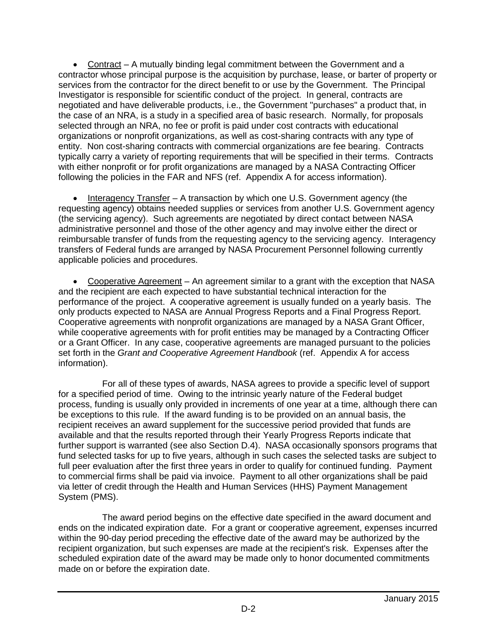Contract – A mutually binding legal commitment between the Government and a contractor whose principal purpose is the acquisition by purchase, lease, or barter of property or services from the contractor for the direct benefit to or use by the Government. The Principal Investigator is responsible for scientific conduct of the project. In general, contracts are negotiated and have deliverable products, i.e., the Government "purchases" a product that, in the case of an NRA, is a study in a specified area of basic research. Normally, for proposals selected through an NRA, no fee or profit is paid under cost contracts with educational organizations or nonprofit organizations, as well as cost-sharing contracts with any type of entity. Non cost-sharing contracts with commercial organizations are fee bearing. Contracts typically carry a variety of reporting requirements that will be specified in their terms. Contracts with either nonprofit or for profit organizations are managed by a NASA Contracting Officer following the policies in the FAR and NFS (ref. Appendix A for access information).

• Interagency Transfer – A transaction by which one U.S. Government agency (the requesting agency) obtains needed supplies or services from another U.S. Government agency (the servicing agency). Such agreements are negotiated by direct contact between NASA administrative personnel and those of the other agency and may involve either the direct or reimbursable transfer of funds from the requesting agency to the servicing agency. Interagency transfers of Federal funds are arranged by NASA Procurement Personnel following currently applicable policies and procedures.

• Cooperative Agreement – An agreement similar to a grant with the exception that NASA and the recipient are each expected to have substantial technical interaction for the performance of the project. A cooperative agreement is usually funded on a yearly basis. The only products expected to NASA are Annual Progress Reports and a Final Progress Report. Cooperative agreements with nonprofit organizations are managed by a NASA Grant Officer, while cooperative agreements with for profit entities may be managed by a Contracting Officer or a Grant Officer. In any case, cooperative agreements are managed pursuant to the policies set forth in the *Grant and Cooperative Agreement Handbook* (ref. Appendix A for access information).

For all of these types of awards, NASA agrees to provide a specific level of support for a specified period of time. Owing to the intrinsic yearly nature of the Federal budget process, funding is usually only provided in increments of one year at a time, although there can be exceptions to this rule. If the award funding is to be provided on an annual basis, the recipient receives an award supplement for the successive period provided that funds are available and that the results reported through their Yearly Progress Reports indicate that further support is warranted (see also Section D.4). NASA occasionally sponsors programs that fund selected tasks for up to five years, although in such cases the selected tasks are subject to full peer evaluation after the first three years in order to qualify for continued funding. Payment to commercial firms shall be paid via invoice. Payment to all other organizations shall be paid via letter of credit through the Health and Human Services (HHS) Payment Management System (PMS).

The award period begins on the effective date specified in the award document and ends on the indicated expiration date. For a grant or cooperative agreement, expenses incurred within the 90-day period preceding the effective date of the award may be authorized by the recipient organization, but such expenses are made at the recipient's risk. Expenses after the scheduled expiration date of the award may be made only to honor documented commitments made on or before the expiration date.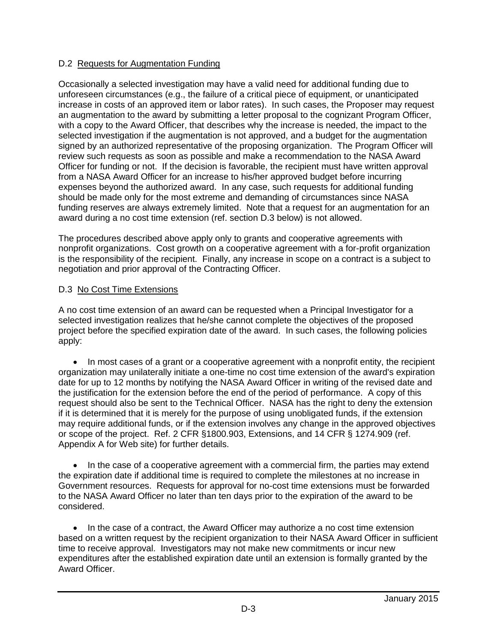### D.2 Requests for Augmentation Funding

Occasionally a selected investigation may have a valid need for additional funding due to unforeseen circumstances (e.g., the failure of a critical piece of equipment, or unanticipated increase in costs of an approved item or labor rates). In such cases, the Proposer may request an augmentation to the award by submitting a letter proposal to the cognizant Program Officer, with a copy to the Award Officer, that describes why the increase is needed, the impact to the selected investigation if the augmentation is not approved, and a budget for the augmentation signed by an authorized representative of the proposing organization. The Program Officer will review such requests as soon as possible and make a recommendation to the NASA Award Officer for funding or not. If the decision is favorable, the recipient must have written approval from a NASA Award Officer for an increase to his/her approved budget before incurring expenses beyond the authorized award. In any case, such requests for additional funding should be made only for the most extreme and demanding of circumstances since NASA funding reserves are always extremely limited. Note that a request for an augmentation for an award during a no cost time extension (ref. section D.3 below) is not allowed.

The procedures described above apply only to grants and cooperative agreements with nonprofit organizations. Cost growth on a cooperative agreement with a for-profit organization is the responsibility of the recipient. Finally, any increase in scope on a contract is a subject to negotiation and prior approval of the Contracting Officer.

### D.3 No Cost Time Extensions

A no cost time extension of an award can be requested when a Principal Investigator for a selected investigation realizes that he/she cannot complete the objectives of the proposed project before the specified expiration date of the award. In such cases, the following policies apply:

• In most cases of a grant or a cooperative agreement with a nonprofit entity, the recipient organization may unilaterally initiate a one-time no cost time extension of the award's expiration date for up to 12 months by notifying the NASA Award Officer in writing of the revised date and the justification for the extension before the end of the period of performance. A copy of this request should also be sent to the Technical Officer. NASA has the right to deny the extension if it is determined that it is merely for the purpose of using unobligated funds, if the extension may require additional funds, or if the extension involves any change in the approved objectives or scope of the project. Ref. 2 CFR §1800.903, Extensions, and 14 CFR § 1274.909 (ref. Appendix A for Web site) for further details.

• In the case of a cooperative agreement with a commercial firm, the parties may extend the expiration date if additional time is required to complete the milestones at no increase in Government resources. Requests for approval for no-cost time extensions must be forwarded to the NASA Award Officer no later than ten days prior to the expiration of the award to be considered.

 In the case of a contract, the Award Officer may authorize a no cost time extension based on a written request by the recipient organization to their NASA Award Officer in sufficient time to receive approval. Investigators may not make new commitments or incur new expenditures after the established expiration date until an extension is formally granted by the Award Officer.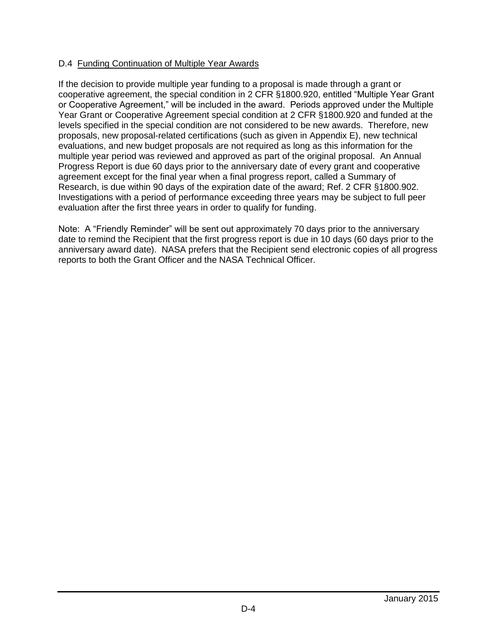### D.4 Funding Continuation of Multiple Year Awards

If the decision to provide multiple year funding to a proposal is made through a grant or cooperative agreement, the special condition in 2 CFR §1800.920, entitled "Multiple Year Grant or Cooperative Agreement," will be included in the award. Periods approved under the Multiple Year Grant or Cooperative Agreement special condition at 2 CFR §1800.920 and funded at the levels specified in the special condition are not considered to be new awards. Therefore, new proposals, new proposal-related certifications (such as given in Appendix E), new technical evaluations, and new budget proposals are not required as long as this information for the multiple year period was reviewed and approved as part of the original proposal. An Annual Progress Report is due 60 days prior to the anniversary date of every grant and cooperative agreement except for the final year when a final progress report, called a Summary of Research, is due within 90 days of the expiration date of the award; Ref. 2 CFR §1800.902. Investigations with a period of performance exceeding three years may be subject to full peer evaluation after the first three years in order to qualify for funding.

Note: A "Friendly Reminder" will be sent out approximately 70 days prior to the anniversary date to remind the Recipient that the first progress report is due in 10 days (60 days prior to the anniversary award date). NASA prefers that the Recipient send electronic copies of all progress reports to both the Grant Officer and the NASA Technical Officer.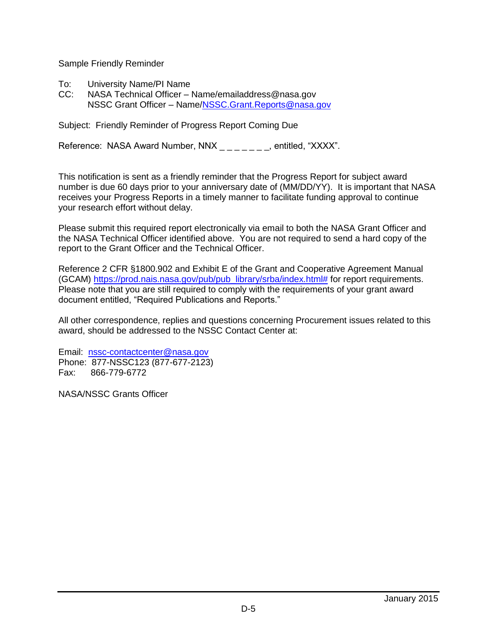Sample Friendly Reminder

- To: University Name/PI Name<br>CC: NASA Technical Officer -
- NASA Technical Officer Name/emailaddress@nasa.gov NSSC Grant Officer – Name[/NSSC.Grant.Reports@nasa.gov](mailto:NSSC.Grant.Reports@nasa.gov)

Subject: Friendly Reminder of Progress Report Coming Due

Reference: NASA Award Number, NNX \_\_\_\_\_\_\_, entitled, "XXXX".

This notification is sent as a friendly reminder that the Progress Report for subject award number is due 60 days prior to your anniversary date of (MM/DD/YY). It is important that NASA receives your Progress Reports in a timely manner to facilitate funding approval to continue your research effort without delay.

Please submit this required report electronically via email to both the NASA Grant Officer and the NASA Technical Officer identified above. You are not required to send a hard copy of the report to the Grant Officer and the Technical Officer.

Reference 2 CFR §1800.902 and Exhibit E of the Grant and Cooperative Agreement Manual (GCAM) [https://prod.nais.nasa.gov/pub/pub\\_library/srba/index.html#](https://prod.nais.nasa.gov/pub/pub_library/srba/index.html) for report requirements. Please note that you are still required to comply with the requirements of your grant award document entitled, "Required Publications and Reports."

All other correspondence, replies and questions concerning Procurement issues related to this award, should be addressed to the NSSC Contact Center at:

Email: [nssc-contactcenter@nasa.gov](mailto:nssc-contactcenter@nasa.gov) Phone: 877-NSSC123 (877-677-2123) Fax: 866-779-6772

NASA/NSSC Grants Officer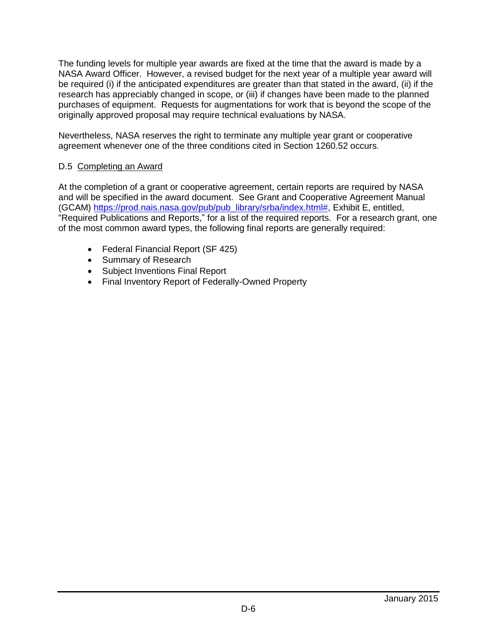The funding levels for multiple year awards are fixed at the time that the award is made by a NASA Award Officer. However, a revised budget for the next year of a multiple year award will be required (i) if the anticipated expenditures are greater than that stated in the award, (ii) if the research has appreciably changed in scope, or (iii) if changes have been made to the planned purchases of equipment. Requests for augmentations for work that is beyond the scope of the originally approved proposal may require technical evaluations by NASA.

Nevertheless, NASA reserves the right to terminate any multiple year grant or cooperative agreement whenever one of the three conditions cited in Section 1260.52 occurs.

#### D.5 Completing an Award

At the completion of a grant or cooperative agreement, certain reports are required by NASA and will be specified in the award document. See Grant and Cooperative Agreement Manual (GCAM) [https://prod.nais.nasa.gov/pub/pub\\_library/srba/index.html#,](https://prod.nais.nasa.gov/pub/pub_library/srba/index.html) Exhibit E, entitled, "Required Publications and Reports," for a list of the required reports. For a research grant, one of the most common award types, the following final reports are generally required:

- Federal Financial Report (SF 425)
- Summary of Research
- Subject Inventions Final Report
- Final Inventory Report of Federally-Owned Property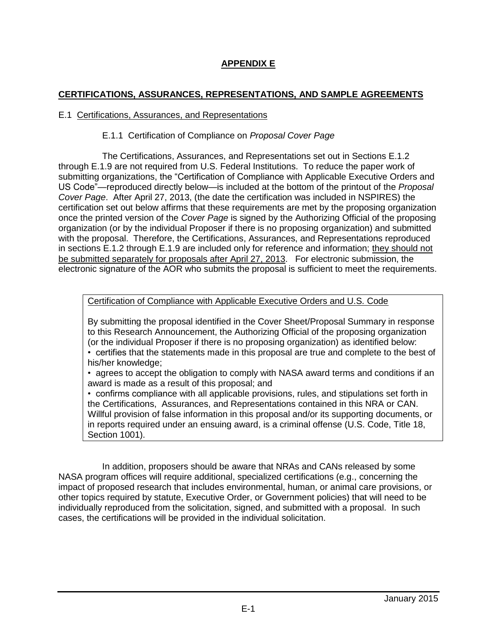# **APPENDIX E**

### **CERTIFICATIONS, ASSURANCES, REPRESENTATIONS, AND SAMPLE AGREEMENTS**

#### E.1 Certifications, Assurances, and Representations

#### E.1.1 Certification of Compliance on *Proposal Cover Page*

The Certifications, Assurances, and Representations set out in Sections E.1.2 through E.1.9 are not required from U.S. Federal Institutions. To reduce the paper work of submitting organizations, the "Certification of Compliance with Applicable Executive Orders and US Code"—reproduced directly below—is included at the bottom of the printout of the *Proposal Cover Page*. After April 27, 2013, (the date the certification was included in NSPIRES) the certification set out below affirms that these requirements are met by the proposing organization once the printed version of the *Cover Page* is signed by the Authorizing Official of the proposing organization (or by the individual Proposer if there is no proposing organization) and submitted with the proposal. Therefore, the Certifications, Assurances, and Representations reproduced in sections E.1.2 through E.1.9 are included only for reference and information; they should not be submitted separately for proposals after April 27, 2013. For electronic submission, the electronic signature of the AOR who submits the proposal is sufficient to meet the requirements.

Certification of Compliance with Applicable Executive Orders and U.S. Code

By submitting the proposal identified in the Cover Sheet/Proposal Summary in response to this Research Announcement, the Authorizing Official of the proposing organization (or the individual Proposer if there is no proposing organization) as identified below:

• certifies that the statements made in this proposal are true and complete to the best of his/her knowledge;

• agrees to accept the obligation to comply with NASA award terms and conditions if an award is made as a result of this proposal; and

• confirms compliance with all applicable provisions, rules, and stipulations set forth in the Certifications, Assurances, and Representations contained in this NRA or CAN. Willful provision of false information in this proposal and/or its supporting documents, or in reports required under an ensuing award, is a criminal offense (U.S. Code, Title 18, Section 1001).

In addition, proposers should be aware that NRAs and CANs released by some NASA program offices will require additional, specialized certifications (e.g., concerning the impact of proposed research that includes environmental, human, or animal care provisions, or other topics required by statute, Executive Order, or Government policies) that will need to be individually reproduced from the solicitation, signed, and submitted with a proposal. In such cases, the certifications will be provided in the individual solicitation.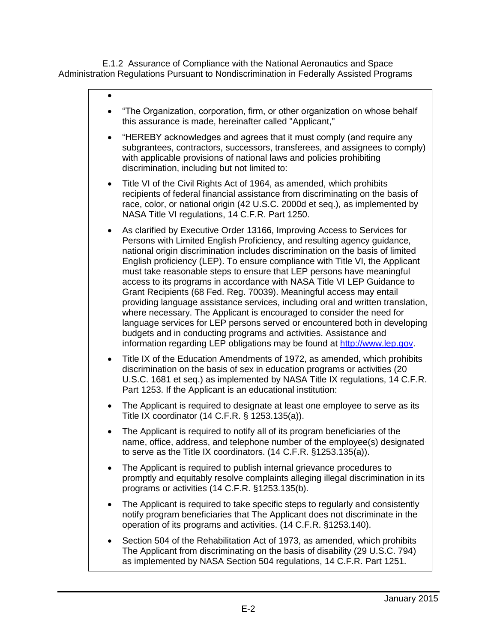E.1.2 Assurance of Compliance with the National Aeronautics and Space Administration Regulations Pursuant to Nondiscrimination in Federally Assisted Programs

#### $\bullet$

- "The Organization, corporation, firm, or other organization on whose behalf this assurance is made, hereinafter called "Applicant,"
- "HEREBY acknowledges and agrees that it must comply (and require any subgrantees, contractors, successors, transferees, and assignees to comply) with applicable provisions of national laws and policies prohibiting discrimination, including but not limited to:
- Title VI of the Civil Rights Act of 1964, as amended, which prohibits recipients of federal financial assistance from discriminating on the basis of race, color, or national origin (42 U.S.C. 2000d et seq.), as implemented by NASA Title VI regulations, 14 C.F.R. Part 1250.
- As clarified by Executive Order 13166, Improving Access to Services for Persons with Limited English Proficiency, and resulting agency guidance, national origin discrimination includes discrimination on the basis of limited English proficiency (LEP). To ensure compliance with Title VI, the Applicant must take reasonable steps to ensure that LEP persons have meaningful access to its programs in accordance with NASA Title VI LEP Guidance to Grant Recipients (68 Fed. Reg. 70039). Meaningful access may entail providing language assistance services, including oral and written translation, where necessary. The Applicant is encouraged to consider the need for language services for LEP persons served or encountered both in developing budgets and in conducting programs and activities. Assistance and information regarding LEP obligations may be found at [http://www.lep.gov.](http://www.lep.gov/)
- Title IX of the Education Amendments of 1972, as amended, which prohibits discrimination on the basis of sex in education programs or activities (20 U.S.C. 1681 et seq.) as implemented by NASA Title IX regulations, 14 C.F.R. Part 1253. If the Applicant is an educational institution:
- The Applicant is required to designate at least one employee to serve as its Title IX coordinator (14 C.F.R. § 1253.135(a)).
- The Applicant is required to notify all of its program beneficiaries of the name, office, address, and telephone number of the employee(s) designated to serve as the Title IX coordinators. (14 C.F.R. §1253.135(a)).
- The Applicant is required to publish internal grievance procedures to promptly and equitably resolve complaints alleging illegal discrimination in its programs or activities (14 C.F.R. §1253.135(b).
- The Applicant is required to take specific steps to regularly and consistently notify program beneficiaries that The Applicant does not discriminate in the operation of its programs and activities. (14 C.F.R. §1253.140).
- Section 504 of the Rehabilitation Act of 1973, as amended, which prohibits The Applicant from discriminating on the basis of disability (29 U.S.C. 794) as implemented by NASA Section 504 regulations, 14 C.F.R. Part 1251.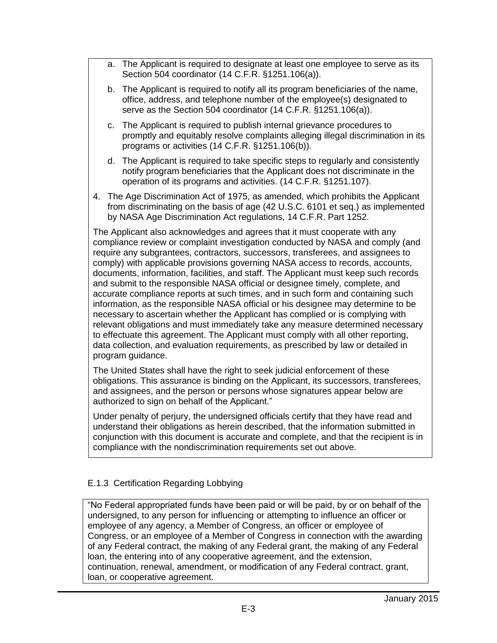- a. The Applicant is required to designate at least one employee to serve as its Section 504 coordinator (14 C.F.R. §1251.106(a)).
- b. The Applicant is required to notify all its program beneficiaries of the name, office, address, and telephone number of the employee(s) designated to serve as the Section 504 coordinator (14 C.F.R. §1251.106(a)).
- c. The Applicant is required to publish internal grievance procedures to promptly and equitably resolve complaints alleging illegal discrimination in its programs or activities (14 C.F.R. §1251.106(b)).
- d. The Applicant is required to take specific steps to regularly and consistently notify program beneficiaries that the Applicant does not discriminate in the operation of its programs and activities. (14 C.F.R. §1251.107).
- 4. The Age Discrimination Act of 1975, as amended, which prohibits the Applicant from discriminating on the basis of age (42 U.S.C. 6101 et seq.) as implemented by NASA Age Discrimination Act regulations, 14 C.F.R. Part 1252.

The Applicant also acknowledges and agrees that it must cooperate with any compliance review or complaint investigation conducted by NASA and comply (and require any subgrantees, contractors, successors, transferees, and assignees to comply) with applicable provisions governing NASA access to records, accounts, documents, information, facilities, and staff. The Applicant must keep such records and submit to the responsible NASA official or designee timely, complete, and accurate compliance reports at such times, and in such form and containing such information, as the responsible NASA official or his designee may determine to be necessary to ascertain whether the Applicant has complied or is complying with relevant obligations and must immediately take any measure determined necessary to effectuate this agreement. The Applicant must comply with all other reporting, data collection, and evaluation requirements, as prescribed by law or detailed in program guidance.

The United States shall have the right to seek judicial enforcement of these obligations. This assurance is binding on the Applicant, its successors, transferees, and assignees, and the person or persons whose signatures appear below are authorized to sign on behalf of the Applicant."

Under penalty of perjury, the undersigned officials certify that they have read and understand their obligations as herein described, that the information submitted in conjunction with this document is accurate and complete, and that the recipient is in compliance with the nondiscrimination requirements set out above.

### E.1.3 Certification Regarding Lobbying

"No Federal appropriated funds have been paid or will be paid, by or on behalf of the undersigned, to any person for influencing or attempting to influence an officer or employee of any agency, a Member of Congress, an officer or employee of Congress, or an employee of a Member of Congress in connection with the awarding of any Federal contract, the making of any Federal grant, the making of any Federal loan, the entering into of any cooperative agreement, and the extension, continuation, renewal, amendment, or modification of any Federal contract, grant, loan, or cooperative agreement.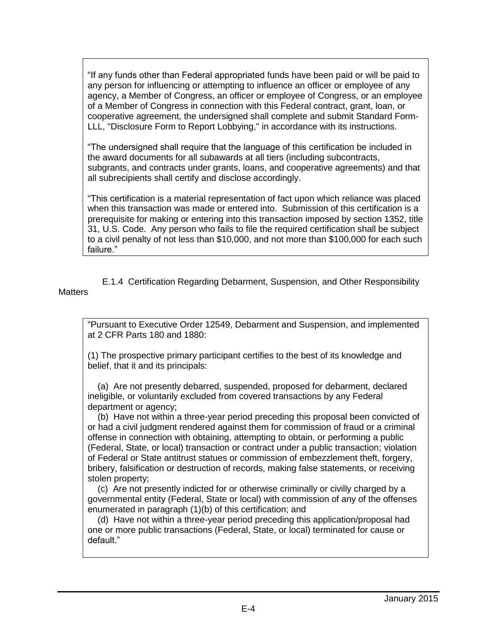"If any funds other than Federal appropriated funds have been paid or will be paid to any person for influencing or attempting to influence an officer or employee of any agency, a Member of Congress, an officer or employee of Congress, or an employee of a Member of Congress in connection with this Federal contract, grant, loan, or cooperative agreement, the undersigned shall complete and submit Standard Form-LLL, "Disclosure Form to Report Lobbying," in accordance with its instructions.

"The undersigned shall require that the language of this certification be included in the award documents for all subawards at all tiers (including subcontracts, subgrants, and contracts under grants, loans, and cooperative agreements) and that all subrecipients shall certify and disclose accordingly.

"This certification is a material representation of fact upon which reliance was placed when this transaction was made or entered into. Submission of this certification is a prerequisite for making or entering into this transaction imposed by section 1352, title 31, U.S. Code. Any person who fails to file the required certification shall be subject to a civil penalty of not less than \$10,000, and not more than \$100,000 for each such failure."

E.1.4 Certification Regarding Debarment, Suspension, and Other Responsibility **Matters** 

"Pursuant to Executive Order 12549, Debarment and Suspension, and implemented at 2 CFR Parts 180 and 1880:

(1) The prospective primary participant certifies to the best of its knowledge and belief, that it and its principals:

 (a) Are not presently debarred, suspended, proposed for debarment, declared ineligible, or voluntarily excluded from covered transactions by any Federal department or agency;

 (b) Have not within a three-year period preceding this proposal been convicted of or had a civil judgment rendered against them for commission of fraud or a criminal offense in connection with obtaining, attempting to obtain, or performing a public (Federal, State, or local) transaction or contract under a public transaction; violation of Federal or State antitrust statues or commission of embezzlement theft, forgery, bribery, falsification or destruction of records, making false statements, or receiving stolen property;

 (c) Are not presently indicted for or otherwise criminally or civilly charged by a governmental entity (Federal, State or local) with commission of any of the offenses enumerated in paragraph (1)(b) of this certification; and

 (d) Have not within a three-year period preceding this application/proposal had one or more public transactions (Federal, State, or local) terminated for cause or default."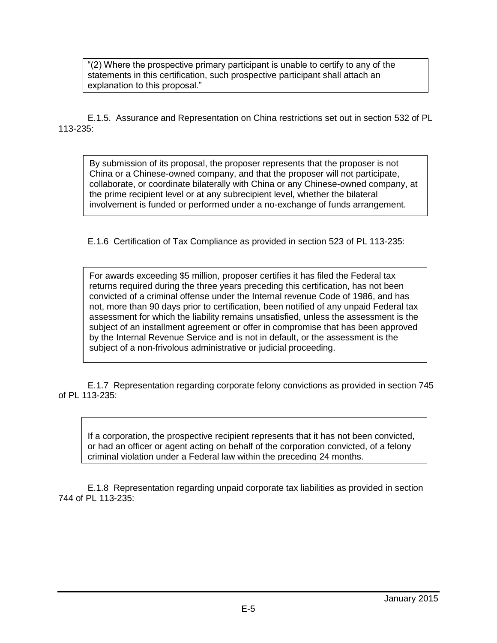"(2) Where the prospective primary participant is unable to certify to any of the statements in this certification, such prospective participant shall attach an explanation to this proposal."

E.1.5. Assurance and Representation on China restrictions set out in section 532 of PL 113-235:

By submission of its proposal, the proposer represents that the proposer is not China or a Chinese-owned company, and that the proposer will not participate, collaborate, or coordinate bilaterally with China or any Chinese-owned company, at the prime recipient level or at any subrecipient level, whether the bilateral involvement is funded or performed under a no-exchange of funds arrangement.

E.1.6 Certification of Tax Compliance as provided in section 523 of PL 113-235:

For awards exceeding \$5 million, proposer certifies it has filed the Federal tax returns required during the three years preceding this certification, has not been convicted of a criminal offense under the Internal revenue Code of 1986, and has not, more than 90 days prior to certification, been notified of any unpaid Federal tax assessment for which the liability remains unsatisfied, unless the assessment is the subject of an installment agreement or offer in compromise that has been approved by the Internal Revenue Service and is not in default, or the assessment is the subject of a non-frivolous administrative or judicial proceeding.

E.1.7 Representation regarding corporate felony convictions as provided in section 745 of PL 113-235:

If a corporation, the prospective recipient represents that it has not been convicted, or had an officer or agent acting on behalf of the corporation convicted, of a felony criminal violation under a Federal law within the preceding 24 months.

E.1.8 Representation regarding unpaid corporate tax liabilities as provided in section 744 of PL 113-235: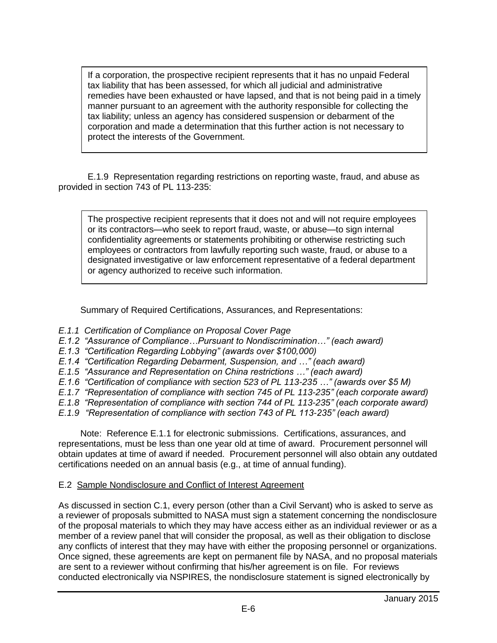If a corporation, the prospective recipient represents that it has no unpaid Federal tax liability that has been assessed, for which all judicial and administrative remedies have been exhausted or have lapsed, and that is not being paid in a timely manner pursuant to an agreement with the authority responsible for collecting the tax liability; unless an agency has considered suspension or debarment of the corporation and made a determination that this further action is not necessary to protect the interests of the Government.

E.1.9 Representation regarding restrictions on reporting waste, fraud, and abuse as provided in section 743 of PL 113-235:

The prospective recipient represents that it does not and will not require employees or its contractors—who seek to report fraud, waste, or abuse—to sign internal confidentiality agreements or statements prohibiting or otherwise restricting such employees or contractors from lawfully reporting such waste, fraud, or abuse to a designated investigative or law enforcement representative of a federal department or agency authorized to receive such information.

Summary of Required Certifications, Assurances, and Representations:

- *E.1.1 Certification of Compliance on Proposal Cover Page*
- *E.1.2 "Assurance of Compliance…Pursuant to Nondiscrimination…" (each award)*
- *E.1.3 "Certification Regarding Lobbying" (awards over \$100,000)*
- *E.1.4 "Certification Regarding Debarment, Suspension, and …" (each award)*
- *E.1.5 "Assurance and Representation on China restrictions …" (each award)*
- *E.1.6 "Certification of compliance with section 523 of PL 113-235 …" (awards over \$5 M)*
- *E.1.7 "Representation of compliance with section 745 of PL 113-235" (each corporate award)*
- *E.1.8 "Representation of compliance with section 744 of PL 113-235" (each corporate award)*
- *E.1.9 "Representation of compliance with section 743 of PL 113-235" (each award)*

Note: Reference E.1.1 for electronic submissions. Certifications, assurances, and representations, must be less than one year old at time of award. Procurement personnel will obtain updates at time of award if needed. Procurement personnel will also obtain any outdated certifications needed on an annual basis (e.g., at time of annual funding).

#### E.2 Sample Nondisclosure and Conflict of Interest Agreement

As discussed in section C.1, every person (other than a Civil Servant) who is asked to serve as a reviewer of proposals submitted to NASA must sign a statement concerning the nondisclosure of the proposal materials to which they may have access either as an individual reviewer or as a member of a review panel that will consider the proposal, as well as their obligation to disclose any conflicts of interest that they may have with either the proposing personnel or organizations. Once signed, these agreements are kept on permanent file by NASA, and no proposal materials are sent to a reviewer without confirming that his/her agreement is on file. For reviews conducted electronically via NSPIRES, the nondisclosure statement is signed electronically by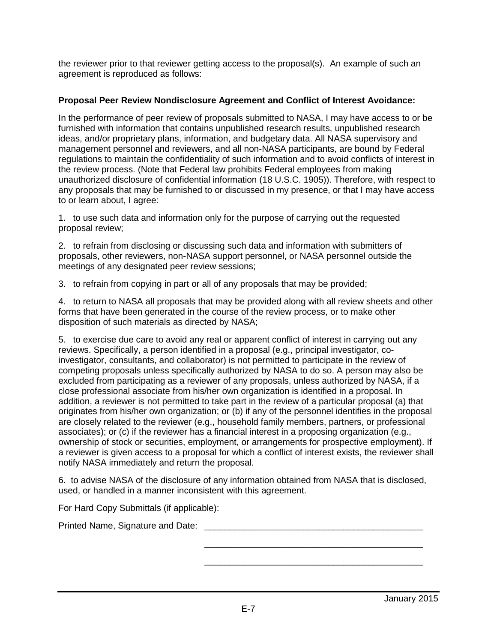the reviewer prior to that reviewer getting access to the proposal(s). An example of such an agreement is reproduced as follows:

### **Proposal Peer Review Nondisclosure Agreement and Conflict of Interest Avoidance:**

In the performance of peer review of proposals submitted to NASA, I may have access to or be furnished with information that contains unpublished research results, unpublished research ideas, and/or proprietary plans, information, and budgetary data. All NASA supervisory and management personnel and reviewers, and all non-NASA participants, are bound by Federal regulations to maintain the confidentiality of such information and to avoid conflicts of interest in the review process. (Note that Federal law prohibits Federal employees from making unauthorized disclosure of confidential information (18 U.S.C. 1905)). Therefore, with respect to any proposals that may be furnished to or discussed in my presence, or that I may have access to or learn about, I agree:

1. to use such data and information only for the purpose of carrying out the requested proposal review;

2. to refrain from disclosing or discussing such data and information with submitters of proposals, other reviewers, non-NASA support personnel, or NASA personnel outside the meetings of any designated peer review sessions;

3. to refrain from copying in part or all of any proposals that may be provided;

4. to return to NASA all proposals that may be provided along with all review sheets and other forms that have been generated in the course of the review process, or to make other disposition of such materials as directed by NASA;

5. to exercise due care to avoid any real or apparent conflict of interest in carrying out any reviews. Specifically, a person identified in a proposal (e.g., principal investigator, coinvestigator, consultants, and collaborator) is not permitted to participate in the review of competing proposals unless specifically authorized by NASA to do so. A person may also be excluded from participating as a reviewer of any proposals, unless authorized by NASA, if a close professional associate from his/her own organization is identified in a proposal. In addition, a reviewer is not permitted to take part in the review of a particular proposal (a) that originates from his/her own organization; or (b) if any of the personnel identifies in the proposal are closely related to the reviewer (e.g., household family members, partners, or professional associates); or (c) if the reviewer has a financial interest in a proposing organization (e.g., ownership of stock or securities, employment, or arrangements for prospective employment). If a reviewer is given access to a proposal for which a conflict of interest exists, the reviewer shall notify NASA immediately and return the proposal.

6. to advise NASA of the disclosure of any information obtained from NASA that is disclosed, used, or handled in a manner inconsistent with this agreement.

For Hard Copy Submittals (if applicable):

Printed Name, Signature and Date: \_\_\_\_\_\_\_\_\_\_\_\_\_\_\_\_\_\_\_\_\_\_\_\_\_\_\_\_\_\_\_\_\_\_\_\_\_\_\_\_\_\_\_\_

\_\_\_\_\_\_\_\_\_\_\_\_\_\_\_\_\_\_\_\_\_\_\_\_\_\_\_\_\_\_\_\_\_\_\_\_\_\_\_\_\_\_\_\_

\_\_\_\_\_\_\_\_\_\_\_\_\_\_\_\_\_\_\_\_\_\_\_\_\_\_\_\_\_\_\_\_\_\_\_\_\_\_\_\_\_\_\_\_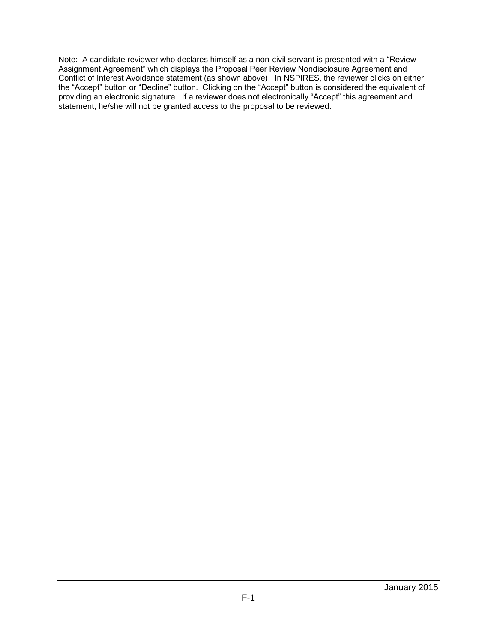Note: A candidate reviewer who declares himself as a non-civil servant is presented with a "Review Assignment Agreement" which displays the Proposal Peer Review Nondisclosure Agreement and Conflict of Interest Avoidance statement (as shown above). In NSPIRES, the reviewer clicks on either the "Accept" button or "Decline" button. Clicking on the "Accept" button is considered the equivalent of providing an electronic signature. If a reviewer does not electronically "Accept" this agreement and statement, he/she will not be granted access to the proposal to be reviewed.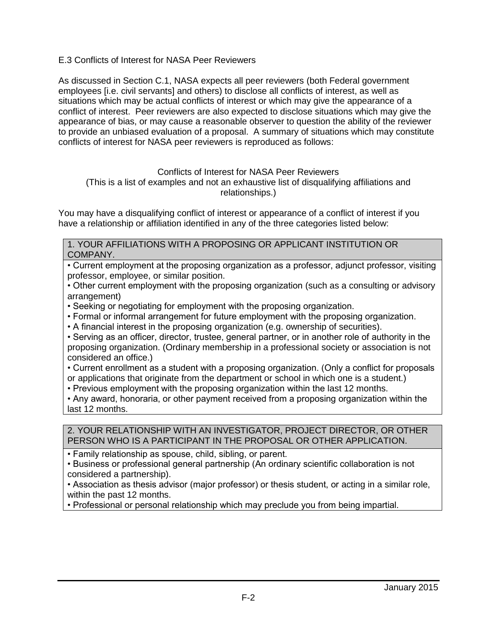E.3 Conflicts of Interest for NASA Peer Reviewers

As discussed in Section C.1, NASA expects all peer reviewers (both Federal government employees [i.e. civil servants] and others) to disclose all conflicts of interest, as well as situations which may be actual conflicts of interest or which may give the appearance of a conflict of interest. Peer reviewers are also expected to disclose situations which may give the appearance of bias, or may cause a reasonable observer to question the ability of the reviewer to provide an unbiased evaluation of a proposal. A summary of situations which may constitute conflicts of interest for NASA peer reviewers is reproduced as follows:

#### Conflicts of Interest for NASA Peer Reviewers

(This is a list of examples and not an exhaustive list of disqualifying affiliations and relationships.)

You may have a disqualifying conflict of interest or appearance of a conflict of interest if you have a relationship or affiliation identified in any of the three categories listed below:

1. YOUR AFFILIATIONS WITH A PROPOSING OR APPLICANT INSTITUTION OR COMPANY.

• Current employment at the proposing organization as a professor, adjunct professor, visiting professor, employee, or similar position.

• Other current employment with the proposing organization (such as a consulting or advisory arrangement)

- Seeking or negotiating for employment with the proposing organization.
- Formal or informal arrangement for future employment with the proposing organization.
- A financial interest in the proposing organization (e.g. ownership of securities).

• Serving as an officer, director, trustee, general partner, or in another role of authority in the proposing organization. (Ordinary membership in a professional society or association is not considered an office.)

• Current enrollment as a student with a proposing organization. (Only a conflict for proposals or applications that originate from the department or school in which one is a student.)

• Previous employment with the proposing organization within the last 12 months.

• Any award, honoraria, or other payment received from a proposing organization within the last 12 months.

#### 2. YOUR RELATIONSHIP WITH AN INVESTIGATOR, PROJECT DIRECTOR, OR OTHER PERSON WHO IS A PARTICIPANT IN THE PROPOSAL OR OTHER APPLICATION.

• Family relationship as spouse, child, sibling, or parent.

• Business or professional general partnership (An ordinary scientific collaboration is not considered a partnership).

• Association as thesis advisor (major professor) or thesis student, or acting in a similar role, within the past 12 months.

• Professional or personal relationship which may preclude you from being impartial.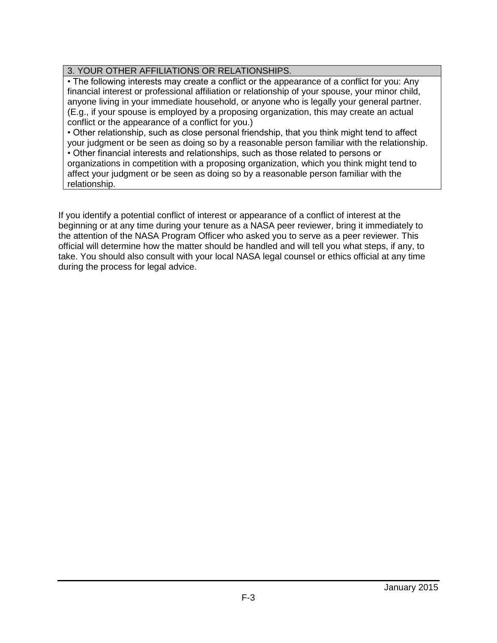### 3. YOUR OTHER AFFILIATIONS OR RELATIONSHIPS.

• The following interests may create a conflict or the appearance of a conflict for you: Any financial interest or professional affiliation or relationship of your spouse, your minor child, anyone living in your immediate household, or anyone who is legally your general partner. (E.g., if your spouse is employed by a proposing organization, this may create an actual conflict or the appearance of a conflict for you.)

• Other relationship, such as close personal friendship, that you think might tend to affect your judgment or be seen as doing so by a reasonable person familiar with the relationship.

• Other financial interests and relationships, such as those related to persons or organizations in competition with a proposing organization, which you think might tend to affect your judgment or be seen as doing so by a reasonable person familiar with the relationship.

If you identify a potential conflict of interest or appearance of a conflict of interest at the beginning or at any time during your tenure as a NASA peer reviewer, bring it immediately to the attention of the NASA Program Officer who asked you to serve as a peer reviewer. This official will determine how the matter should be handled and will tell you what steps, if any, to take. You should also consult with your local NASA legal counsel or ethics official at any time during the process for legal advice.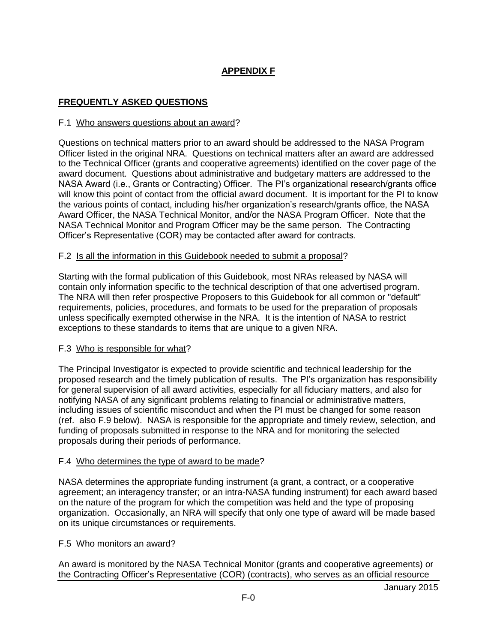# **APPENDIX F**

### **FREQUENTLY ASKED QUESTIONS**

#### F.1 Who answers questions about an award?

Questions on technical matters prior to an award should be addressed to the NASA Program Officer listed in the original NRA. Questions on technical matters after an award are addressed to the Technical Officer (grants and cooperative agreements) identified on the cover page of the award document. Questions about administrative and budgetary matters are addressed to the NASA Award (i.e., Grants or Contracting) Officer. The PI's organizational research/grants office will know this point of contact from the official award document. It is important for the PI to know the various points of contact, including his/her organization's research/grants office, the NASA Award Officer, the NASA Technical Monitor, and/or the NASA Program Officer. Note that the NASA Technical Monitor and Program Officer may be the same person. The Contracting Officer's Representative (COR) may be contacted after award for contracts.

#### F.2 Is all the information in this Guidebook needed to submit a proposal?

Starting with the formal publication of this Guidebook, most NRAs released by NASA will contain only information specific to the technical description of that one advertised program. The NRA will then refer prospective Proposers to this Guidebook for all common or "default" requirements, policies, procedures, and formats to be used for the preparation of proposals unless specifically exempted otherwise in the NRA. It is the intention of NASA to restrict exceptions to these standards to items that are unique to a given NRA.

#### F.3 Who is responsible for what?

The Principal Investigator is expected to provide scientific and technical leadership for the proposed research and the timely publication of results. The PI's organization has responsibility for general supervision of all award activities, especially for all fiduciary matters, and also for notifying NASA of any significant problems relating to financial or administrative matters, including issues of scientific misconduct and when the PI must be changed for some reason (ref. also F.9 below). NASA is responsible for the appropriate and timely review, selection, and funding of proposals submitted in response to the NRA and for monitoring the selected proposals during their periods of performance.

#### F.4 Who determines the type of award to be made?

NASA determines the appropriate funding instrument (a grant, a contract, or a cooperative agreement; an interagency transfer; or an intra-NASA funding instrument) for each award based on the nature of the program for which the competition was held and the type of proposing organization. Occasionally, an NRA will specify that only one type of award will be made based on its unique circumstances or requirements.

#### F.5 Who monitors an award?

An award is monitored by the NASA Technical Monitor (grants and cooperative agreements) or the Contracting Officer's Representative (COR) (contracts), who serves as an official resource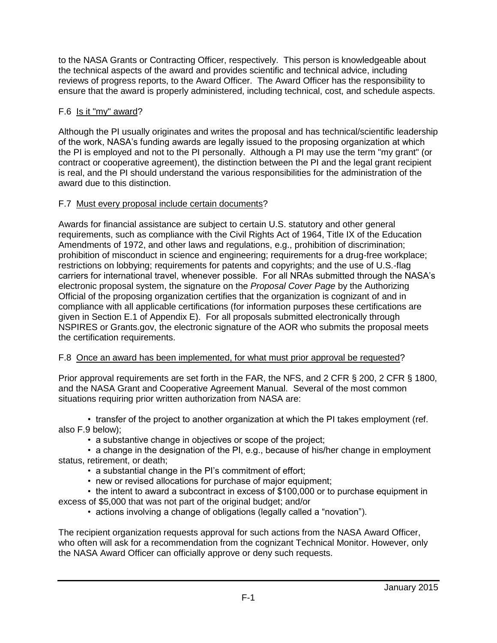to the NASA Grants or Contracting Officer, respectively. This person is knowledgeable about the technical aspects of the award and provides scientific and technical advice, including reviews of progress reports, to the Award Officer. The Award Officer has the responsibility to ensure that the award is properly administered, including technical, cost, and schedule aspects.

## F.6 Is it "my" award?

Although the PI usually originates and writes the proposal and has technical/scientific leadership of the work, NASA's funding awards are legally issued to the proposing organization at which the PI is employed and not to the PI personally. Although a PI may use the term "my grant" (or contract or cooperative agreement), the distinction between the PI and the legal grant recipient is real, and the PI should understand the various responsibilities for the administration of the award due to this distinction.

## F.7 Must every proposal include certain documents?

Awards for financial assistance are subject to certain U.S. statutory and other general requirements, such as compliance with the Civil Rights Act of 1964, Title IX of the Education Amendments of 1972, and other laws and regulations, e.g., prohibition of discrimination; prohibition of misconduct in science and engineering; requirements for a drug-free workplace; restrictions on lobbying; requirements for patents and copyrights; and the use of U.S.-flag carriers for international travel, whenever possible. For all NRAs submitted through the NASA's electronic proposal system, the signature on the *Proposal Cover Page* by the Authorizing Official of the proposing organization certifies that the organization is cognizant of and in compliance with all applicable certifications (for information purposes these certifications are given in Section E.1 of Appendix E). For all proposals submitted electronically through NSPIRES or Grants.gov, the electronic signature of the AOR who submits the proposal meets the certification requirements.

### F.8 Once an award has been implemented, for what must prior approval be requested?

Prior approval requirements are set forth in the FAR, the NFS, and 2 CFR § 200, 2 CFR § 1800, and the NASA Grant and Cooperative Agreement Manual. Several of the most common situations requiring prior written authorization from NASA are:

• transfer of the project to another organization at which the PI takes employment (ref. also F.9 below);

• a substantive change in objectives or scope of the project;

• a change in the designation of the PI, e.g., because of his/her change in employment status, retirement, or death;

- a substantial change in the PI's commitment of effort;
- new or revised allocations for purchase of major equipment;

• the intent to award a subcontract in excess of \$100,000 or to purchase equipment in excess of \$5,000 that was not part of the original budget; and/or

• actions involving a change of obligations (legally called a "novation").

The recipient organization requests approval for such actions from the NASA Award Officer, who often will ask for a recommendation from the cognizant Technical Monitor. However, only the NASA Award Officer can officially approve or deny such requests.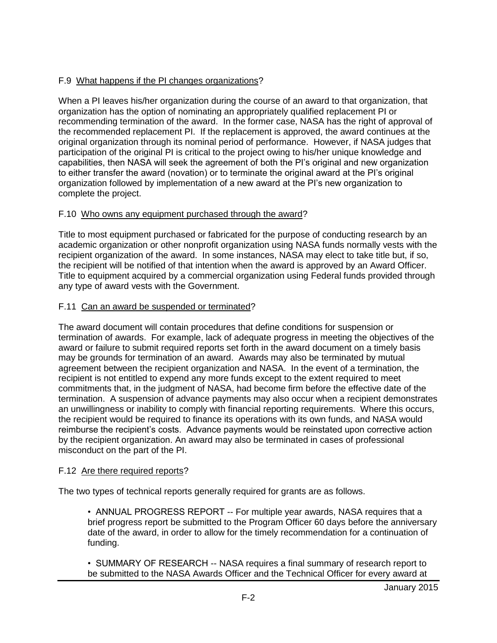## F.9 What happens if the PI changes organizations?

When a PI leaves his/her organization during the course of an award to that organization, that organization has the option of nominating an appropriately qualified replacement PI or recommending termination of the award. In the former case, NASA has the right of approval of the recommended replacement PI. If the replacement is approved, the award continues at the original organization through its nominal period of performance. However, if NASA judges that participation of the original PI is critical to the project owing to his/her unique knowledge and capabilities, then NASA will seek the agreement of both the PI's original and new organization to either transfer the award (novation) or to terminate the original award at the PI's original organization followed by implementation of a new award at the PI's new organization to complete the project.

### F.10 Who owns any equipment purchased through the award?

Title to most equipment purchased or fabricated for the purpose of conducting research by an academic organization or other nonprofit organization using NASA funds normally vests with the recipient organization of the award. In some instances, NASA may elect to take title but, if so, the recipient will be notified of that intention when the award is approved by an Award Officer. Title to equipment acquired by a commercial organization using Federal funds provided through any type of award vests with the Government.

## F.11 Can an award be suspended or terminated?

The award document will contain procedures that define conditions for suspension or termination of awards. For example, lack of adequate progress in meeting the objectives of the award or failure to submit required reports set forth in the award document on a timely basis may be grounds for termination of an award. Awards may also be terminated by mutual agreement between the recipient organization and NASA. In the event of a termination, the recipient is not entitled to expend any more funds except to the extent required to meet commitments that, in the judgment of NASA, had become firm before the effective date of the termination. A suspension of advance payments may also occur when a recipient demonstrates an unwillingness or inability to comply with financial reporting requirements. Where this occurs, the recipient would be required to finance its operations with its own funds, and NASA would reimburse the recipient's costs. Advance payments would be reinstated upon corrective action by the recipient organization. An award may also be terminated in cases of professional misconduct on the part of the PI.

### F.12 Are there required reports?

The two types of technical reports generally required for grants are as follows.

• ANNUAL PROGRESS REPORT -- For multiple year awards, NASA requires that a brief progress report be submitted to the Program Officer 60 days before the anniversary date of the award, in order to allow for the timely recommendation for a continuation of funding.

• SUMMARY OF RESEARCH -- NASA requires a final summary of research report to be submitted to the NASA Awards Officer and the Technical Officer for every award at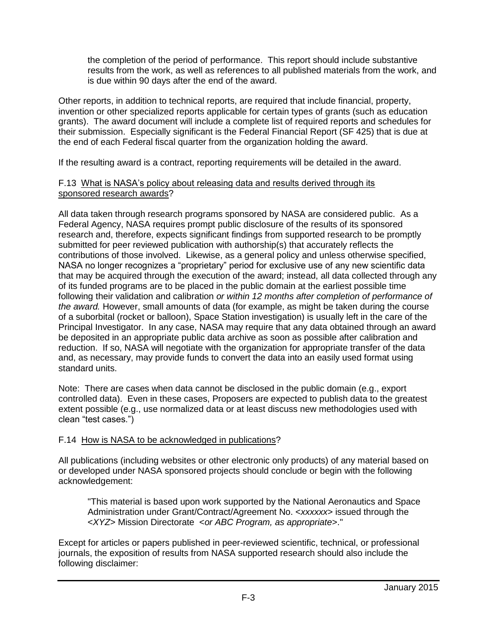the completion of the period of performance. This report should include substantive results from the work, as well as references to all published materials from the work, and is due within 90 days after the end of the award.

Other reports, in addition to technical reports, are required that include financial, property, invention or other specialized reports applicable for certain types of grants (such as education grants). The award document will include a complete list of required reports and schedules for their submission. Especially significant is the Federal Financial Report (SF 425) that is due at the end of each Federal fiscal quarter from the organization holding the award.

If the resulting award is a contract, reporting requirements will be detailed in the award.

### F.13 What is NASA's policy about releasing data and results derived through its sponsored research awards?

All data taken through research programs sponsored by NASA are considered public. As a Federal Agency, NASA requires prompt public disclosure of the results of its sponsored research and, therefore, expects significant findings from supported research to be promptly submitted for peer reviewed publication with authorship(s) that accurately reflects the contributions of those involved. Likewise, as a general policy and unless otherwise specified, NASA no longer recognizes a "proprietary" period for exclusive use of any new scientific data that may be acquired through the execution of the award; instead, all data collected through any of its funded programs are to be placed in the public domain at the earliest possible time following their validation and calibration *or within 12 months after completion of performance of the award.* However, small amounts of data (for example, as might be taken during the course of a suborbital (rocket or balloon), Space Station investigation) is usually left in the care of the Principal Investigator. In any case, NASA may require that any data obtained through an award be deposited in an appropriate public data archive as soon as possible after calibration and reduction. If so, NASA will negotiate with the organization for appropriate transfer of the data and, as necessary, may provide funds to convert the data into an easily used format using standard units.

Note: There are cases when data cannot be disclosed in the public domain (e.g., export controlled data). Even in these cases, Proposers are expected to publish data to the greatest extent possible (e.g., use normalized data or at least discuss new methodologies used with clean "test cases.")

### F.14 How is NASA to be acknowledged in publications?

All publications (including websites or other electronic only products) of any material based on or developed under NASA sponsored projects should conclude or begin with the following acknowledgement:

"This material is based upon work supported by the National Aeronautics and Space Administration under Grant/Contract/Agreement No. <*xxxxxx*> issued through the <*XYZ*> Mission Directorate <*or ABC Program, as appropriate*>."

Except for articles or papers published in peer-reviewed scientific, technical, or professional journals, the exposition of results from NASA supported research should also include the following disclaimer: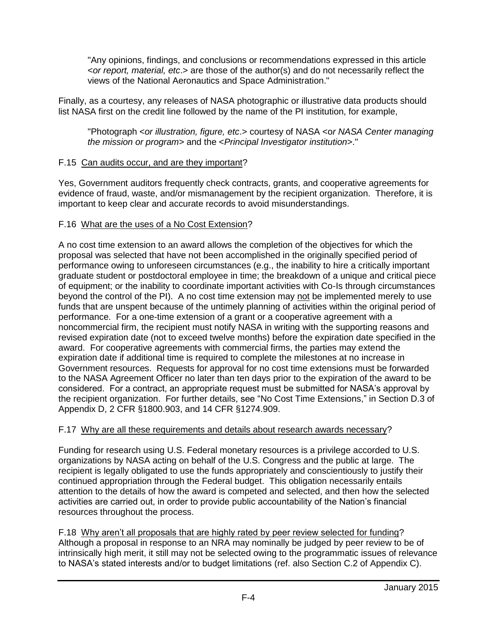"Any opinions, findings, and conclusions or recommendations expressed in this article <*or report, material, etc*.> are those of the author(s) and do not necessarily reflect the views of the National Aeronautics and Space Administration."

Finally, as a courtesy, any releases of NASA photographic or illustrative data products should list NASA first on the credit line followed by the name of the PI institution, for example,

"Photograph <*or illustration, figure, etc*.> courtesy of NASA <o*r NASA Center managing the mission or program*> and the <*Principal Investigator institution*>."

### F.15 Can audits occur, and are they important?

Yes, Government auditors frequently check contracts, grants, and cooperative agreements for evidence of fraud, waste, and/or mismanagement by the recipient organization. Therefore, it is important to keep clear and accurate records to avoid misunderstandings.

## F.16 What are the uses of a No Cost Extension?

A no cost time extension to an award allows the completion of the objectives for which the proposal was selected that have not been accomplished in the originally specified period of performance owing to unforeseen circumstances (e.g., the inability to hire a critically important graduate student or postdoctoral employee in time; the breakdown of a unique and critical piece of equipment; or the inability to coordinate important activities with Co-Is through circumstances beyond the control of the PI). A no cost time extension may not be implemented merely to use funds that are unspent because of the untimely planning of activities within the original period of performance. For a one-time extension of a grant or a cooperative agreement with a noncommercial firm, the recipient must notify NASA in writing with the supporting reasons and revised expiration date (not to exceed twelve months) before the expiration date specified in the award. For cooperative agreements with commercial firms, the parties may extend the expiration date if additional time is required to complete the milestones at no increase in Government resources. Requests for approval for no cost time extensions must be forwarded to the NASA Agreement Officer no later than ten days prior to the expiration of the award to be considered. For a contract, an appropriate request must be submitted for NASA's approval by the recipient organization. For further details, see "No Cost Time Extensions," in Section D.3 of Appendix D, 2 CFR §1800.903, and 14 CFR §1274.909.

### F.17 Why are all these requirements and details about research awards necessary?

Funding for research using U.S. Federal monetary resources is a privilege accorded to U.S. organizations by NASA acting on behalf of the U.S. Congress and the public at large. The recipient is legally obligated to use the funds appropriately and conscientiously to justify their continued appropriation through the Federal budget. This obligation necessarily entails attention to the details of how the award is competed and selected, and then how the selected activities are carried out, in order to provide public accountability of the Nation's financial resources throughout the process.

F.18 Why aren't all proposals that are highly rated by peer review selected for funding? Although a proposal in response to an NRA may nominally be judged by peer review to be of intrinsically high merit, it still may not be selected owing to the programmatic issues of relevance to NASA's stated interests and/or to budget limitations (ref. also Section C.2 of Appendix C).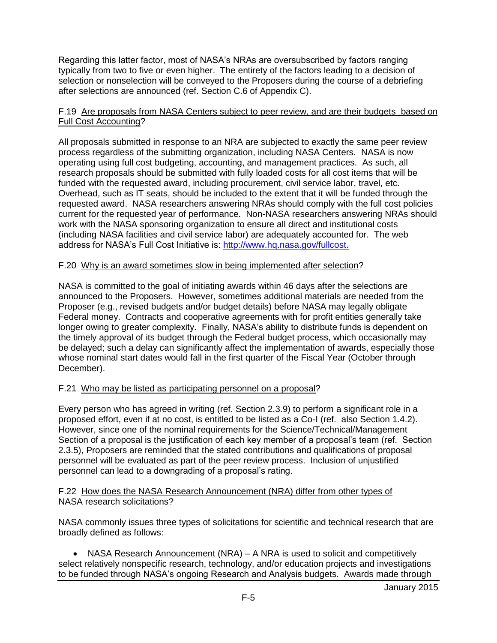Regarding this latter factor, most of NASA's NRAs are oversubscribed by factors ranging typically from two to five or even higher. The entirety of the factors leading to a decision of selection or nonselection will be conveyed to the Proposers during the course of a debriefing after selections are announced (ref. Section C.6 of Appendix C).

#### F.19 Are proposals from NASA Centers subject to peer review, and are their budgets based on Full Cost Accounting?

All proposals submitted in response to an NRA are subjected to exactly the same peer review process regardless of the submitting organization, including NASA Centers. NASA is now operating using full cost budgeting, accounting, and management practices. As such, all research proposals should be submitted with fully loaded costs for all cost items that will be funded with the requested award, including procurement, civil service labor, travel, etc. Overhead, such as IT seats, should be included to the extent that it will be funded through the requested award. NASA researchers answering NRAs should comply with the full cost policies current for the requested year of performance. Non-NASA researchers answering NRAs should work with the NASA sponsoring organization to ensure all direct and institutional costs (including NASA facilities and civil service labor) are adequately accounted for. The web address for NASA's Full Cost Initiative is: [http://www.hq.nasa.gov/fullcost.](http://www.hq.nasa.gov/fullcost)

### F.20 Why is an award sometimes slow in being implemented after selection?

NASA is committed to the goal of initiating awards within 46 days after the selections are announced to the Proposers. However, sometimes additional materials are needed from the Proposer (e.g., revised budgets and/or budget details) before NASA may legally obligate Federal money. Contracts and cooperative agreements with for profit entities generally take longer owing to greater complexity. Finally, NASA's ability to distribute funds is dependent on the timely approval of its budget through the Federal budget process, which occasionally may be delayed; such a delay can significantly affect the implementation of awards, especially those whose nominal start dates would fall in the first quarter of the Fiscal Year (October through December).

### F.21 Who may be listed as participating personnel on a proposal?

Every person who has agreed in writing (ref. Section 2.3.9) to perform a significant role in a proposed effort, even if at no cost, is entitled to be listed as a Co-I (ref. also Section 1.4.2). However, since one of the nominal requirements for the Science/Technical/Management Section of a proposal is the justification of each key member of a proposal's team (ref. Section 2.3.5), Proposers are reminded that the stated contributions and qualifications of proposal personnel will be evaluated as part of the peer review process. Inclusion of unjustified personnel can lead to a downgrading of a proposal's rating.

#### F.22 How does the NASA Research Announcement (NRA) differ from other types of NASA research solicitations?

NASA commonly issues three types of solicitations for scientific and technical research that are broadly defined as follows:

 NASA Research Announcement (NRA) – A NRA is used to solicit and competitively select relatively nonspecific research, technology, and/or education projects and investigations to be funded through NASA's ongoing Research and Analysis budgets. Awards made through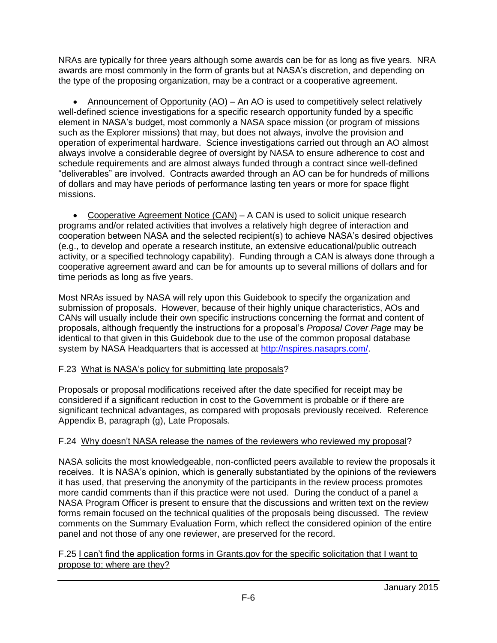NRAs are typically for three years although some awards can be for as long as five years. NRA awards are most commonly in the form of grants but at NASA's discretion, and depending on the type of the proposing organization, may be a contract or a cooperative agreement.

• Announcement of Opportunity (AO) – An AO is used to competitively select relatively well-defined science investigations for a specific research opportunity funded by a specific element in NASA's budget, most commonly a NASA space mission (or program of missions such as the Explorer missions) that may, but does not always, involve the provision and operation of experimental hardware. Science investigations carried out through an AO almost always involve a considerable degree of oversight by NASA to ensure adherence to cost and schedule requirements and are almost always funded through a contract since well-defined "deliverables" are involved. Contracts awarded through an AO can be for hundreds of millions of dollars and may have periods of performance lasting ten years or more for space flight missions.

 Cooperative Agreement Notice (CAN) – A CAN is used to solicit unique research programs and/or related activities that involves a relatively high degree of interaction and cooperation between NASA and the selected recipient(s) to achieve NASA's desired objectives (e.g., to develop and operate a research institute, an extensive educational/public outreach activity, or a specified technology capability). Funding through a CAN is always done through a cooperative agreement award and can be for amounts up to several millions of dollars and for time periods as long as five years.

Most NRAs issued by NASA will rely upon this Guidebook to specify the organization and submission of proposals. However, because of their highly unique characteristics, AOs and CANs will usually include their own specific instructions concerning the format and content of proposals, although frequently the instructions for a proposal's *Proposal Cover Page* may be identical to that given in this Guidebook due to the use of the common proposal database system by NASA Headquarters that is accessed at [http://nspires.nasaprs.com/.](http://nspires.nasaprs.com/)

# F.23 What is NASA's policy for submitting late proposals?

Proposals or proposal modifications received after the date specified for receipt may be considered if a significant reduction in cost to the Government is probable or if there are significant technical advantages, as compared with proposals previously received. Reference Appendix B, paragraph (g), Late Proposals.

# F.24 Why doesn't NASA release the names of the reviewers who reviewed my proposal?

NASA solicits the most knowledgeable, non-conflicted peers available to review the proposals it receives. It is NASA's opinion, which is generally substantiated by the opinions of the reviewers it has used, that preserving the anonymity of the participants in the review process promotes more candid comments than if this practice were not used. During the conduct of a panel a NASA Program Officer is present to ensure that the discussions and written text on the review forms remain focused on the technical qualities of the proposals being discussed. The review comments on the Summary Evaluation Form, which reflect the considered opinion of the entire panel and not those of any one reviewer, are preserved for the record.

F.25 I can't find the application forms in Grants.gov for the specific solicitation that I want to propose to; where are they?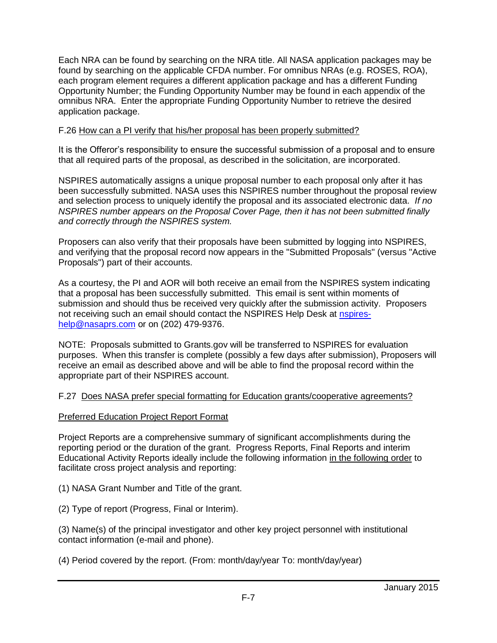Each NRA can be found by searching on the NRA title. All NASA application packages may be found by searching on the applicable CFDA number. For omnibus NRAs (e.g. ROSES, ROA), each program element requires a different application package and has a different Funding Opportunity Number; the Funding Opportunity Number may be found in each appendix of the omnibus NRA. Enter the appropriate Funding Opportunity Number to retrieve the desired application package.

### F.26 How can a PI verify that his/her proposal has been properly submitted?

It is the Offeror's responsibility to ensure the successful submission of a proposal and to ensure that all required parts of the proposal, as described in the solicitation, are incorporated.

NSPIRES automatically assigns a unique proposal number to each proposal only after it has been successfully submitted. NASA uses this NSPIRES number throughout the proposal review and selection process to uniquely identify the proposal and its associated electronic data. *If no NSPIRES number appears on the Proposal Cover Page, then it has not been submitted finally and correctly through the NSPIRES system.*

Proposers can also verify that their proposals have been submitted by logging into NSPIRES, and verifying that the proposal record now appears in the "Submitted Proposals" (versus "Active Proposals") part of their accounts.

As a courtesy, the PI and AOR will both receive an email from the NSPIRES system indicating that a proposal has been successfully submitted. This email is sent within moments of submission and should thus be received very quickly after the submission activity. Proposers not receiving such an email should contact the NSPIRES Help Desk at [nspires](mailto:nspires-help@nasaprs.com)[help@nasaprs.com](mailto:nspires-help@nasaprs.com) or on (202) 479-9376.

NOTE: Proposals submitted to Grants.gov will be transferred to NSPIRES for evaluation purposes. When this transfer is complete (possibly a few days after submission), Proposers will receive an email as described above and will be able to find the proposal record within the appropriate part of their NSPIRES account.

### F.27 Does NASA prefer special formatting for Education grants/cooperative agreements?

#### Preferred Education Project Report Format

Project Reports are a comprehensive summary of significant accomplishments during the reporting period or the duration of the grant. Progress Reports, Final Reports and interim Educational Activity Reports ideally include the following information in the following order to facilitate cross project analysis and reporting:

(1) NASA Grant Number and Title of the grant.

(2) Type of report (Progress, Final or Interim).

(3) Name(s) of the principal investigator and other key project personnel with institutional contact information (e-mail and phone).

(4) Period covered by the report. (From: month/day/year To: month/day/year)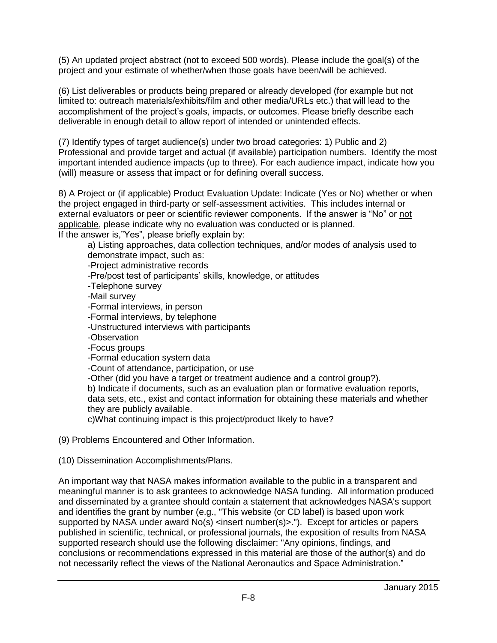(5) An updated project abstract (not to exceed 500 words). Please include the goal(s) of the project and your estimate of whether/when those goals have been/will be achieved.

(6) List deliverables or products being prepared or already developed (for example but not limited to: outreach materials/exhibits/film and other media/URLs etc.) that will lead to the accomplishment of the project's goals, impacts, or outcomes. Please briefly describe each deliverable in enough detail to allow report of intended or unintended effects.

(7) Identify types of target audience(s) under two broad categories: 1) Public and 2) Professional and provide target and actual (if available) participation numbers. Identify the most important intended audience impacts (up to three). For each audience impact, indicate how you (will) measure or assess that impact or for defining overall success.

8) A Project or (if applicable) Product Evaluation Update: Indicate (Yes or No) whether or when the project engaged in third-party or self-assessment activities. This includes internal or external evaluators or peer or scientific reviewer components. If the answer is "No" or not applicable, please indicate why no evaluation was conducted or is planned. If the answer is,"Yes", please briefly explain by:

a) Listing approaches, data collection techniques, and/or modes of analysis used to demonstrate impact, such as: -Project administrative records -Pre/post test of participants' skills, knowledge, or attitudes -Telephone survey -Mail survey -Formal interviews, in person -Formal interviews, by telephone -Unstructured interviews with participants -Observation -Focus groups -Formal education system data -Count of attendance, participation, or use -Other (did you have a target or treatment audience and a control group?). b) Indicate if documents, such as an evaluation plan or formative evaluation reports, data sets, etc., exist and contact information for obtaining these materials and whether they are publicly available. c)What continuing impact is this project/product likely to have?

(9) Problems Encountered and Other Information.

(10) Dissemination Accomplishments/Plans.

An important way that NASA makes information available to the public in a transparent and meaningful manner is to ask grantees to acknowledge NASA funding. All information produced and disseminated by a grantee should contain a statement that acknowledges NASA's support and identifies the grant by number (e.g., "This website (or CD label) is based upon work supported by NASA under award No(s) <insert number(s)>."). Except for articles or papers published in scientific, technical, or professional journals, the exposition of results from NASA supported research should use the following disclaimer: "Any opinions, findings, and conclusions or recommendations expressed in this material are those of the author(s) and do not necessarily reflect the views of the National Aeronautics and Space Administration."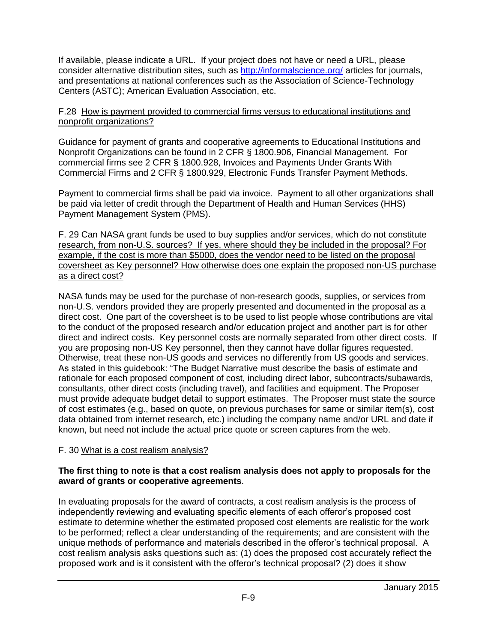If available, please indicate a URL. If your project does not have or need a URL, please consider alternative distribution sites, such as <http://informalscience.org/> articles for journals, and presentations at national conferences such as the Association of Science-Technology Centers (ASTC); American Evaluation Association, etc.

### F.28 How is payment provided to commercial firms versus to educational institutions and nonprofit organizations?

Guidance for payment of grants and cooperative agreements to Educational Institutions and Nonprofit Organizations can be found in 2 CFR § 1800.906, Financial Management. For commercial firms see 2 CFR § 1800.928, Invoices and Payments Under Grants With Commercial Firms and 2 CFR § 1800.929, Electronic Funds Transfer Payment Methods.

Payment to commercial firms shall be paid via invoice. Payment to all other organizations shall be paid via letter of credit through the Department of Health and Human Services (HHS) Payment Management System (PMS).

F. 29 Can NASA grant funds be used to buy supplies and/or services, which do not constitute research, from non-U.S. sources? If yes, where should they be included in the proposal? For example, if the cost is more than \$5000, does the vendor need to be listed on the proposal coversheet as Key personnel? How otherwise does one explain the proposed non-US purchase as a direct cost?

NASA funds may be used for the purchase of non-research goods, supplies, or services from non-U.S. vendors provided they are properly presented and documented in the proposal as a direct cost. One part of the coversheet is to be used to list people whose contributions are vital to the conduct of the proposed research and/or education project and another part is for other direct and indirect costs. Key personnel costs are normally separated from other direct costs. If you are proposing non-US Key personnel, then they cannot have dollar figures requested. Otherwise, treat these non-US goods and services no differently from US goods and services. As stated in this guidebook: "The Budget Narrative must describe the basis of estimate and rationale for each proposed component of cost, including direct labor, subcontracts/subawards, consultants, other direct costs (including travel), and facilities and equipment. The Proposer must provide adequate budget detail to support estimates. The Proposer must state the source of cost estimates (e.g., based on quote, on previous purchases for same or similar item(s), cost data obtained from internet research, etc.) including the company name and/or URL and date if known, but need not include the actual price quote or screen captures from the web.

### F. 30 What is a cost realism analysis?

### **The first thing to note is that a cost realism analysis does not apply to proposals for the award of grants or cooperative agreements**.

In evaluating proposals for the award of contracts, a cost realism analysis is the process of independently reviewing and evaluating specific elements of each offeror's proposed cost estimate to determine whether the estimated proposed cost elements are realistic for the work to be performed; reflect a clear understanding of the requirements; and are consistent with the unique methods of performance and materials described in the offeror's technical proposal. A cost realism analysis [asks](http://www.businessdictionary.com/definition/ask.html) questions such as: (1) does the proposed cost accurately reflect the proposed work and is it consistent with the offeror's technical proposal? (2) does it show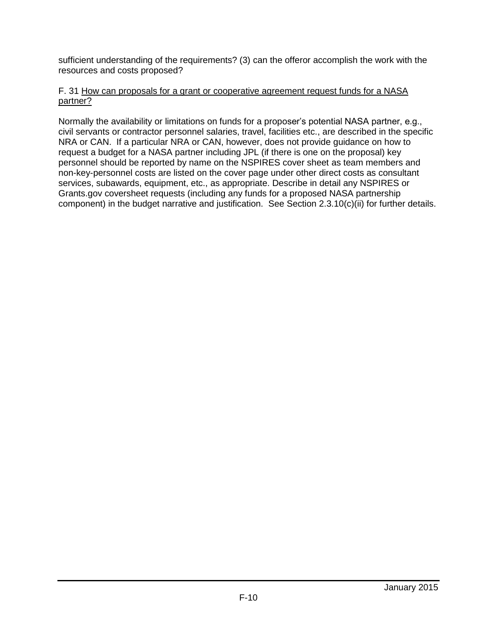sufficient understanding of the requirements? (3) can the offeror accomplish the work with the resources and costs proposed?

#### F. 31 How can proposals for a grant or cooperative agreement request funds for a NASA partner?

Normally the availability or limitations on funds for a proposer's potential NASA partner, e.g., civil servants or contractor personnel salaries, travel, facilities etc., are described in the specific NRA or CAN. If a particular NRA or CAN, however, does not provide guidance on how to request a budget for a NASA partner including JPL (if there is one on the proposal) key personnel should be reported by name on the NSPIRES cover sheet as team members and non-key-personnel costs are listed on the cover page under other direct costs as consultant services, subawards, equipment, etc., as appropriate. Describe in detail any NSPIRES or Grants.gov coversheet requests (including any funds for a proposed NASA partnership component) in the budget narrative and justification. See Section 2.3.10(c)(ii) for further details.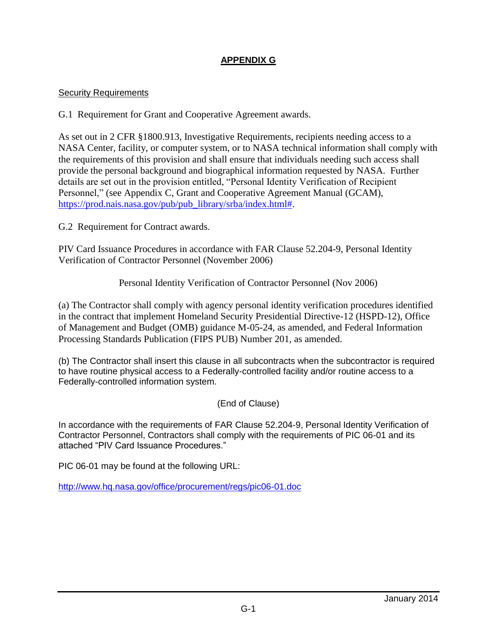# **APPENDIX G**

### Security Requirements

G.1 Requirement for Grant and Cooperative Agreement awards.

As set out in 2 CFR §1800.913, Investigative Requirements, recipients needing access to a NASA Center, facility, or computer system, or to NASA technical information shall comply with the requirements of this provision and shall ensure that individuals needing such access shall provide the personal background and biographical information requested by NASA. Further details are set out in the provision entitled, "Personal Identity Verification of Recipient Personnel," (see Appendix C, Grant and Cooperative Agreement Manual (GCAM), [https://prod.nais.nasa.gov/pub/pub\\_library/srba/index.html#.](https://prod.nais.nasa.gov/pub/pub_library/srba/index.html)

G.2 Requirement for Contract awards.

PIV Card Issuance Procedures in accordance with FAR Clause 52.204-9, Personal Identity Verification of Contractor Personnel (November 2006)

Personal Identity Verification of Contractor Personnel (Nov 2006)

(a) The Contractor shall comply with agency personal identity verification procedures identified in the contract that implement Homeland Security Presidential Directive-12 (HSPD-12), Office of Management and Budget (OMB) guidance M-05-24, as amended, and Federal Information Processing Standards Publication (FIPS PUB) Number 201, as amended.

(b) The Contractor shall insert this clause in all subcontracts when the subcontractor is required to have routine physical access to a Federally-controlled facility and/or routine access to a Federally-controlled information system.

(End of Clause)

In accordance with the requirements of FAR Clause 52.204-9, Personal Identity Verification of Contractor Personnel, Contractors shall comply with the requirements of PIC 06-01 and its attached "PIV Card Issuance Procedures."

PIC 06-01 may be found at the following URL:

<http://www.hq.nasa.gov/office/procurement/regs/pic06-01.doc>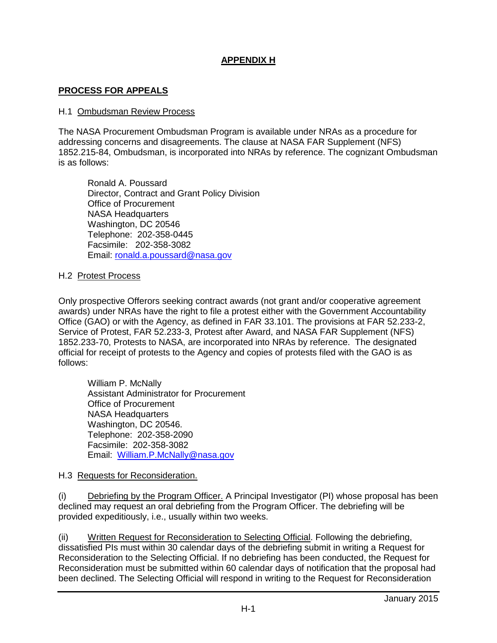# **APPENDIX H**

#### **PROCESS FOR APPEALS**

#### H.1 Ombudsman Review Process

The NASA Procurement Ombudsman Program is available under NRAs as a procedure for addressing concerns and disagreements. The clause at NASA FAR Supplement (NFS) 1852.215-84, Ombudsman, is incorporated into NRAs by reference. The cognizant Ombudsman is as follows:

Ronald A. Poussard Director, Contract and Grant Policy Division Office of Procurement NASA Headquarters Washington, DC 20546 Telephone: 202-358-0445 Facsimile: 202-358-3082 Email: [ronald.a.poussard@nasa.gov](mailto:ronald.a.poussard@nasa.gov)

#### H.2 Protest Process

Only prospective Offerors seeking contract awards (not grant and/or cooperative agreement awards) under NRAs have the right to file a protest either with the Government Accountability Office (GAO) or with the Agency, as defined in FAR 33.101. The provisions at FAR 52.233-2, Service of Protest, FAR 52.233-3, Protest after Award, and NASA FAR Supplement (NFS) 1852.233-70, Protests to NASA, are incorporated into NRAs by reference. The designated official for receipt of protests to the Agency and copies of protests filed with the GAO is as follows:

William P. McNally Assistant Administrator for Procurement Office of Procurement NASA Headquarters Washington, DC 20546. Telephone: 202-358-2090 Facsimile: 202-358-3082 Email: [William.P.McNally@nasa.gov](mailto:William.P.McNally@nasa.gov)

#### H.3 Requests for Reconsideration.

(i) Debriefing by the Program Officer. A Principal Investigator (PI) whose proposal has been declined may request an oral debriefing from the Program Officer. The debriefing will be provided expeditiously, i.e., usually within two weeks.

(ii) Written Request for Reconsideration to Selecting Official. Following the debriefing, dissatisfied PIs must within 30 calendar days of the debriefing submit in writing a Request for Reconsideration to the Selecting Official. If no debriefing has been conducted, the Request for Reconsideration must be submitted within 60 calendar days of notification that the proposal had been declined. The Selecting Official will respond in writing to the Request for Reconsideration